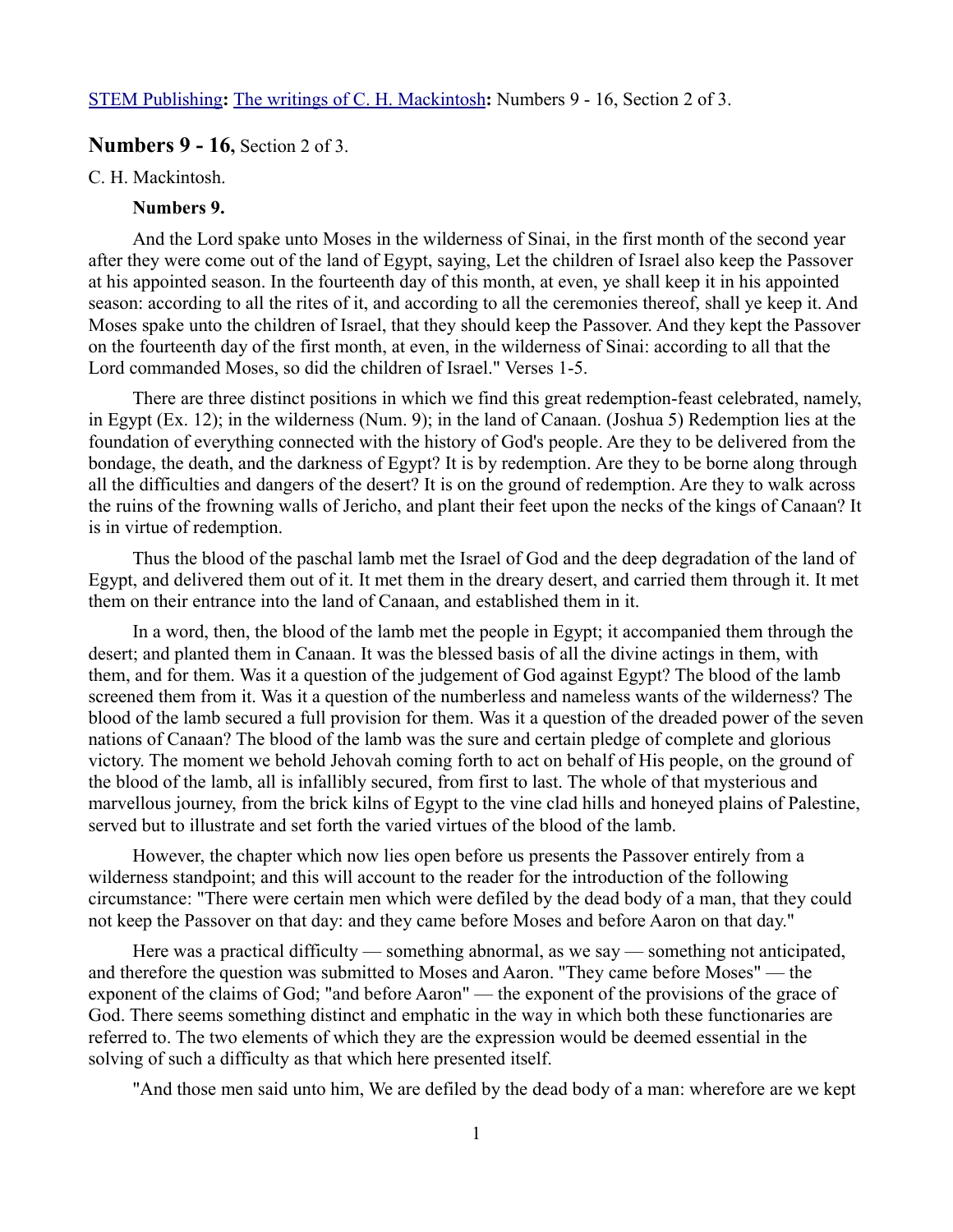# **Numbers 9 - 16,** Section 2 of 3.

#### C. H. Mackintosh.

### **Numbers 9.**

And the Lord spake unto Moses in the wilderness of Sinai, in the first month of the second year after they were come out of the land of Egypt, saying, Let the children of Israel also keep the Passover at his appointed season. In the fourteenth day of this month, at even, ye shall keep it in his appointed season: according to all the rites of it, and according to all the ceremonies thereof, shall ye keep it. And Moses spake unto the children of Israel, that they should keep the Passover. And they kept the Passover on the fourteenth day of the first month, at even, in the wilderness of Sinai: according to all that the Lord commanded Moses, so did the children of Israel." Verses 1-5.

There are three distinct positions in which we find this great redemption-feast celebrated, namely, in Egypt (Ex. 12); in the wilderness (Num. 9); in the land of Canaan. (Joshua 5) Redemption lies at the foundation of everything connected with the history of God's people. Are they to be delivered from the bondage, the death, and the darkness of Egypt? It is by redemption. Are they to be borne along through all the difficulties and dangers of the desert? It is on the ground of redemption. Are they to walk across the ruins of the frowning walls of Jericho, and plant their feet upon the necks of the kings of Canaan? It is in virtue of redemption.

Thus the blood of the paschal lamb met the Israel of God and the deep degradation of the land of Egypt, and delivered them out of it. It met them in the dreary desert, and carried them through it. It met them on their entrance into the land of Canaan, and established them in it.

In a word, then, the blood of the lamb met the people in Egypt; it accompanied them through the desert; and planted them in Canaan. It was the blessed basis of all the divine actings in them, with them, and for them. Was it a question of the judgement of God against Egypt? The blood of the lamb screened them from it. Was it a question of the numberless and nameless wants of the wilderness? The blood of the lamb secured a full provision for them. Was it a question of the dreaded power of the seven nations of Canaan? The blood of the lamb was the sure and certain pledge of complete and glorious victory. The moment we behold Jehovah coming forth to act on behalf of His people, on the ground of the blood of the lamb, all is infallibly secured, from first to last. The whole of that mysterious and marvellous journey, from the brick kilns of Egypt to the vine clad hills and honeyed plains of Palestine, served but to illustrate and set forth the varied virtues of the blood of the lamb.

However, the chapter which now lies open before us presents the Passover entirely from a wilderness standpoint; and this will account to the reader for the introduction of the following circumstance: "There were certain men which were defiled by the dead body of a man, that they could not keep the Passover on that day: and they came before Moses and before Aaron on that day."

Here was a practical difficulty — something abnormal, as we say — something not anticipated, and therefore the question was submitted to Moses and Aaron. ''They came before Moses" — the exponent of the claims of God; "and before Aaron" — the exponent of the provisions of the grace of God. There seems something distinct and emphatic in the way in which both these functionaries are referred to. The two elements of which they are the expression would be deemed essential in the solving of such a difficulty as that which here presented itself.

"And those men said unto him, We are defiled by the dead body of a man: wherefore are we kept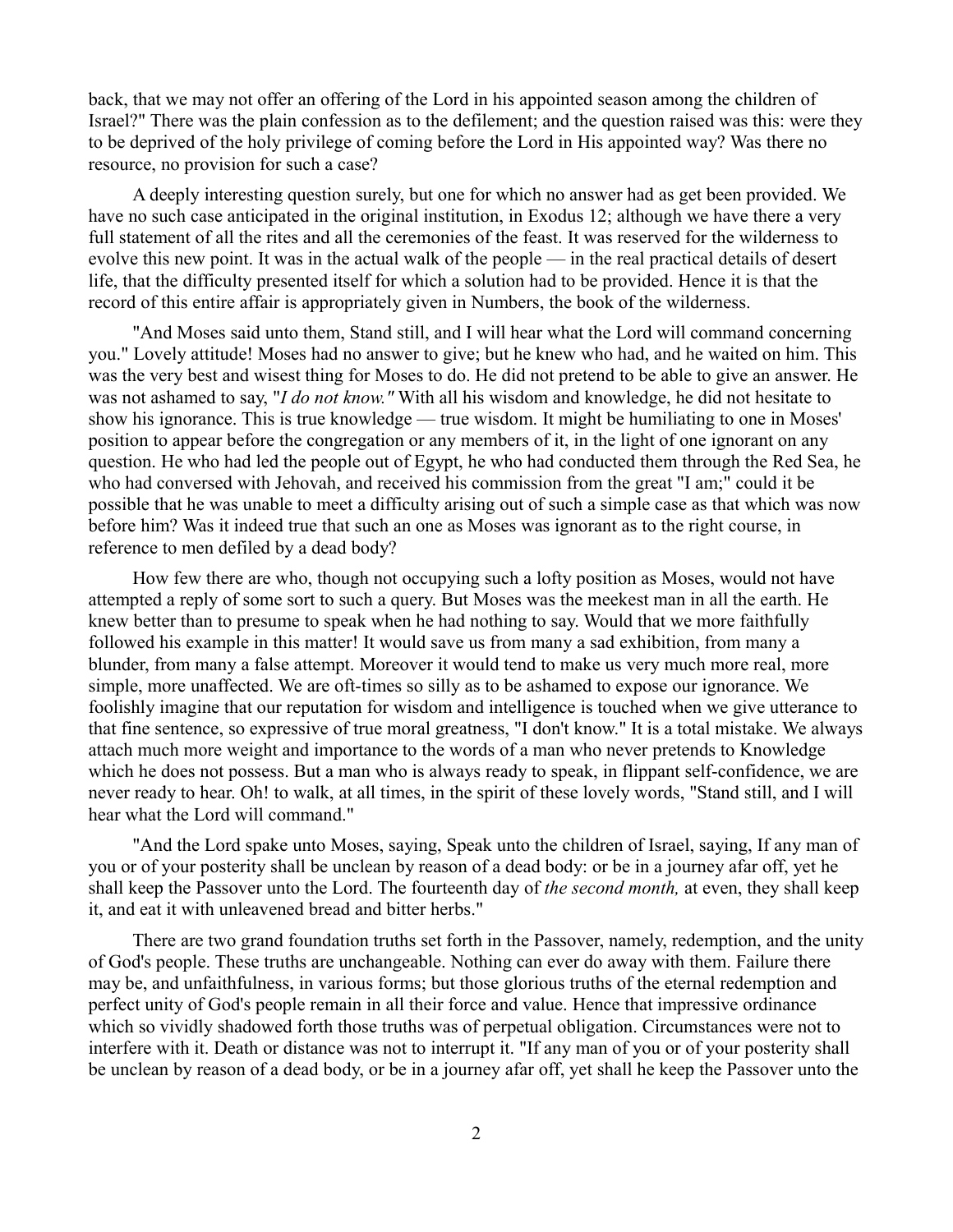back, that we may not offer an offering of the Lord in his appointed season among the children of Israel?" There was the plain confession as to the defilement; and the question raised was this: were they to be deprived of the holy privilege of coming before the Lord in His appointed way? Was there no resource, no provision for such a case?

A deeply interesting question surely, but one for which no answer had as get been provided. We have no such case anticipated in the original institution, in Exodus 12; although we have there a very full statement of all the rites and all the ceremonies of the feast. It was reserved for the wilderness to evolve this new point. It was in the actual walk of the people — in the real practical details of desert life, that the difficulty presented itself for which a solution had to be provided. Hence it is that the record of this entire affair is appropriately given in Numbers, the book of the wilderness.

"And Moses said unto them, Stand still, and I will hear what the Lord will command concerning you." Lovely attitude! Moses had no answer to give; but he knew who had, and he waited on him. This was the very best and wisest thing for Moses to do. He did not pretend to be able to give an answer. He was not ashamed to say, "*I do not know."* With all his wisdom and knowledge, he did not hesitate to show his ignorance. This is true knowledge — true wisdom. It might be humiliating to one in Moses' position to appear before the congregation or any members of it, in the light of one ignorant on any question. He who had led the people out of Egypt, he who had conducted them through the Red Sea, he who had conversed with Jehovah, and received his commission from the great "I am;" could it be possible that he was unable to meet a difficulty arising out of such a simple case as that which was now before him? Was it indeed true that such an one as Moses was ignorant as to the right course, in reference to men defiled by a dead body?

How few there are who, though not occupying such a lofty position as Moses, would not have attempted a reply of some sort to such a query. But Moses was the meekest man in all the earth. He knew better than to presume to speak when he had nothing to say. Would that we more faithfully followed his example in this matter! It would save us from many a sad exhibition, from many a blunder, from many a false attempt. Moreover it would tend to make us very much more real, more simple, more unaffected. We are oft-times so silly as to be ashamed to expose our ignorance. We foolishly imagine that our reputation for wisdom and intelligence is touched when we give utterance to that fine sentence, so expressive of true moral greatness, "I don't know." It is a total mistake. We always attach much more weight and importance to the words of a man who never pretends to Knowledge which he does not possess. But a man who is always ready to speak, in flippant self-confidence, we are never ready to hear. Oh! to walk, at all times, in the spirit of these lovely words, "Stand still, and I will hear what the Lord will command."

"And the Lord spake unto Moses, saying, Speak unto the children of Israel, saying, If any man of you or of your posterity shall be unclean by reason of a dead body: or be in a journey afar off, yet he shall keep the Passover unto the Lord. The fourteenth day of *the second month,* at even, they shall keep it, and eat it with unleavened bread and bitter herbs."

There are two grand foundation truths set forth in the Passover, namely, redemption, and the unity of God's people. These truths are unchangeable. Nothing can ever do away with them. Failure there may be, and unfaithfulness, in various forms; but those glorious truths of the eternal redemption and perfect unity of God's people remain in all their force and value. Hence that impressive ordinance which so vividly shadowed forth those truths was of perpetual obligation. Circumstances were not to interfere with it. Death or distance was not to interrupt it. "If any man of you or of your posterity shall be unclean by reason of a dead body, or be in a journey afar off, yet shall he keep the Passover unto the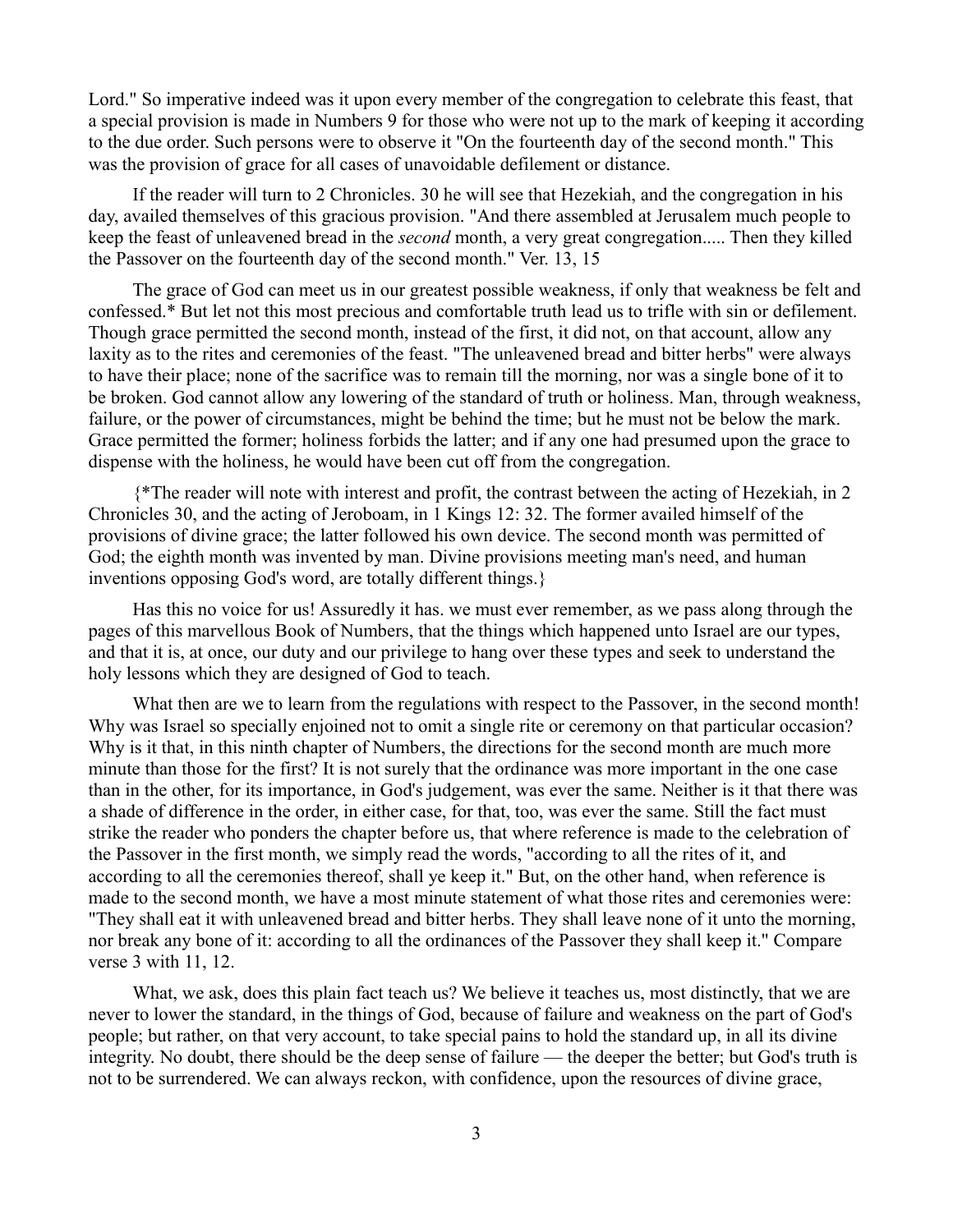Lord." So imperative indeed was it upon every member of the congregation to celebrate this feast, that a special provision is made in Numbers 9 for those who were not up to the mark of keeping it according to the due order. Such persons were to observe it "On the fourteenth day of the second month." This was the provision of grace for all cases of unavoidable defilement or distance.

If the reader will turn to 2 Chronicles. 30 he will see that Hezekiah, and the congregation in his day, availed themselves of this gracious provision. "And there assembled at Jerusalem much people to keep the feast of unleavened bread in the *second* month, a very great congregation..... Then they killed the Passover on the fourteenth day of the second month." Ver. 13, 15

The grace of God can meet us in our greatest possible weakness, if only that weakness be felt and confessed.\* But let not this most precious and comfortable truth lead us to trifle with sin or defilement. Though grace permitted the second month, instead of the first, it did not, on that account, allow any laxity as to the rites and ceremonies of the feast. "The unleavened bread and bitter herbs" were always to have their place; none of the sacrifice was to remain till the morning, nor was a single bone of it to be broken. God cannot allow any lowering of the standard of truth or holiness. Man, through weakness, failure, or the power of circumstances, might be behind the time; but he must not be below the mark. Grace permitted the former; holiness forbids the latter; and if any one had presumed upon the grace to dispense with the holiness, he would have been cut off from the congregation.

{\*The reader will note with interest and profit, the contrast between the acting of Hezekiah, in 2 Chronicles 30, and the acting of Jeroboam, in 1 Kings 12: 32. The former availed himself of the provisions of divine grace; the latter followed his own device. The second month was permitted of God; the eighth month was invented by man. Divine provisions meeting man's need, and human inventions opposing God's word, are totally different things.}

Has this no voice for us! Assuredly it has. we must ever remember, as we pass along through the pages of this marvellous Book of Numbers, that the things which happened unto Israel are our types, and that it is, at once, our duty and our privilege to hang over these types and seek to understand the holy lessons which they are designed of God to teach.

What then are we to learn from the regulations with respect to the Passover, in the second month! Why was Israel so specially enjoined not to omit a single rite or ceremony on that particular occasion? Why is it that, in this ninth chapter of Numbers, the directions for the second month are much more minute than those for the first? It is not surely that the ordinance was more important in the one case than in the other, for its importance, in God's judgement, was ever the same. Neither is it that there was a shade of difference in the order, in either case, for that, too, was ever the same. Still the fact must strike the reader who ponders the chapter before us, that where reference is made to the celebration of the Passover in the first month, we simply read the words, "according to all the rites of it, and according to all the ceremonies thereof, shall ye keep it." But, on the other hand, when reference is made to the second month, we have a most minute statement of what those rites and ceremonies were: "They shall eat it with unleavened bread and bitter herbs. They shall leave none of it unto the morning, nor break any bone of it: according to all the ordinances of the Passover they shall keep it." Compare verse 3 with 11, 12.

What, we ask, does this plain fact teach us? We believe it teaches us, most distinctly, that we are never to lower the standard, in the things of God, because of failure and weakness on the part of God's people; but rather, on that very account, to take special pains to hold the standard up, in all its divine integrity. No doubt, there should be the deep sense of failure — the deeper the better; but God's truth is not to be surrendered. We can always reckon, with confidence, upon the resources of divine grace,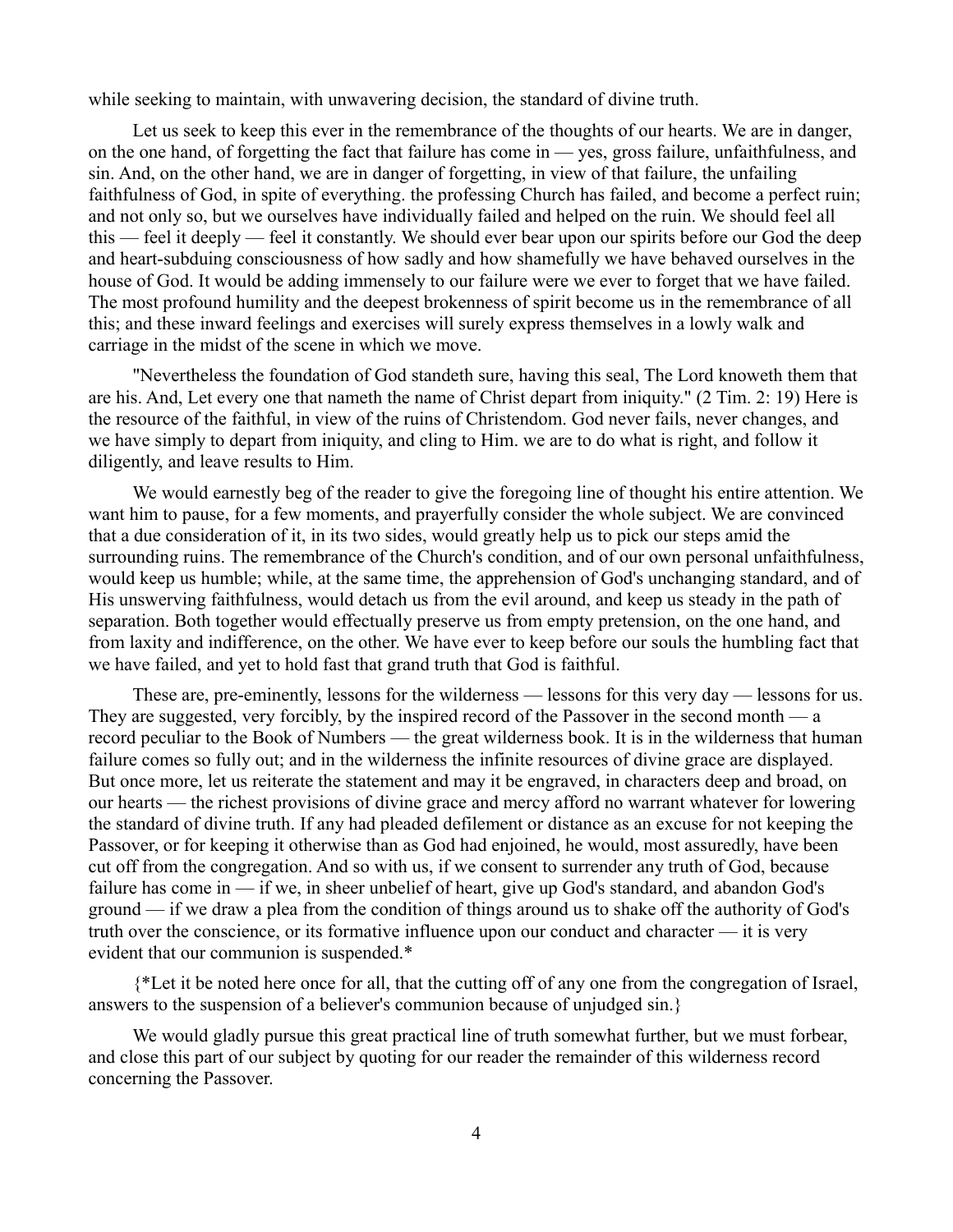while seeking to maintain, with unwavering decision, the standard of divine truth.

Let us seek to keep this ever in the remembrance of the thoughts of our hearts. We are in danger, on the one hand, of forgetting the fact that failure has come in — yes, gross failure, unfaithfulness, and sin. And, on the other hand, we are in danger of forgetting, in view of that failure, the unfailing faithfulness of God, in spite of everything. the professing Church has failed, and become a perfect ruin; and not only so, but we ourselves have individually failed and helped on the ruin. We should feel all this — feel it deeply — feel it constantly. We should ever bear upon our spirits before our God the deep and heart-subduing consciousness of how sadly and how shamefully we have behaved ourselves in the house of God. It would be adding immensely to our failure were we ever to forget that we have failed. The most profound humility and the deepest brokenness of spirit become us in the remembrance of all this; and these inward feelings and exercises will surely express themselves in a lowly walk and carriage in the midst of the scene in which we move.

"Nevertheless the foundation of God standeth sure, having this seal, The Lord knoweth them that are his. And, Let every one that nameth the name of Christ depart from iniquity." (2 Tim. 2: 19) Here is the resource of the faithful, in view of the ruins of Christendom. God never fails, never changes, and we have simply to depart from iniquity, and cling to Him. we are to do what is right, and follow it diligently, and leave results to Him.

We would earnestly beg of the reader to give the foregoing line of thought his entire attention. We want him to pause, for a few moments, and prayerfully consider the whole subject. We are convinced that a due consideration of it, in its two sides, would greatly help us to pick our steps amid the surrounding ruins. The remembrance of the Church's condition, and of our own personal unfaithfulness, would keep us humble; while, at the same time, the apprehension of God's unchanging standard, and of His unswerving faithfulness, would detach us from the evil around, and keep us steady in the path of separation. Both together would effectually preserve us from empty pretension, on the one hand, and from laxity and indifference, on the other. We have ever to keep before our souls the humbling fact that we have failed, and yet to hold fast that grand truth that God is faithful.

These are, pre-eminently, lessons for the wilderness — lessons for this very day — lessons for us. They are suggested, very forcibly, by the inspired record of the Passover in the second month — a record peculiar to the Book of Numbers — the great wilderness book. It is in the wilderness that human failure comes so fully out; and in the wilderness the infinite resources of divine grace are displayed. But once more, let us reiterate the statement and may it be engraved, in characters deep and broad, on our hearts — the richest provisions of divine grace and mercy afford no warrant whatever for lowering the standard of divine truth. If any had pleaded defilement or distance as an excuse for not keeping the Passover, or for keeping it otherwise than as God had enjoined, he would, most assuredly, have been cut off from the congregation. And so with us, if we consent to surrender any truth of God, because failure has come in — if we, in sheer unbelief of heart, give up God's standard, and abandon God's ground — if we draw a plea from the condition of things around us to shake off the authority of God's truth over the conscience, or its formative influence upon our conduct and character — it is very evident that our communion is suspended.\*

{\*Let it be noted here once for all, that the cutting off of any one from the congregation of Israel, answers to the suspension of a believer's communion because of unjudged sin.}

We would gladly pursue this great practical line of truth somewhat further, but we must forbear, and close this part of our subject by quoting for our reader the remainder of this wilderness record concerning the Passover.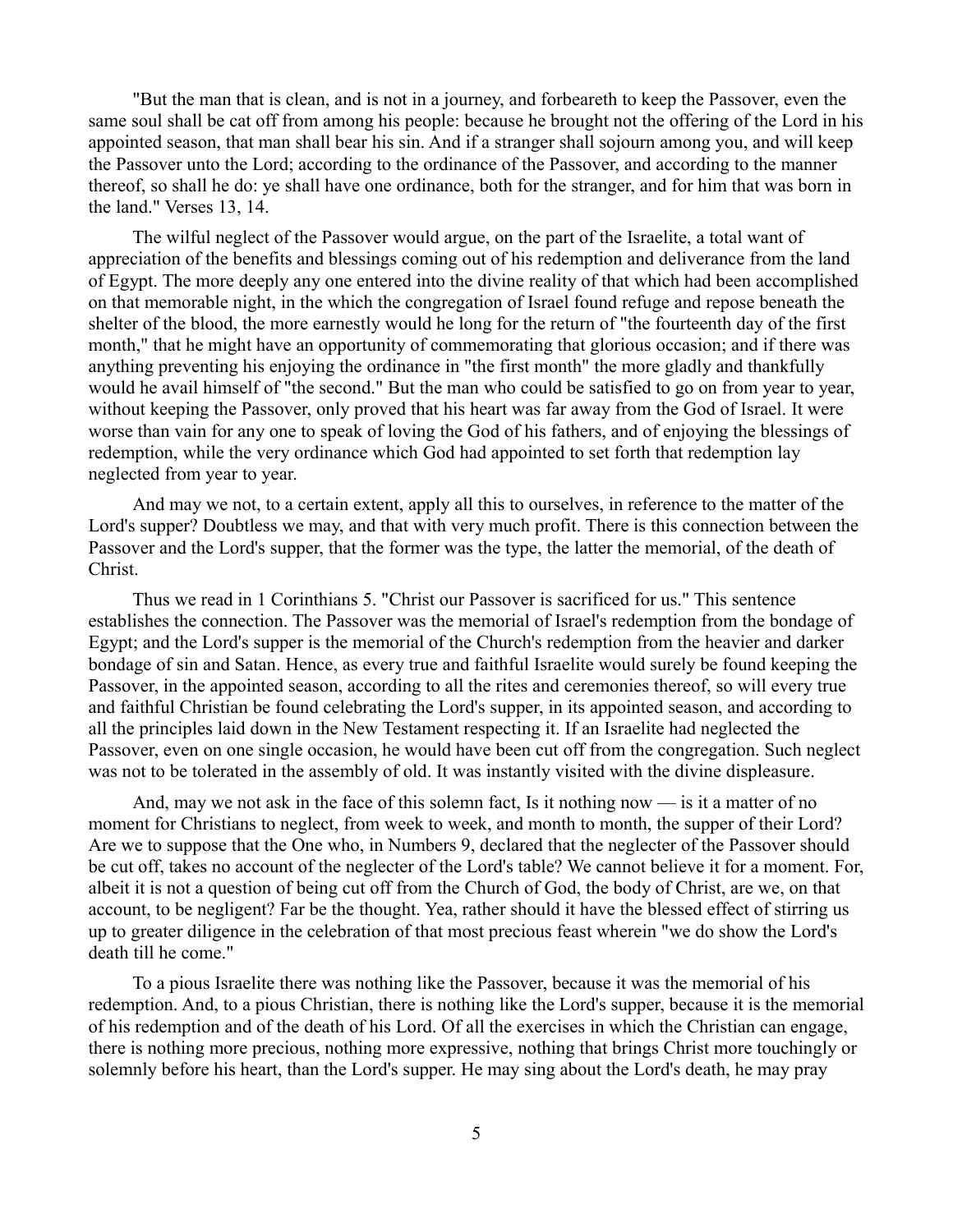"But the man that is clean, and is not in a journey, and forbeareth to keep the Passover, even the same soul shall be cat off from among his people: because he brought not the offering of the Lord in his appointed season, that man shall bear his sin. And if a stranger shall sojourn among you, and will keep the Passover unto the Lord; according to the ordinance of the Passover, and according to the manner thereof, so shall he do: ye shall have one ordinance, both for the stranger, and for him that was born in the land." Verses 13, 14.

The wilful neglect of the Passover would argue, on the part of the Israelite, a total want of appreciation of the benefits and blessings coming out of his redemption and deliverance from the land of Egypt. The more deeply any one entered into the divine reality of that which had been accomplished on that memorable night, in the which the congregation of Israel found refuge and repose beneath the shelter of the blood, the more earnestly would he long for the return of "the fourteenth day of the first month," that he might have an opportunity of commemorating that glorious occasion; and if there was anything preventing his enjoying the ordinance in "the first month" the more gladly and thankfully would he avail himself of "the second." But the man who could be satisfied to go on from year to year, without keeping the Passover, only proved that his heart was far away from the God of Israel. It were worse than vain for any one to speak of loving the God of his fathers, and of enjoying the blessings of redemption, while the very ordinance which God had appointed to set forth that redemption lay neglected from year to year.

And may we not, to a certain extent, apply all this to ourselves, in reference to the matter of the Lord's supper? Doubtless we may, and that with very much profit. There is this connection between the Passover and the Lord's supper, that the former was the type, the latter the memorial, of the death of Christ.

Thus we read in 1 Corinthians 5. "Christ our Passover is sacrificed for us." This sentence establishes the connection. The Passover was the memorial of Israel's redemption from the bondage of Egypt; and the Lord's supper is the memorial of the Church's redemption from the heavier and darker bondage of sin and Satan. Hence, as every true and faithful Israelite would surely be found keeping the Passover, in the appointed season, according to all the rites and ceremonies thereof, so will every true and faithful Christian be found celebrating the Lord's supper, in its appointed season, and according to all the principles laid down in the New Testament respecting it. If an Israelite had neglected the Passover, even on one single occasion, he would have been cut off from the congregation. Such neglect was not to be tolerated in the assembly of old. It was instantly visited with the divine displeasure.

And, may we not ask in the face of this solemn fact, Is it nothing now — is it a matter of no moment for Christians to neglect, from week to week, and month to month, the supper of their Lord? Are we to suppose that the One who, in Numbers 9, declared that the neglecter of the Passover should be cut off, takes no account of the neglecter of the Lord's table? We cannot believe it for a moment. For, albeit it is not a question of being cut off from the Church of God, the body of Christ, are we, on that account, to be negligent? Far be the thought. Yea, rather should it have the blessed effect of stirring us up to greater diligence in the celebration of that most precious feast wherein "we do show the Lord's death till he come."

To a pious Israelite there was nothing like the Passover, because it was the memorial of his redemption. And, to a pious Christian, there is nothing like the Lord's supper, because it is the memorial of his redemption and of the death of his Lord. Of all the exercises in which the Christian can engage, there is nothing more precious, nothing more expressive, nothing that brings Christ more touchingly or solemnly before his heart, than the Lord's supper. He may sing about the Lord's death, he may pray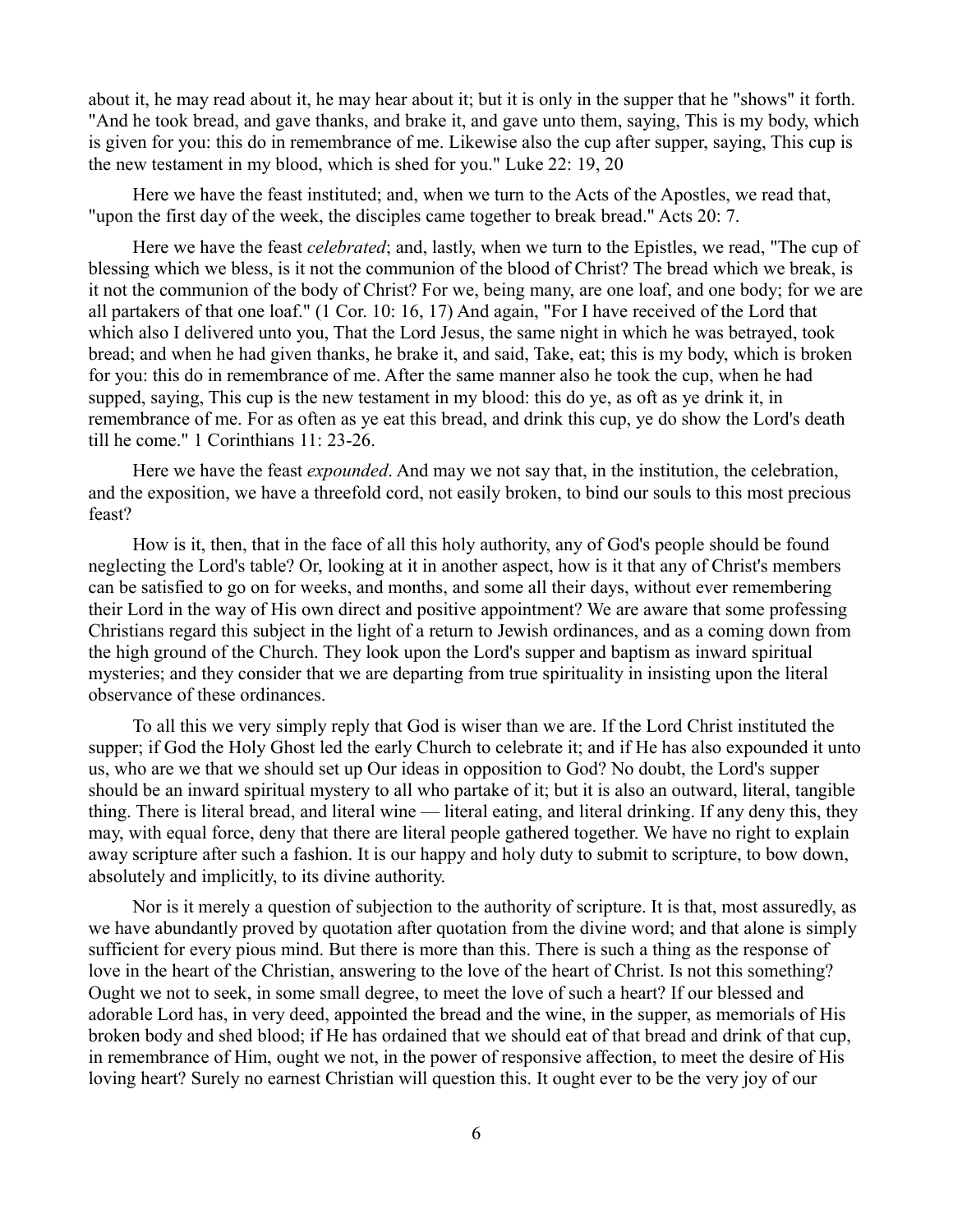about it, he may read about it, he may hear about it; but it is only in the supper that he "shows" it forth. "And he took bread, and gave thanks, and brake it, and gave unto them, saying, This is my body, which is given for you: this do in remembrance of me. Likewise also the cup after supper, saying, This cup is the new testament in my blood, which is shed for you." Luke 22: 19, 20

Here we have the feast instituted; and, when we turn to the Acts of the Apostles, we read that, "upon the first day of the week, the disciples came together to break bread." Acts 20: 7.

Here we have the feast *celebrated*; and, lastly, when we turn to the Epistles, we read, "The cup of blessing which we bless, is it not the communion of the blood of Christ? The bread which we break, is it not the communion of the body of Christ? For we, being many, are one loaf, and one body; for we are all partakers of that one loaf." (1 Cor. 10: 16, 17) And again, "For I have received of the Lord that which also I delivered unto you, That the Lord Jesus, the same night in which he was betrayed, took bread; and when he had given thanks, he brake it, and said, Take, eat; this is my body, which is broken for you: this do in remembrance of me. After the same manner also he took the cup, when he had supped, saying, This cup is the new testament in my blood: this do ye, as oft as ye drink it, in remembrance of me. For as often as ye eat this bread, and drink this cup, ye do show the Lord's death till he come." 1 Corinthians 11: 23-26.

Here we have the feast *expounded*. And may we not say that, in the institution, the celebration, and the exposition, we have a threefold cord, not easily broken, to bind our souls to this most precious feast?

How is it, then, that in the face of all this holy authority, any of God's people should be found neglecting the Lord's table? Or, looking at it in another aspect, how is it that any of Christ's members can be satisfied to go on for weeks, and months, and some all their days, without ever remembering their Lord in the way of His own direct and positive appointment? We are aware that some professing Christians regard this subject in the light of a return to Jewish ordinances, and as a coming down from the high ground of the Church. They look upon the Lord's supper and baptism as inward spiritual mysteries; and they consider that we are departing from true spirituality in insisting upon the literal observance of these ordinances.

To all this we very simply reply that God is wiser than we are. If the Lord Christ instituted the supper; if God the Holy Ghost led the early Church to celebrate it; and if He has also expounded it unto us, who are we that we should set up Our ideas in opposition to God? No doubt, the Lord's supper should be an inward spiritual mystery to all who partake of it; but it is also an outward, literal, tangible thing. There is literal bread, and literal wine — literal eating, and literal drinking. If any deny this, they may, with equal force, deny that there are literal people gathered together. We have no right to explain away scripture after such a fashion. It is our happy and holy duty to submit to scripture, to bow down, absolutely and implicitly, to its divine authority.

Nor is it merely a question of subjection to the authority of scripture. It is that, most assuredly, as we have abundantly proved by quotation after quotation from the divine word; and that alone is simply sufficient for every pious mind. But there is more than this. There is such a thing as the response of love in the heart of the Christian, answering to the love of the heart of Christ. Is not this something? Ought we not to seek, in some small degree, to meet the love of such a heart? If our blessed and adorable Lord has, in very deed, appointed the bread and the wine, in the supper, as memorials of His broken body and shed blood; if He has ordained that we should eat of that bread and drink of that cup, in remembrance of Him, ought we not, in the power of responsive affection, to meet the desire of His loving heart? Surely no earnest Christian will question this. It ought ever to be the very joy of our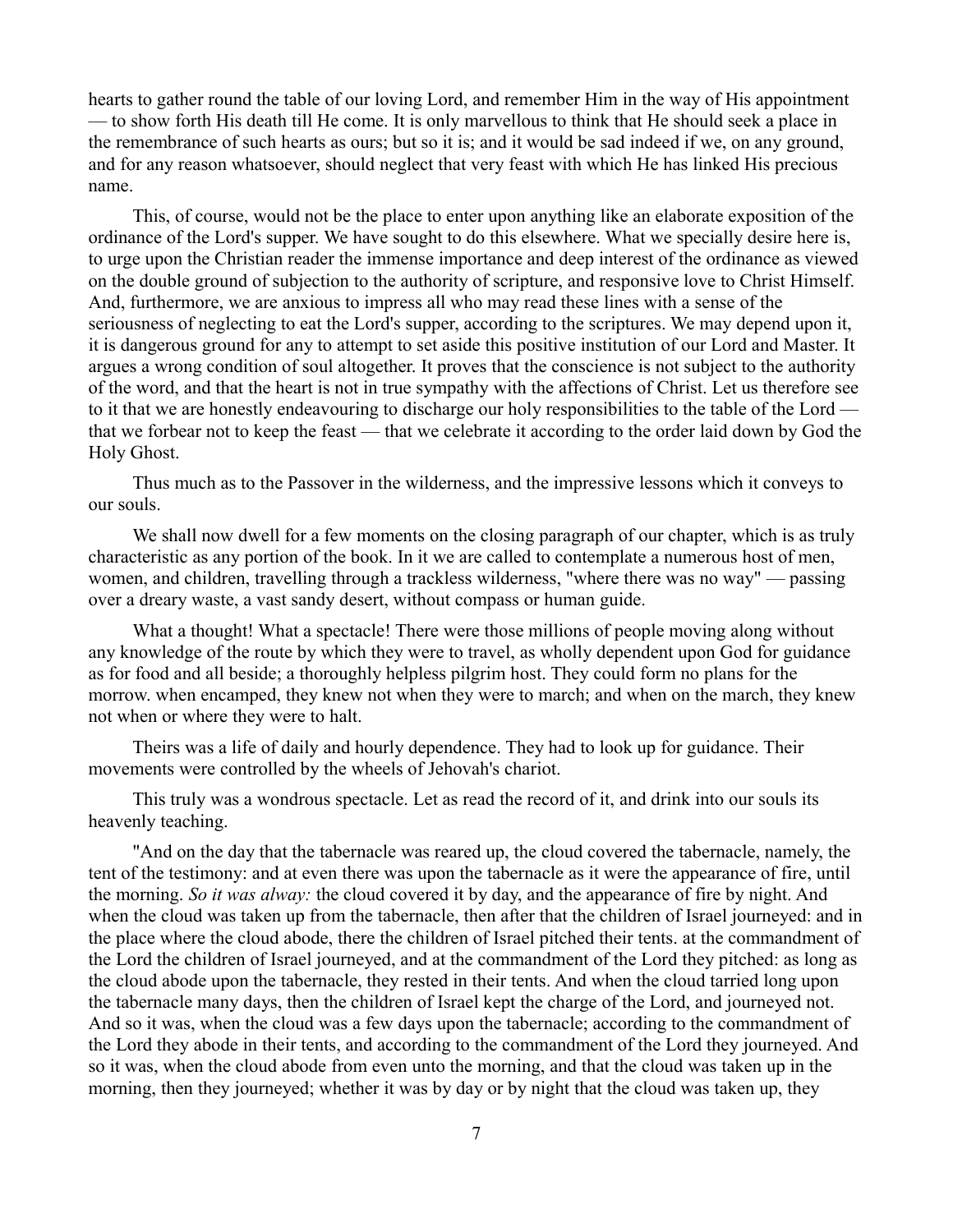hearts to gather round the table of our loving Lord, and remember Him in the way of His appointment — to show forth His death till He come. It is only marvellous to think that He should seek a place in the remembrance of such hearts as ours; but so it is; and it would be sad indeed if we, on any ground, and for any reason whatsoever, should neglect that very feast with which He has linked His precious name.

This, of course, would not be the place to enter upon anything like an elaborate exposition of the ordinance of the Lord's supper. We have sought to do this elsewhere. What we specially desire here is, to urge upon the Christian reader the immense importance and deep interest of the ordinance as viewed on the double ground of subjection to the authority of scripture, and responsive love to Christ Himself. And, furthermore, we are anxious to impress all who may read these lines with a sense of the seriousness of neglecting to eat the Lord's supper, according to the scriptures. We may depend upon it, it is dangerous ground for any to attempt to set aside this positive institution of our Lord and Master. It argues a wrong condition of soul altogether. It proves that the conscience is not subject to the authority of the word, and that the heart is not in true sympathy with the affections of Christ. Let us therefore see to it that we are honestly endeavouring to discharge our holy responsibilities to the table of the Lord that we forbear not to keep the feast — that we celebrate it according to the order laid down by God the Holy Ghost.

Thus much as to the Passover in the wilderness, and the impressive lessons which it conveys to our souls.

We shall now dwell for a few moments on the closing paragraph of our chapter, which is as truly characteristic as any portion of the book. In it we are called to contemplate a numerous host of men, women, and children, travelling through a trackless wilderness, "where there was no way" — passing over a dreary waste, a vast sandy desert, without compass or human guide.

What a thought! What a spectacle! There were those millions of people moving along without any knowledge of the route by which they were to travel, as wholly dependent upon God for guidance as for food and all beside; a thoroughly helpless pilgrim host. They could form no plans for the morrow. when encamped, they knew not when they were to march; and when on the march, they knew not when or where they were to halt.

Theirs was a life of daily and hourly dependence. They had to look up for guidance. Their movements were controlled by the wheels of Jehovah's chariot.

This truly was a wondrous spectacle. Let as read the record of it, and drink into our souls its heavenly teaching.

"And on the day that the tabernacle was reared up, the cloud covered the tabernacle, namely, the tent of the testimony: and at even there was upon the tabernacle as it were the appearance of fire, until the morning. *So it was alway:* the cloud covered it by day, and the appearance of fire by night. And when the cloud was taken up from the tabernacle, then after that the children of Israel journeyed: and in the place where the cloud abode, there the children of Israel pitched their tents. at the commandment of the Lord the children of Israel journeyed, and at the commandment of the Lord they pitched: as long as the cloud abode upon the tabernacle, they rested in their tents. And when the cloud tarried long upon the tabernacle many days, then the children of Israel kept the charge of the Lord, and journeyed not. And so it was, when the cloud was a few days upon the tabernacle; according to the commandment of the Lord they abode in their tents, and according to the commandment of the Lord they journeyed. And so it was, when the cloud abode from even unto the morning, and that the cloud was taken up in the morning, then they journeyed; whether it was by day or by night that the cloud was taken up, they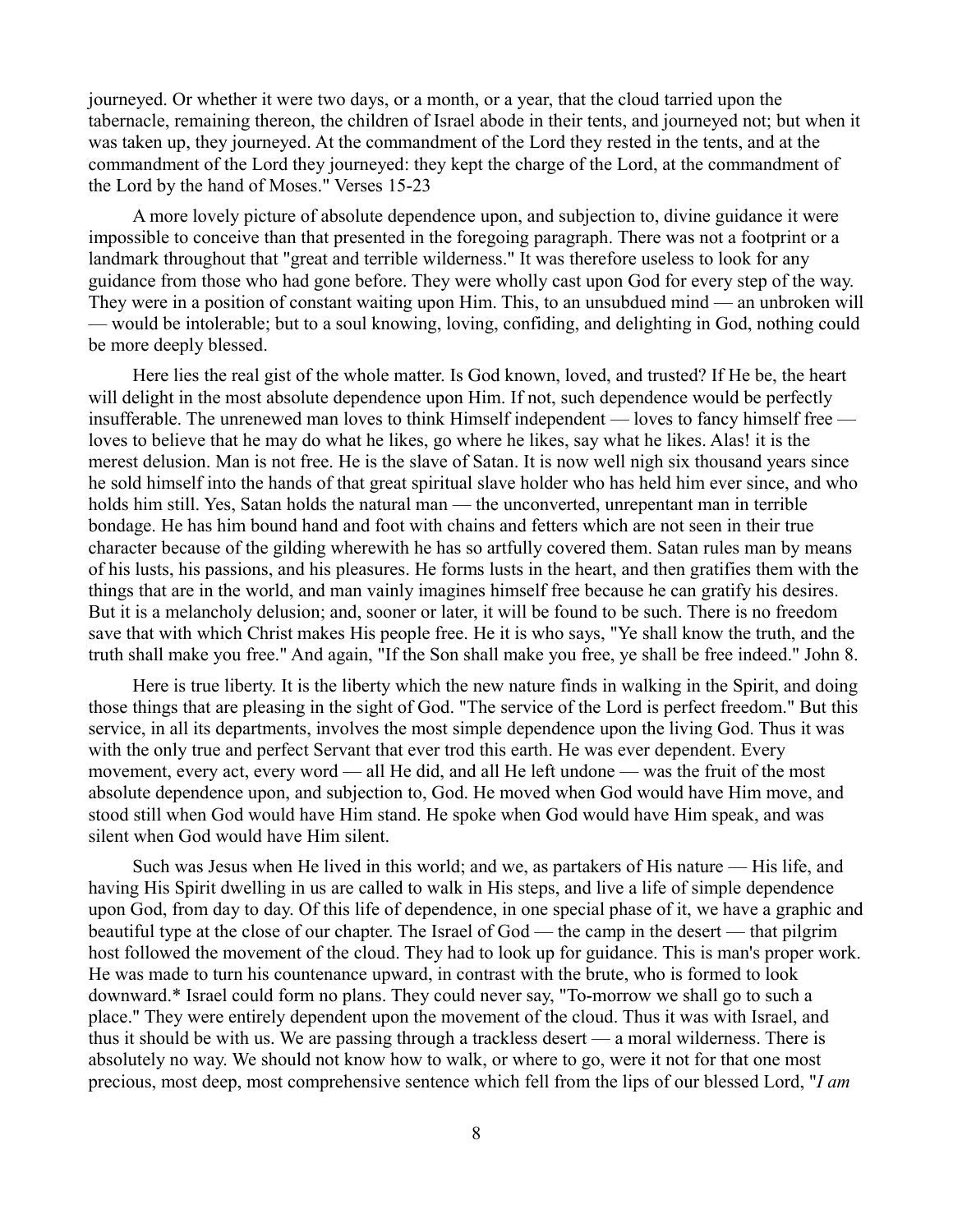journeyed. Or whether it were two days, or a month, or a year, that the cloud tarried upon the tabernacle, remaining thereon, the children of Israel abode in their tents, and journeyed not; but when it was taken up, they journeyed. At the commandment of the Lord they rested in the tents, and at the commandment of the Lord they journeyed: they kept the charge of the Lord, at the commandment of the Lord by the hand of Moses." Verses 15-23

A more lovely picture of absolute dependence upon, and subjection to, divine guidance it were impossible to conceive than that presented in the foregoing paragraph. There was not a footprint or a landmark throughout that "great and terrible wilderness." It was therefore useless to look for any guidance from those who had gone before. They were wholly cast upon God for every step of the way. They were in a position of constant waiting upon Him. This, to an unsubdued mind — an unbroken will — would be intolerable; but to a soul knowing, loving, confiding, and delighting in God, nothing could be more deeply blessed.

Here lies the real gist of the whole matter. Is God known, loved, and trusted? If He be, the heart will delight in the most absolute dependence upon Him. If not, such dependence would be perfectly insufferable. The unrenewed man loves to think Himself independent — loves to fancy himself free loves to believe that he may do what he likes, go where he likes, say what he likes. Alas! it is the merest delusion. Man is not free. He is the slave of Satan. It is now well nigh six thousand years since he sold himself into the hands of that great spiritual slave holder who has held him ever since, and who holds him still. Yes, Satan holds the natural man — the unconverted, unrepentant man in terrible bondage. He has him bound hand and foot with chains and fetters which are not seen in their true character because of the gilding wherewith he has so artfully covered them. Satan rules man by means of his lusts, his passions, and his pleasures. He forms lusts in the heart, and then gratifies them with the things that are in the world, and man vainly imagines himself free because he can gratify his desires. But it is a melancholy delusion; and, sooner or later, it will be found to be such. There is no freedom save that with which Christ makes His people free. He it is who says, "Ye shall know the truth, and the truth shall make you free." And again, "If the Son shall make you free, ye shall be free indeed." John 8.

Here is true liberty. It is the liberty which the new nature finds in walking in the Spirit, and doing those things that are pleasing in the sight of God. "The service of the Lord is perfect freedom." But this service, in all its departments, involves the most simple dependence upon the living God. Thus it was with the only true and perfect Servant that ever trod this earth. He was ever dependent. Every movement, every act, every word — all He did, and all He left undone — was the fruit of the most absolute dependence upon, and subjection to, God. He moved when God would have Him move, and stood still when God would have Him stand. He spoke when God would have Him speak, and was silent when God would have Him silent.

Such was Jesus when He lived in this world; and we, as partakers of His nature — His life, and having His Spirit dwelling in us are called to walk in His steps, and live a life of simple dependence upon God, from day to day. Of this life of dependence, in one special phase of it, we have a graphic and beautiful type at the close of our chapter. The Israel of God — the camp in the desert — that pilgrim host followed the movement of the cloud. They had to look up for guidance. This is man's proper work. He was made to turn his countenance upward, in contrast with the brute, who is formed to look downward.\* Israel could form no plans. They could never say, "To-morrow we shall go to such a place." They were entirely dependent upon the movement of the cloud. Thus it was with Israel, and thus it should be with us. We are passing through a trackless desert — a moral wilderness. There is absolutely no way. We should not know how to walk, or where to go, were it not for that one most precious, most deep, most comprehensive sentence which fell from the lips of our blessed Lord, "*I am*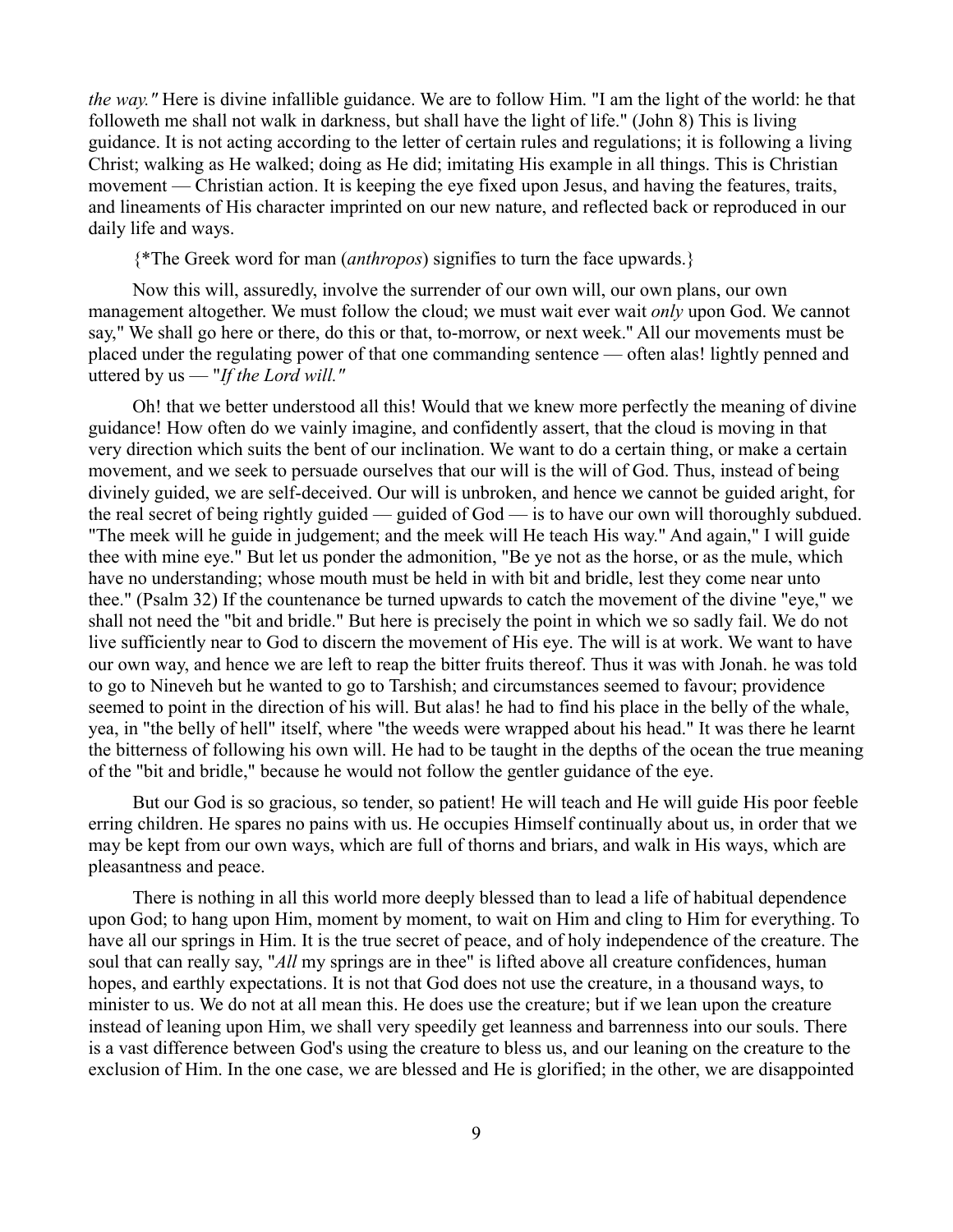*the way."* Here is divine infallible guidance. We are to follow Him. "I am the light of the world: he that followeth me shall not walk in darkness, but shall have the light of life." (John 8) This is living guidance. It is not acting according to the letter of certain rules and regulations; it is following a living Christ; walking as He walked; doing as He did; imitating His example in all things. This is Christian movement — Christian action. It is keeping the eye fixed upon Jesus, and having the features, traits, and lineaments of His character imprinted on our new nature, and reflected back or reproduced in our daily life and ways.

{\*The Greek word for man (*anthropos*) signifies to turn the face upwards.}

Now this will, assuredly, involve the surrender of our own will, our own plans, our own management altogether. We must follow the cloud; we must wait ever wait *only* upon God. We cannot say," We shall go here or there, do this or that, to-morrow, or next week.'' All our movements must be placed under the regulating power of that one commanding sentence — often alas! lightly penned and uttered by us — "*If the Lord will."*

Oh! that we better understood all this! Would that we knew more perfectly the meaning of divine guidance! How often do we vainly imagine, and confidently assert, that the cloud is moving in that very direction which suits the bent of our inclination. We want to do a certain thing, or make a certain movement, and we seek to persuade ourselves that our will is the will of God. Thus, instead of being divinely guided, we are self-deceived. Our will is unbroken, and hence we cannot be guided aright, for the real secret of being rightly guided — guided of God — is to have our own will thoroughly subdued. "The meek will he guide in judgement; and the meek will He teach His way." And again," I will guide thee with mine eye." But let us ponder the admonition, "Be ye not as the horse, or as the mule, which have no understanding; whose mouth must be held in with bit and bridle, lest they come near unto thee." (Psalm 32) If the countenance be turned upwards to catch the movement of the divine "eye," we shall not need the "bit and bridle." But here is precisely the point in which we so sadly fail. We do not live sufficiently near to God to discern the movement of His eye. The will is at work. We want to have our own way, and hence we are left to reap the bitter fruits thereof. Thus it was with Jonah. he was told to go to Nineveh but he wanted to go to Tarshish; and circumstances seemed to favour; providence seemed to point in the direction of his will. But alas! he had to find his place in the belly of the whale, yea, in "the belly of hell" itself, where "the weeds were wrapped about his head." It was there he learnt the bitterness of following his own will. He had to be taught in the depths of the ocean the true meaning of the "bit and bridle," because he would not follow the gentler guidance of the eye.

But our God is so gracious, so tender, so patient! He will teach and He will guide His poor feeble erring children. He spares no pains with us. He occupies Himself continually about us, in order that we may be kept from our own ways, which are full of thorns and briars, and walk in His ways, which are pleasantness and peace.

There is nothing in all this world more deeply blessed than to lead a life of habitual dependence upon God; to hang upon Him, moment by moment, to wait on Him and cling to Him for everything. To have all our springs in Him. It is the true secret of peace, and of holy independence of the creature. The soul that can really say, "*All* my springs are in thee" is lifted above all creature confidences, human hopes, and earthly expectations. It is not that God does not use the creature, in a thousand ways, to minister to us. We do not at all mean this. He does use the creature; but if we lean upon the creature instead of leaning upon Him, we shall very speedily get leanness and barrenness into our souls. There is a vast difference between God's using the creature to bless us, and our leaning on the creature to the exclusion of Him. In the one case, we are blessed and He is glorified; in the other, we are disappointed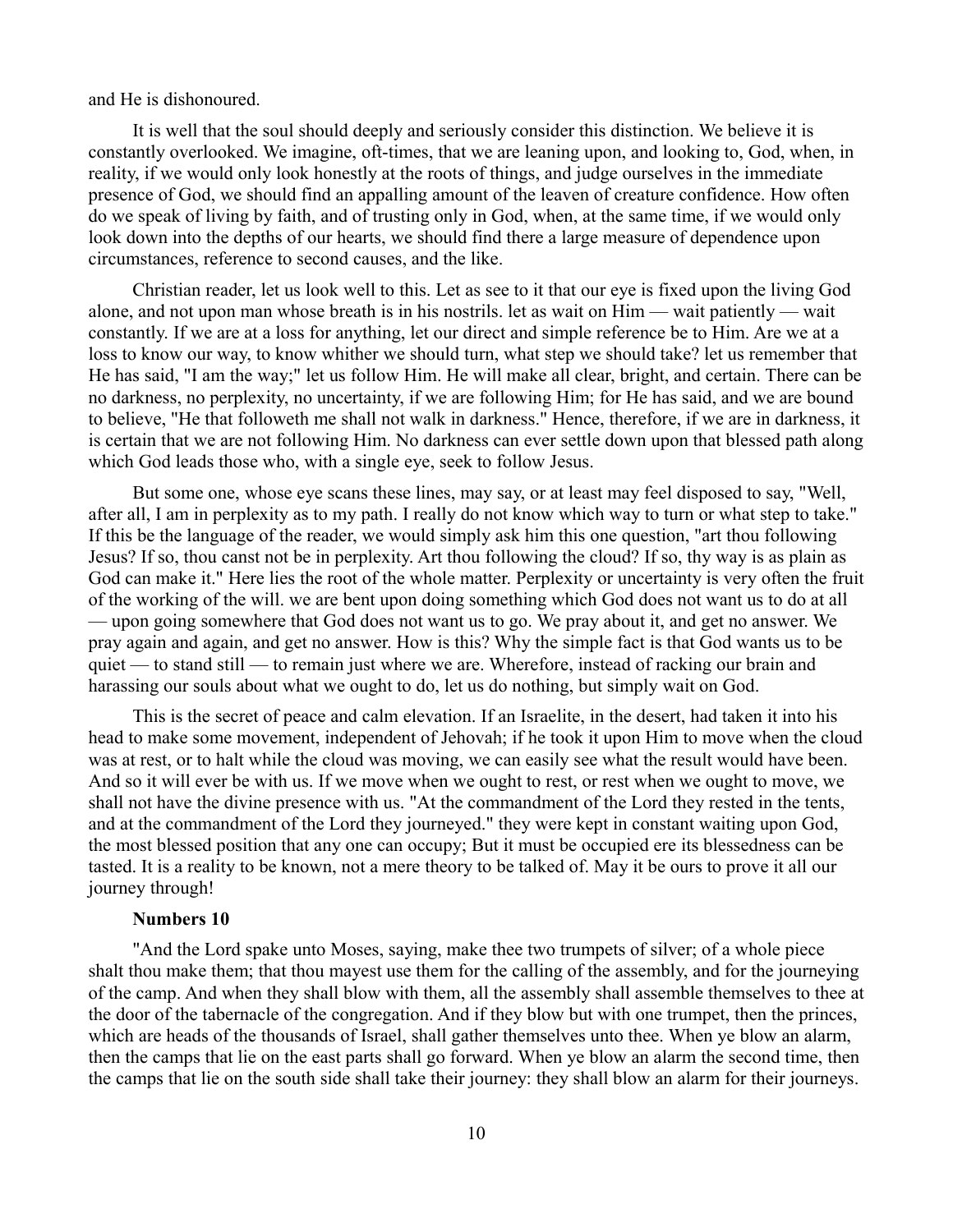### and He is dishonoured.

It is well that the soul should deeply and seriously consider this distinction. We believe it is constantly overlooked. We imagine, oft-times, that we are leaning upon, and looking to, God, when, in reality, if we would only look honestly at the roots of things, and judge ourselves in the immediate presence of God, we should find an appalling amount of the leaven of creature confidence. How often do we speak of living by faith, and of trusting only in God, when, at the same time, if we would only look down into the depths of our hearts, we should find there a large measure of dependence upon circumstances, reference to second causes, and the like.

Christian reader, let us look well to this. Let as see to it that our eye is fixed upon the living God alone, and not upon man whose breath is in his nostrils. let as wait on Him — wait patiently — wait constantly. If we are at a loss for anything, let our direct and simple reference be to Him. Are we at a loss to know our way, to know whither we should turn, what step we should take? let us remember that He has said, "I am the way;" let us follow Him. He will make all clear, bright, and certain. There can be no darkness, no perplexity, no uncertainty, if we are following Him; for He has said, and we are bound to believe, "He that followeth me shall not walk in darkness." Hence, therefore, if we are in darkness, it is certain that we are not following Him. No darkness can ever settle down upon that blessed path along which God leads those who, with a single eye, seek to follow Jesus.

But some one, whose eye scans these lines, may say, or at least may feel disposed to say, "Well, after all, I am in perplexity as to my path. I really do not know which way to turn or what step to take." If this be the language of the reader, we would simply ask him this one question, "art thou following Jesus? If so, thou canst not be in perplexity. Art thou following the cloud? If so, thy way is as plain as God can make it." Here lies the root of the whole matter. Perplexity or uncertainty is very often the fruit of the working of the will. we are bent upon doing something which God does not want us to do at all — upon going somewhere that God does not want us to go. We pray about it, and get no answer. We pray again and again, and get no answer. How is this? Why the simple fact is that God wants us to be quiet — to stand still — to remain just where we are. Wherefore, instead of racking our brain and harassing our souls about what we ought to do, let us do nothing, but simply wait on God.

This is the secret of peace and calm elevation. If an Israelite, in the desert, had taken it into his head to make some movement, independent of Jehovah; if he took it upon Him to move when the cloud was at rest, or to halt while the cloud was moving, we can easily see what the result would have been. And so it will ever be with us. If we move when we ought to rest, or rest when we ought to move, we shall not have the divine presence with us. "At the commandment of the Lord they rested in the tents, and at the commandment of the Lord they journeyed." they were kept in constant waiting upon God, the most blessed position that any one can occupy; But it must be occupied ere its blessedness can be tasted. It is a reality to be known, not a mere theory to be talked of. May it be ours to prove it all our journey through!

#### **Numbers 10**

"And the Lord spake unto Moses, saying, make thee two trumpets of silver; of a whole piece shalt thou make them; that thou mayest use them for the calling of the assembly, and for the journeying of the camp. And when they shall blow with them, all the assembly shall assemble themselves to thee at the door of the tabernacle of the congregation. And if they blow but with one trumpet, then the princes, which are heads of the thousands of Israel, shall gather themselves unto thee. When ye blow an alarm, then the camps that lie on the east parts shall go forward. When ye blow an alarm the second time, then the camps that lie on the south side shall take their journey: they shall blow an alarm for their journeys.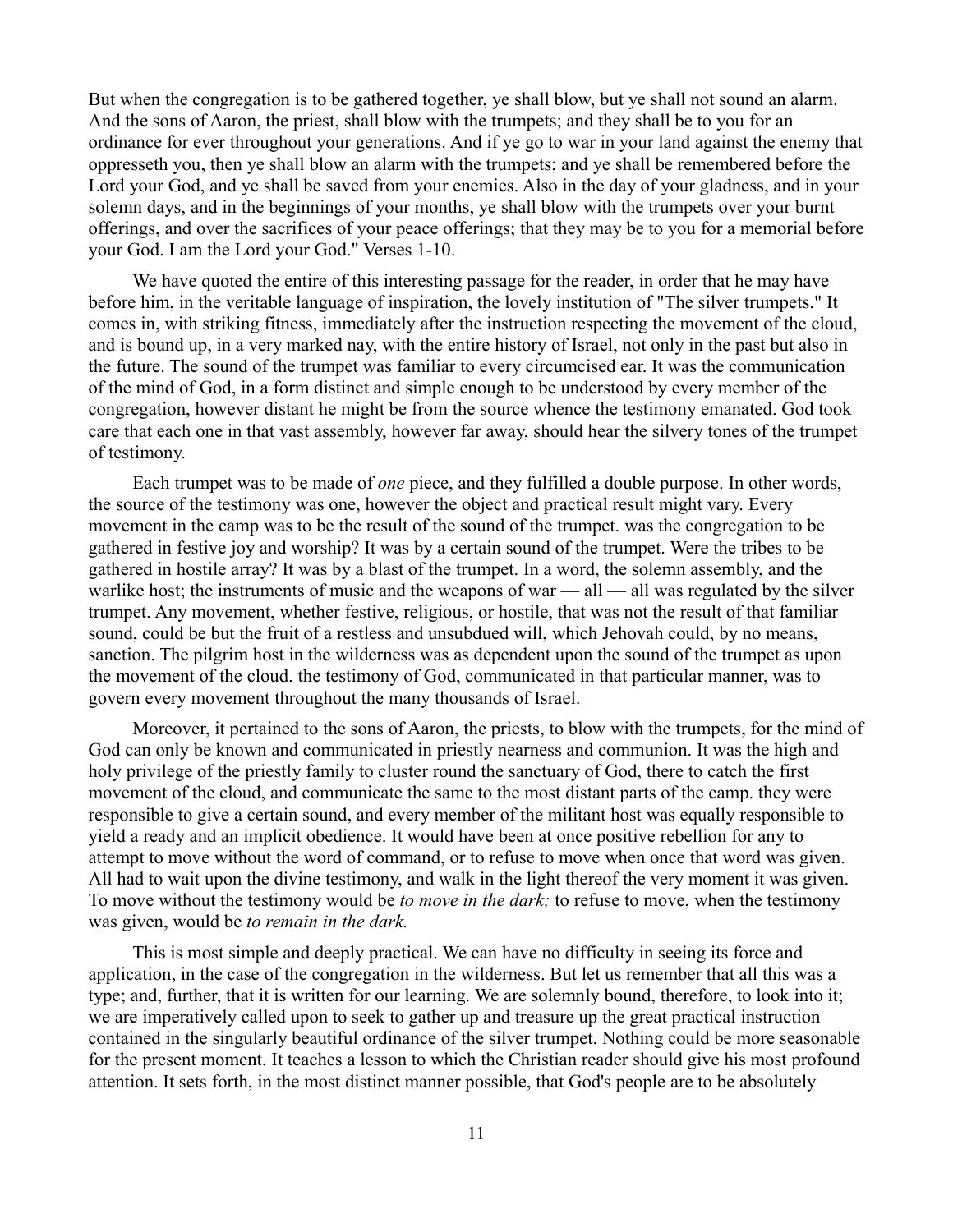But when the congregation is to be gathered together, ye shall blow, but ye shall not sound an alarm. And the sons of Aaron, the priest, shall blow with the trumpets; and they shall be to you for an ordinance for ever throughout your generations. And if ye go to war in your land against the enemy that oppresseth you, then ye shall blow an alarm with the trumpets; and ye shall be remembered before the Lord your God, and ye shall be saved from your enemies. Also in the day of your gladness, and in your solemn days, and in the beginnings of your months, ye shall blow with the trumpets over your burnt offerings, and over the sacrifices of your peace offerings; that they may be to you for a memorial before your God. I am the Lord your God." Verses 1-10.

We have quoted the entire of this interesting passage for the reader, in order that he may have before him, in the veritable language of inspiration, the lovely institution of "The silver trumpets." It comes in, with striking fitness, immediately after the instruction respecting the movement of the cloud, and is bound up, in a very marked nay, with the entire history of Israel, not only in the past but also in the future. The sound of the trumpet was familiar to every circumcised ear. It was the communication of the mind of God, in a form distinct and simple enough to be understood by every member of the congregation, however distant he might be from the source whence the testimony emanated. God took care that each one in that vast assembly, however far away, should hear the silvery tones of the trumpet of testimony.

Each trumpet was to be made of *one* piece, and they fulfilled a double purpose. In other words, the source of the testimony was one, however the object and practical result might vary. Every movement in the camp was to be the result of the sound of the trumpet. was the congregation to be gathered in festive joy and worship? It was by a certain sound of the trumpet. Were the tribes to be gathered in hostile array? It was by a blast of the trumpet. In a word, the solemn assembly, and the warlike host; the instruments of music and the weapons of war  $-$  all  $-$  all was regulated by the silver trumpet. Any movement, whether festive, religious, or hostile, that was not the result of that familiar sound, could be but the fruit of a restless and unsubdued will, which Jehovah could, by no means, sanction. The pilgrim host in the wilderness was as dependent upon the sound of the trumpet as upon the movement of the cloud. the testimony of God, communicated in that particular manner, was to govern every movement throughout the many thousands of Israel.

Moreover, it pertained to the sons of Aaron, the priests, to blow with the trumpets, for the mind of God can only be known and communicated in priestly nearness and communion. It was the high and holy privilege of the priestly family to cluster round the sanctuary of God, there to catch the first movement of the cloud, and communicate the same to the most distant parts of the camp. they were responsible to give a certain sound, and every member of the militant host was equally responsible to yield a ready and an implicit obedience. It would have been at once positive rebellion for any to attempt to move without the word of command, or to refuse to move when once that word was given. All had to wait upon the divine testimony, and walk in the light thereof the very moment it was given. To move without the testimony would be *to move in the dark;* to refuse to move, when the testimony was given, would be *to remain in the dark.*

This is most simple and deeply practical. We can have no difficulty in seeing its force and application, in the case of the congregation in the wilderness. But let us remember that all this was a type; and, further, that it is written for our learning. We are solemnly bound, therefore, to look into it; we are imperatively called upon to seek to gather up and treasure up the great practical instruction contained in the singularly beautiful ordinance of the silver trumpet. Nothing could be more seasonable for the present moment. It teaches a lesson to which the Christian reader should give his most profound attention. It sets forth, in the most distinct manner possible, that God's people are to be absolutely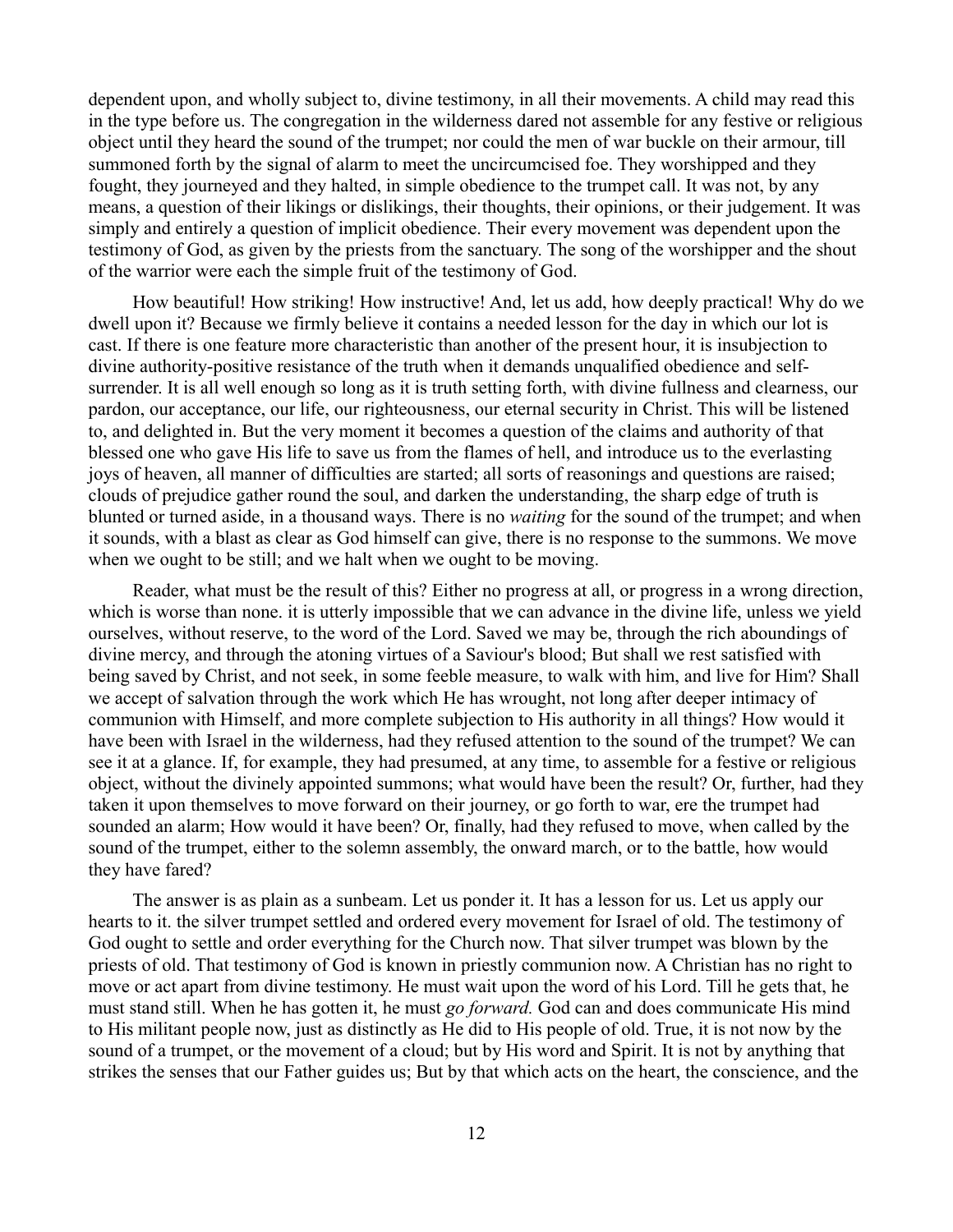dependent upon, and wholly subject to, divine testimony, in all their movements. A child may read this in the type before us. The congregation in the wilderness dared not assemble for any festive or religious object until they heard the sound of the trumpet; nor could the men of war buckle on their armour, till summoned forth by the signal of alarm to meet the uncircumcised foe. They worshipped and they fought, they journeyed and they halted, in simple obedience to the trumpet call. It was not, by any means, a question of their likings or dislikings, their thoughts, their opinions, or their judgement. It was simply and entirely a question of implicit obedience. Their every movement was dependent upon the testimony of God, as given by the priests from the sanctuary. The song of the worshipper and the shout of the warrior were each the simple fruit of the testimony of God.

How beautiful! How striking! How instructive! And, let us add, how deeply practical! Why do we dwell upon it? Because we firmly believe it contains a needed lesson for the day in which our lot is cast. If there is one feature more characteristic than another of the present hour, it is insubjection to divine authority-positive resistance of the truth when it demands unqualified obedience and selfsurrender. It is all well enough so long as it is truth setting forth, with divine fullness and clearness, our pardon, our acceptance, our life, our righteousness, our eternal security in Christ. This will be listened to, and delighted in. But the very moment it becomes a question of the claims and authority of that blessed one who gave His life to save us from the flames of hell, and introduce us to the everlasting joys of heaven, all manner of difficulties are started; all sorts of reasonings and questions are raised; clouds of prejudice gather round the soul, and darken the understanding, the sharp edge of truth is blunted or turned aside, in a thousand ways. There is no *waiting* for the sound of the trumpet; and when it sounds, with a blast as clear as God himself can give, there is no response to the summons. We move when we ought to be still; and we halt when we ought to be moving.

Reader, what must be the result of this? Either no progress at all, or progress in a wrong direction, which is worse than none. it is utterly impossible that we can advance in the divine life, unless we yield ourselves, without reserve, to the word of the Lord. Saved we may be, through the rich aboundings of divine mercy, and through the atoning virtues of a Saviour's blood; But shall we rest satisfied with being saved by Christ, and not seek, in some feeble measure, to walk with him, and live for Him? Shall we accept of salvation through the work which He has wrought, not long after deeper intimacy of communion with Himself, and more complete subjection to His authority in all things? How would it have been with Israel in the wilderness, had they refused attention to the sound of the trumpet? We can see it at a glance. If, for example, they had presumed, at any time, to assemble for a festive or religious object, without the divinely appointed summons; what would have been the result? Or, further, had they taken it upon themselves to move forward on their journey, or go forth to war, ere the trumpet had sounded an alarm; How would it have been? Or, finally, had they refused to move, when called by the sound of the trumpet, either to the solemn assembly, the onward march, or to the battle, how would they have fared?

The answer is as plain as a sunbeam. Let us ponder it. It has a lesson for us. Let us apply our hearts to it. the silver trumpet settled and ordered every movement for Israel of old. The testimony of God ought to settle and order everything for the Church now. That silver trumpet was blown by the priests of old. That testimony of God is known in priestly communion now. A Christian has no right to move or act apart from divine testimony. He must wait upon the word of his Lord. Till he gets that, he must stand still. When he has gotten it, he must *go forward.* God can and does communicate His mind to His militant people now, just as distinctly as He did to His people of old. True, it is not now by the sound of a trumpet, or the movement of a cloud; but by His word and Spirit. It is not by anything that strikes the senses that our Father guides us; But by that which acts on the heart, the conscience, and the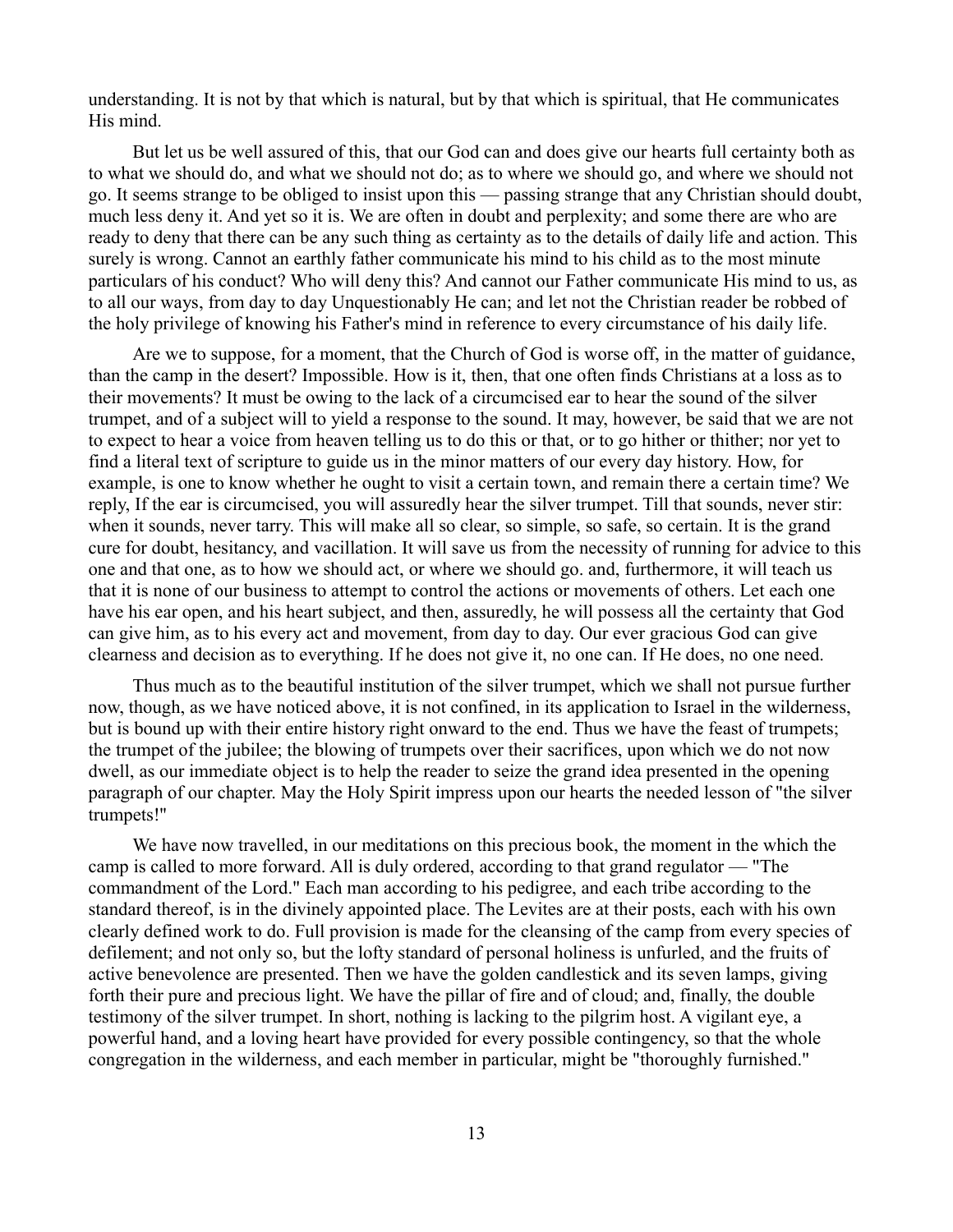understanding. It is not by that which is natural, but by that which is spiritual, that He communicates His mind.

But let us be well assured of this, that our God can and does give our hearts full certainty both as to what we should do, and what we should not do; as to where we should go, and where we should not go. It seems strange to be obliged to insist upon this — passing strange that any Christian should doubt, much less deny it. And yet so it is. We are often in doubt and perplexity; and some there are who are ready to deny that there can be any such thing as certainty as to the details of daily life and action. This surely is wrong. Cannot an earthly father communicate his mind to his child as to the most minute particulars of his conduct? Who will deny this? And cannot our Father communicate His mind to us, as to all our ways, from day to day Unquestionably He can; and let not the Christian reader be robbed of the holy privilege of knowing his Father's mind in reference to every circumstance of his daily life.

Are we to suppose, for a moment, that the Church of God is worse off, in the matter of guidance, than the camp in the desert? Impossible. How is it, then, that one often finds Christians at a loss as to their movements? It must be owing to the lack of a circumcised ear to hear the sound of the silver trumpet, and of a subject will to yield a response to the sound. It may, however, be said that we are not to expect to hear a voice from heaven telling us to do this or that, or to go hither or thither; nor yet to find a literal text of scripture to guide us in the minor matters of our every day history. How, for example, is one to know whether he ought to visit a certain town, and remain there a certain time? We reply, If the ear is circumcised, you will assuredly hear the silver trumpet. Till that sounds, never stir: when it sounds, never tarry. This will make all so clear, so simple, so safe, so certain. It is the grand cure for doubt, hesitancy, and vacillation. It will save us from the necessity of running for advice to this one and that one, as to how we should act, or where we should go. and, furthermore, it will teach us that it is none of our business to attempt to control the actions or movements of others. Let each one have his ear open, and his heart subject, and then, assuredly, he will possess all the certainty that God can give him, as to his every act and movement, from day to day. Our ever gracious God can give clearness and decision as to everything. If he does not give it, no one can. If He does, no one need.

Thus much as to the beautiful institution of the silver trumpet, which we shall not pursue further now, though, as we have noticed above, it is not confined, in its application to Israel in the wilderness, but is bound up with their entire history right onward to the end. Thus we have the feast of trumpets; the trumpet of the jubilee; the blowing of trumpets over their sacrifices, upon which we do not now dwell, as our immediate object is to help the reader to seize the grand idea presented in the opening paragraph of our chapter. May the Holy Spirit impress upon our hearts the needed lesson of "the silver trumpets!''

We have now travelled, in our meditations on this precious book, the moment in the which the camp is called to more forward. All is duly ordered, according to that grand regulator — "The commandment of the Lord." Each man according to his pedigree, and each tribe according to the standard thereof, is in the divinely appointed place. The Levites are at their posts, each with his own clearly defined work to do. Full provision is made for the cleansing of the camp from every species of defilement; and not only so, but the lofty standard of personal holiness is unfurled, and the fruits of active benevolence are presented. Then we have the golden candlestick and its seven lamps, giving forth their pure and precious light. We have the pillar of fire and of cloud; and, finally, the double testimony of the silver trumpet. In short, nothing is lacking to the pilgrim host. A vigilant eye, a powerful hand, and a loving heart have provided for every possible contingency, so that the whole congregation in the wilderness, and each member in particular, might be "thoroughly furnished."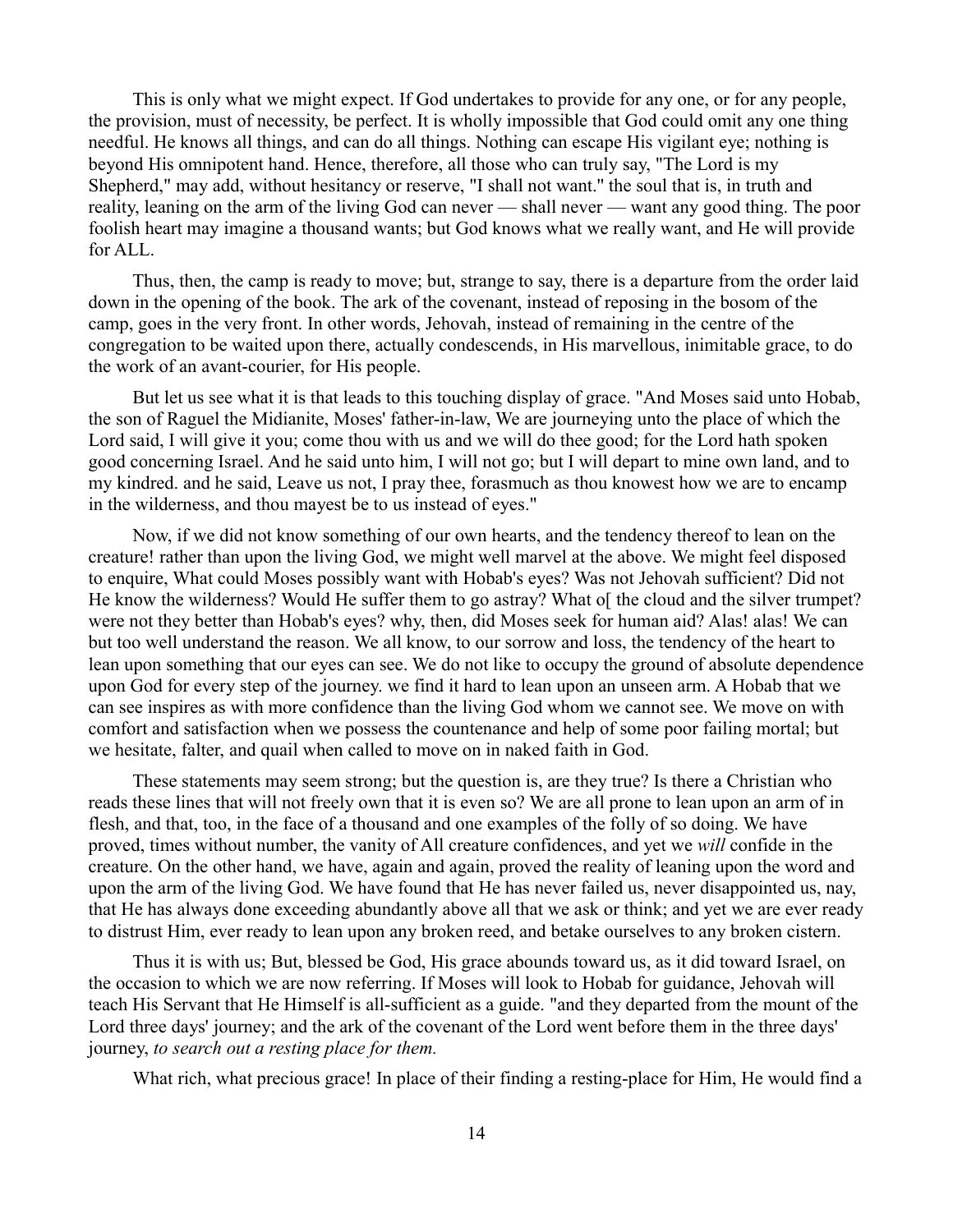This is only what we might expect. If God undertakes to provide for any one, or for any people, the provision, must of necessity, be perfect. It is wholly impossible that God could omit any one thing needful. He knows all things, and can do all things. Nothing can escape His vigilant eye; nothing is beyond His omnipotent hand. Hence, therefore, all those who can truly say, "The Lord is my Shepherd," may add, without hesitancy or reserve, "I shall not want.'' the soul that is, in truth and reality, leaning on the arm of the living God can never — shall never — want any good thing. The poor foolish heart may imagine a thousand wants; but God knows what we really want, and He will provide for ALL.

Thus, then, the camp is ready to move; but, strange to say, there is a departure from the order laid down in the opening of the book. The ark of the covenant, instead of reposing in the bosom of the camp, goes in the very front. In other words, Jehovah, instead of remaining in the centre of the congregation to be waited upon there, actually condescends, in His marvellous, inimitable grace, to do the work of an avant-courier, for His people.

But let us see what it is that leads to this touching display of grace. "And Moses said unto Hobab, the son of Raguel the Midianite, Moses' father-in-law, We are journeying unto the place of which the Lord said, I will give it you; come thou with us and we will do thee good; for the Lord hath spoken good concerning Israel. And he said unto him, I will not go; but I will depart to mine own land, and to my kindred. and he said, Leave us not, I pray thee, forasmuch as thou knowest how we are to encamp in the wilderness, and thou mayest be to us instead of eyes."

Now, if we did not know something of our own hearts, and the tendency thereof to lean on the creature! rather than upon the living God, we might well marvel at the above. We might feel disposed to enquire, What could Moses possibly want with Hobab's eyes? Was not Jehovah sufficient? Did not He know the wilderness? Would He suffer them to go astray? What of the cloud and the silver trumpet? were not they better than Hobab's eyes? why, then, did Moses seek for human aid? Alas! alas! We can but too well understand the reason. We all know, to our sorrow and loss, the tendency of the heart to lean upon something that our eyes can see. We do not like to occupy the ground of absolute dependence upon God for every step of the journey. we find it hard to lean upon an unseen arm. A Hobab that we can see inspires as with more confidence than the living God whom we cannot see. We move on with comfort and satisfaction when we possess the countenance and help of some poor failing mortal; but we hesitate, falter, and quail when called to move on in naked faith in God.

These statements may seem strong; but the question is, are they true? Is there a Christian who reads these lines that will not freely own that it is even so? We are all prone to lean upon an arm of in flesh, and that, too, in the face of a thousand and one examples of the folly of so doing. We have proved, times without number, the vanity of All creature confidences, and yet we *will* confide in the creature. On the other hand, we have, again and again, proved the reality of leaning upon the word and upon the arm of the living God. We have found that He has never failed us, never disappointed us, nay, that He has always done exceeding abundantly above all that we ask or think; and yet we are ever ready to distrust Him, ever ready to lean upon any broken reed, and betake ourselves to any broken cistern.

Thus it is with us; But, blessed be God, His grace abounds toward us, as it did toward Israel, on the occasion to which we are now referring. If Moses will look to Hobab for guidance, Jehovah will teach His Servant that He Himself is all-sufficient as a guide. "and they departed from the mount of the Lord three days' journey; and the ark of the covenant of the Lord went before them in the three days' journey, *to search out a resting place for them.*

What rich, what precious grace! In place of their finding a resting-place for Him, He would find a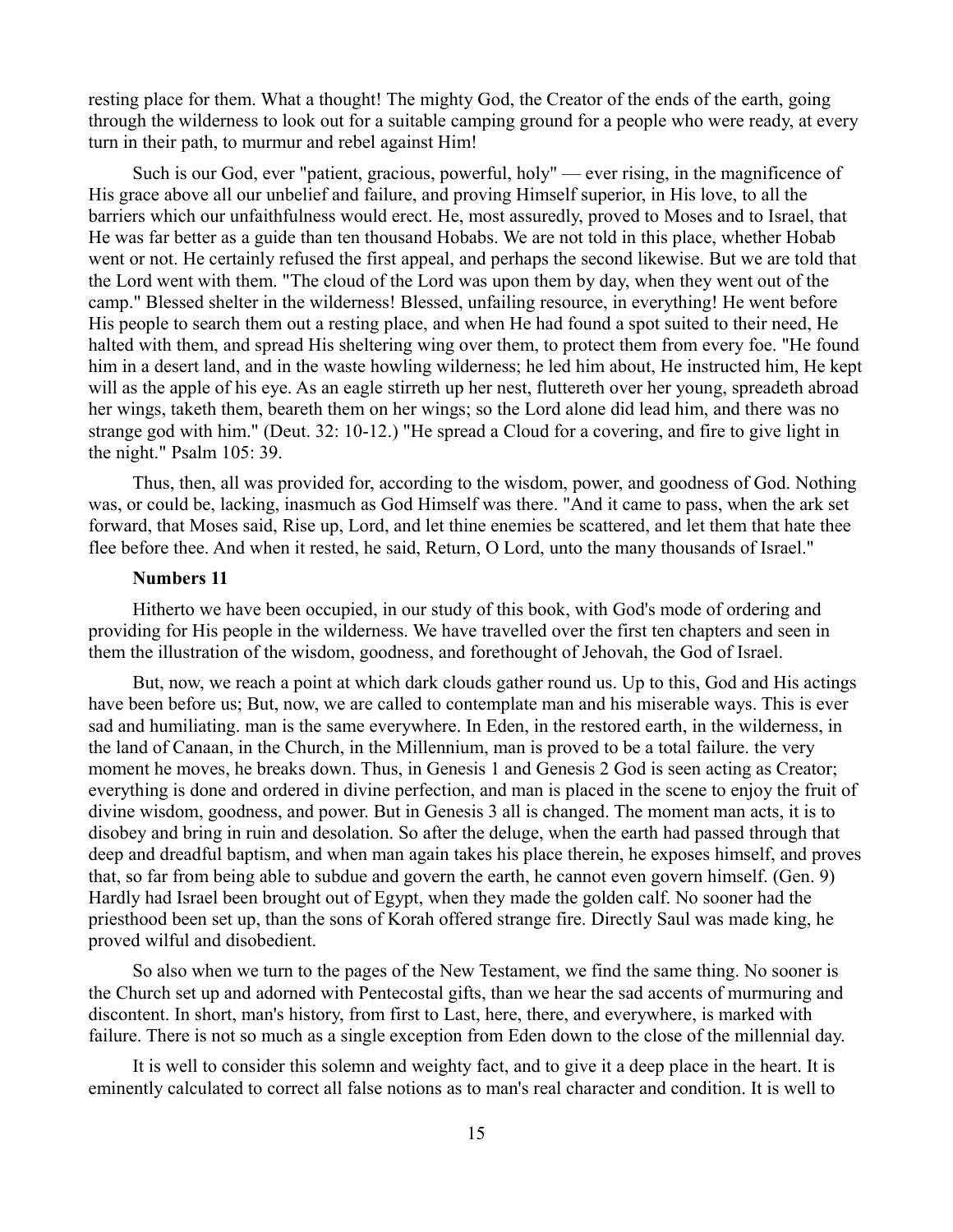resting place for them. What a thought! The mighty God, the Creator of the ends of the earth, going through the wilderness to look out for a suitable camping ground for a people who were ready, at every turn in their path, to murmur and rebel against Him!

Such is our God, ever "patient, gracious, powerful, holy" — ever rising, in the magnificence of His grace above all our unbelief and failure, and proving Himself superior, in His love, to all the barriers which our unfaithfulness would erect. He, most assuredly, proved to Moses and to Israel, that He was far better as a guide than ten thousand Hobabs. We are not told in this place, whether Hobab went or not. He certainly refused the first appeal, and perhaps the second likewise. But we are told that the Lord went with them. "The cloud of the Lord was upon them by day, when they went out of the camp." Blessed shelter in the wilderness! Blessed, unfailing resource, in everything! He went before His people to search them out a resting place, and when He had found a spot suited to their need, He halted with them, and spread His sheltering wing over them, to protect them from every foe. "He found him in a desert land, and in the waste howling wilderness; he led him about, He instructed him, He kept will as the apple of his eye. As an eagle stirreth up her nest, fluttereth over her young, spreadeth abroad her wings, taketh them, beareth them on her wings; so the Lord alone did lead him, and there was no strange god with him." (Deut. 32: 10-12.) "He spread a Cloud for a covering, and fire to give light in the night." Psalm 105: 39.

Thus, then, all was provided for, according to the wisdom, power, and goodness of God. Nothing was, or could be, lacking, inasmuch as God Himself was there. "And it came to pass, when the ark set forward, that Moses said, Rise up, Lord, and let thine enemies be scattered, and let them that hate thee flee before thee. And when it rested, he said, Return, O Lord, unto the many thousands of Israel."

#### **Numbers 11**

Hitherto we have been occupied, in our study of this book, with God's mode of ordering and providing for His people in the wilderness. We have travelled over the first ten chapters and seen in them the illustration of the wisdom, goodness, and forethought of Jehovah, the God of Israel.

But, now, we reach a point at which dark clouds gather round us. Up to this, God and His actings have been before us; But, now, we are called to contemplate man and his miserable ways. This is ever sad and humiliating. man is the same everywhere. In Eden, in the restored earth, in the wilderness, in the land of Canaan, in the Church, in the Millennium, man is proved to be a total failure. the very moment he moves, he breaks down. Thus, in Genesis 1 and Genesis 2 God is seen acting as Creator; everything is done and ordered in divine perfection, and man is placed in the scene to enjoy the fruit of divine wisdom, goodness, and power. But in Genesis 3 all is changed. The moment man acts, it is to disobey and bring in ruin and desolation. So after the deluge, when the earth had passed through that deep and dreadful baptism, and when man again takes his place therein, he exposes himself, and proves that, so far from being able to subdue and govern the earth, he cannot even govern himself. (Gen. 9) Hardly had Israel been brought out of Egypt, when they made the golden calf. No sooner had the priesthood been set up, than the sons of Korah offered strange fire. Directly Saul was made king, he proved wilful and disobedient.

So also when we turn to the pages of the New Testament, we find the same thing. No sooner is the Church set up and adorned with Pentecostal gifts, than we hear the sad accents of murmuring and discontent. In short, man's history, from first to Last, here, there, and everywhere, is marked with failure. There is not so much as a single exception from Eden down to the close of the millennial day.

It is well to consider this solemn and weighty fact, and to give it a deep place in the heart. It is eminently calculated to correct all false notions as to man's real character and condition. It is well to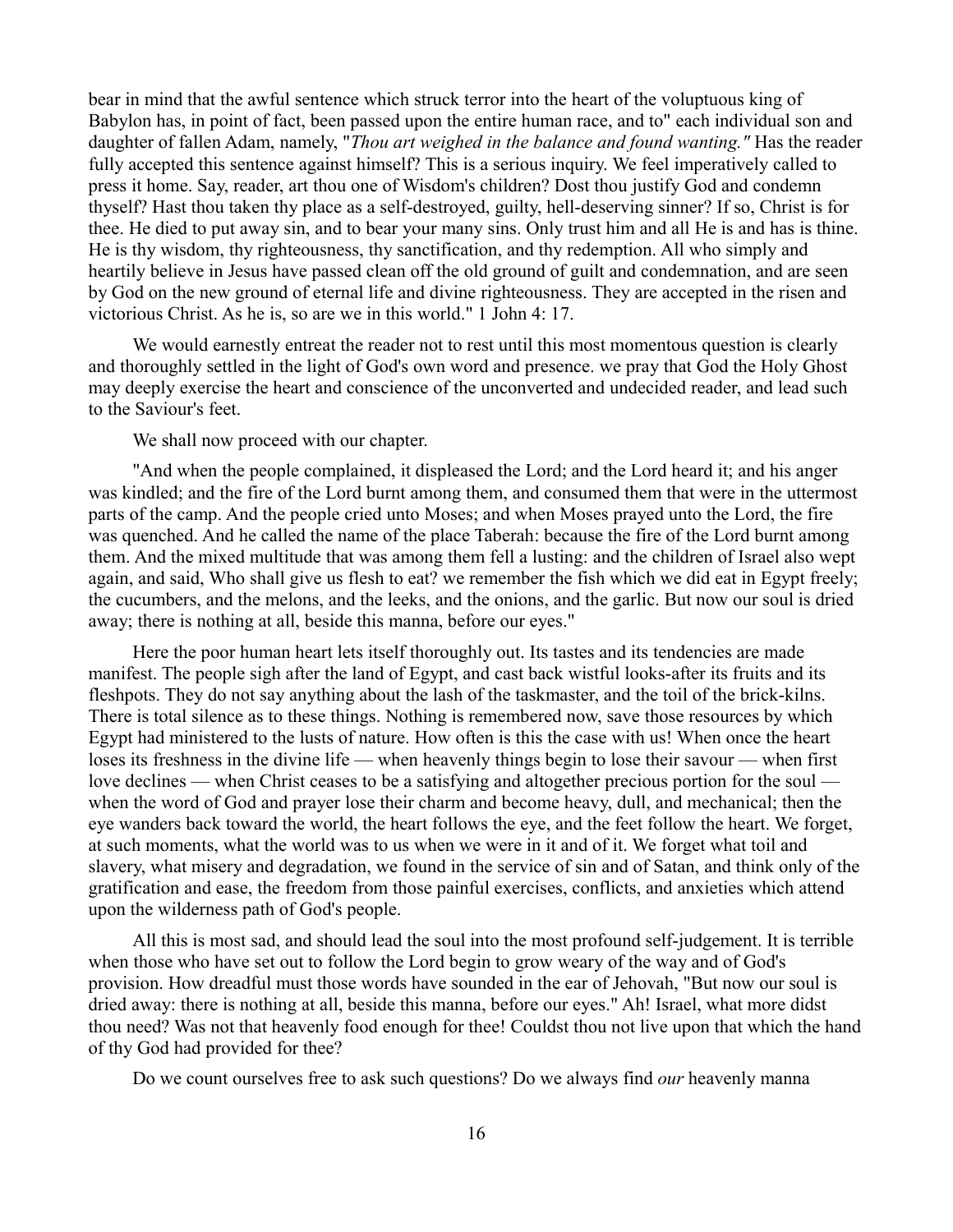bear in mind that the awful sentence which struck terror into the heart of the voluptuous king of Babylon has, in point of fact, been passed upon the entire human race, and to" each individual son and daughter of fallen Adam, namely, "*Thou art weighed in the balance and found wanting."* Has the reader fully accepted this sentence against himself? This is a serious inquiry. We feel imperatively called to press it home. Say, reader, art thou one of Wisdom's children? Dost thou justify God and condemn thyself? Hast thou taken thy place as a self-destroyed, guilty, hell-deserving sinner? If so, Christ is for thee. He died to put away sin, and to bear your many sins. Only trust him and all He is and has is thine. He is thy wisdom, thy righteousness, thy sanctification, and thy redemption. All who simply and heartily believe in Jesus have passed clean off the old ground of guilt and condemnation, and are seen by God on the new ground of eternal life and divine righteousness. They are accepted in the risen and victorious Christ. As he is, so are we in this world." 1 John 4: 17.

We would earnestly entreat the reader not to rest until this most momentous question is clearly and thoroughly settled in the light of God's own word and presence. we pray that God the Holy Ghost may deeply exercise the heart and conscience of the unconverted and undecided reader, and lead such to the Saviour's feet.

We shall now proceed with our chapter.

"And when the people complained, it displeased the Lord; and the Lord heard it; and his anger was kindled; and the fire of the Lord burnt among them, and consumed them that were in the uttermost parts of the camp. And the people cried unto Moses; and when Moses prayed unto the Lord, the fire was quenched. And he called the name of the place Taberah: because the fire of the Lord burnt among them. And the mixed multitude that was among them fell a lusting: and the children of Israel also wept again, and said, Who shall give us flesh to eat? we remember the fish which we did eat in Egypt freely; the cucumbers, and the melons, and the leeks, and the onions, and the garlic. But now our soul is dried away; there is nothing at all, beside this manna, before our eyes."

Here the poor human heart lets itself thoroughly out. Its tastes and its tendencies are made manifest. The people sigh after the land of Egypt, and cast back wistful looks-after its fruits and its fleshpots. They do not say anything about the lash of the taskmaster, and the toil of the brick-kilns. There is total silence as to these things. Nothing is remembered now, save those resources by which Egypt had ministered to the lusts of nature. How often is this the case with us! When once the heart loses its freshness in the divine life — when heavenly things begin to lose their savour — when first love declines — when Christ ceases to be a satisfying and altogether precious portion for the soul when the word of God and prayer lose their charm and become heavy, dull, and mechanical; then the eye wanders back toward the world, the heart follows the eye, and the feet follow the heart. We forget, at such moments, what the world was to us when we were in it and of it. We forget what toil and slavery, what misery and degradation, we found in the service of sin and of Satan, and think only of the gratification and ease, the freedom from those painful exercises, conflicts, and anxieties which attend upon the wilderness path of God's people.

All this is most sad, and should lead the soul into the most profound self-judgement. It is terrible when those who have set out to follow the Lord begin to grow weary of the way and of God's provision. How dreadful must those words have sounded in the ear of Jehovah, "But now our soul is dried away: there is nothing at all, beside this manna, before our eyes." Ah! Israel, what more didst thou need? Was not that heavenly food enough for thee! Couldst thou not live upon that which the hand of thy God had provided for thee?

Do we count ourselves free to ask such questions? Do we always find *our* heavenly manna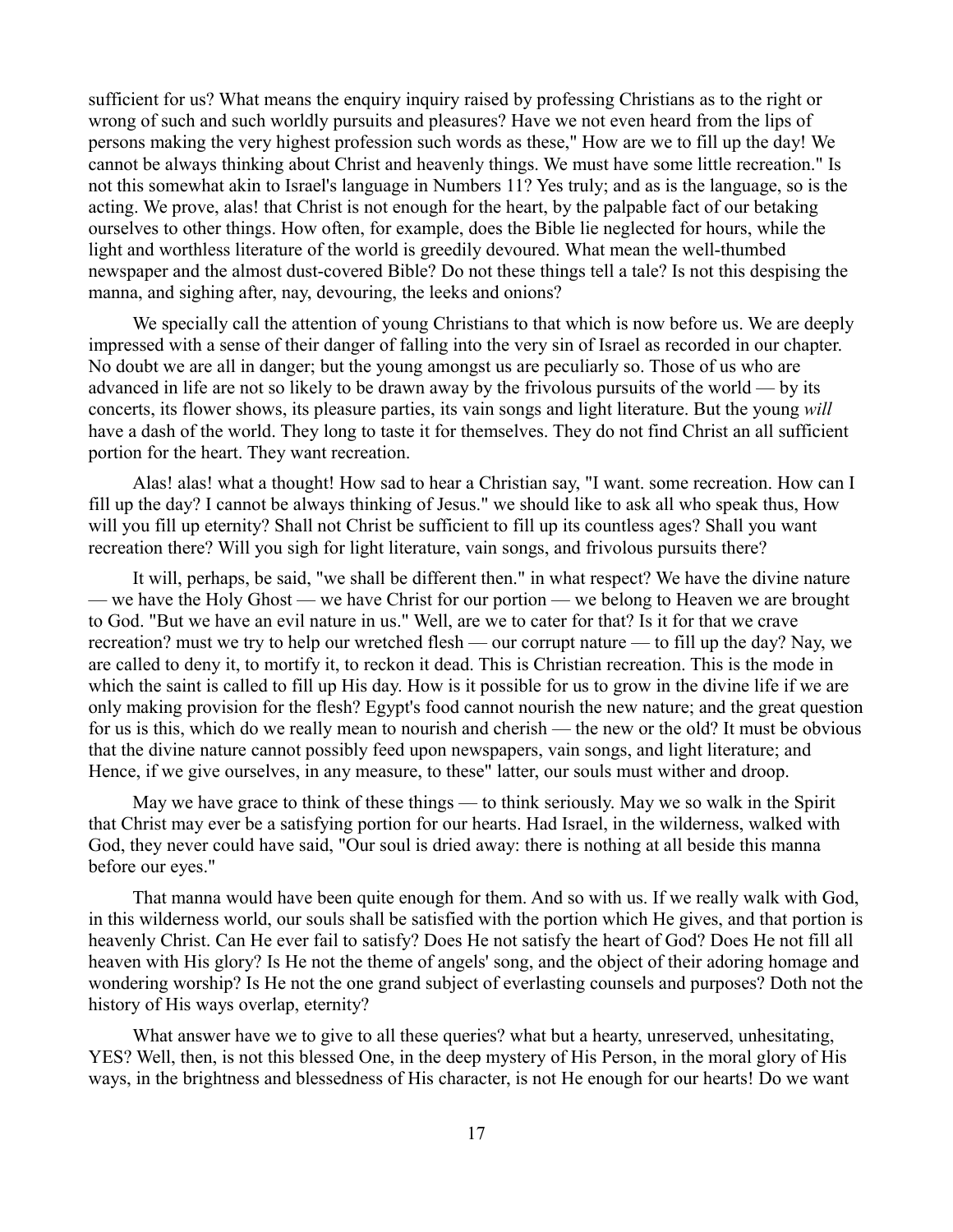sufficient for us? What means the enquiry inquiry raised by professing Christians as to the right or wrong of such and such worldly pursuits and pleasures? Have we not even heard from the lips of persons making the very highest profession such words as these," How are we to fill up the day! We cannot be always thinking about Christ and heavenly things. We must have some little recreation." Is not this somewhat akin to Israel's language in Numbers 11? Yes truly; and as is the language, so is the acting. We prove, alas! that Christ is not enough for the heart, by the palpable fact of our betaking ourselves to other things. How often, for example, does the Bible lie neglected for hours, while the light and worthless literature of the world is greedily devoured. What mean the well-thumbed newspaper and the almost dust-covered Bible? Do not these things tell a tale? Is not this despising the manna, and sighing after, nay, devouring, the leeks and onions?

We specially call the attention of young Christians to that which is now before us. We are deeply impressed with a sense of their danger of falling into the very sin of Israel as recorded in our chapter. No doubt we are all in danger; but the young amongst us are peculiarly so. Those of us who are advanced in life are not so likely to be drawn away by the frivolous pursuits of the world — by its concerts, its flower shows, its pleasure parties, its vain songs and light literature. But the young *will* have a dash of the world. They long to taste it for themselves. They do not find Christ an all sufficient portion for the heart. They want recreation.

Alas! alas! what a thought! How sad to hear a Christian say, "I want. some recreation. How can I fill up the day? I cannot be always thinking of Jesus." we should like to ask all who speak thus, How will you fill up eternity? Shall not Christ be sufficient to fill up its countless ages? Shall you want recreation there? Will you sigh for light literature, vain songs, and frivolous pursuits there?

It will, perhaps, be said, "we shall be different then." in what respect? We have the divine nature — we have the Holy Ghost — we have Christ for our portion — we belong to Heaven we are brought to God. "But we have an evil nature in us." Well, are we to cater for that? Is it for that we crave recreation? must we try to help our wretched flesh — our corrupt nature — to fill up the day? Nay, we are called to deny it, to mortify it, to reckon it dead. This is Christian recreation. This is the mode in which the saint is called to fill up His day. How is it possible for us to grow in the divine life if we are only making provision for the flesh? Egypt's food cannot nourish the new nature; and the great question for us is this, which do we really mean to nourish and cherish — the new or the old? It must be obvious that the divine nature cannot possibly feed upon newspapers, vain songs, and light literature; and Hence, if we give ourselves, in any measure, to these" latter, our souls must wither and droop.

May we have grace to think of these things — to think seriously. May we so walk in the Spirit that Christ may ever be a satisfying portion for our hearts. Had Israel, in the wilderness, walked with God, they never could have said, "Our soul is dried away: there is nothing at all beside this manna before our eyes."

That manna would have been quite enough for them. And so with us. If we really walk with God, in this wilderness world, our souls shall be satisfied with the portion which He gives, and that portion is heavenly Christ. Can He ever fail to satisfy? Does He not satisfy the heart of God? Does He not fill all heaven with His glory? Is He not the theme of angels' song, and the object of their adoring homage and wondering worship? Is He not the one grand subject of everlasting counsels and purposes? Doth not the history of His ways overlap, eternity?

What answer have we to give to all these queries? what but a hearty, unreserved, unhesitating, YES? Well, then, is not this blessed One, in the deep mystery of His Person, in the moral glory of His ways, in the brightness and blessedness of His character, is not He enough for our hearts! Do we want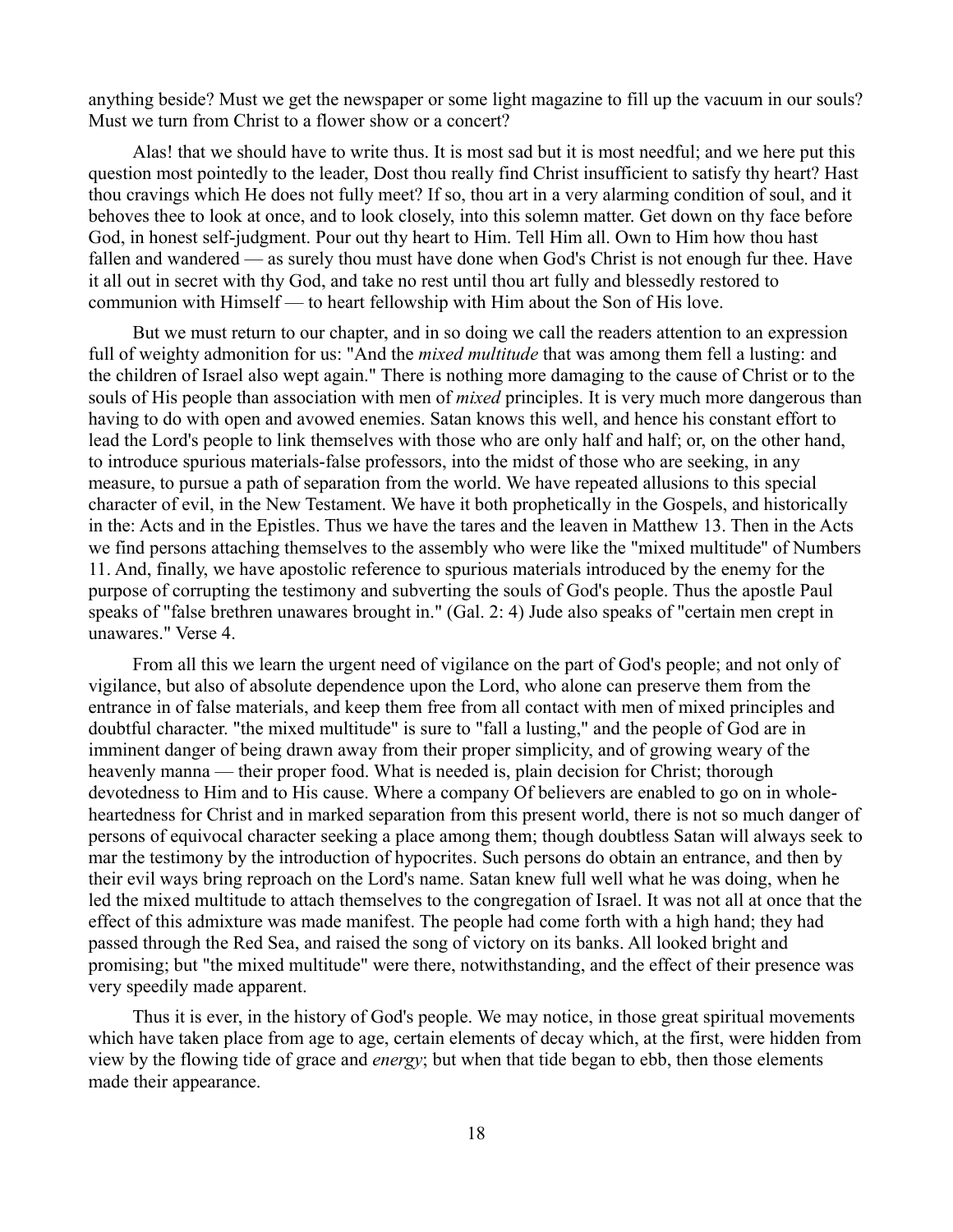anything beside? Must we get the newspaper or some light magazine to fill up the vacuum in our souls? Must we turn from Christ to a flower show or a concert?

Alas! that we should have to write thus. It is most sad but it is most needful; and we here put this question most pointedly to the leader, Dost thou really find Christ insufficient to satisfy thy heart? Hast thou cravings which He does not fully meet? If so, thou art in a very alarming condition of soul, and it behoves thee to look at once, and to look closely, into this solemn matter. Get down on thy face before God, in honest self-judgment. Pour out thy heart to Him. Tell Him all. Own to Him how thou hast fallen and wandered — as surely thou must have done when God's Christ is not enough fur thee. Have it all out in secret with thy God, and take no rest until thou art fully and blessedly restored to communion with Himself — to heart fellowship with Him about the Son of His love.

But we must return to our chapter, and in so doing we call the readers attention to an expression full of weighty admonition for us: "And the *mixed multitude* that was among them fell a lusting: and the children of Israel also wept again." There is nothing more damaging to the cause of Christ or to the souls of His people than association with men of *mixed* principles. It is very much more dangerous than having to do with open and avowed enemies. Satan knows this well, and hence his constant effort to lead the Lord's people to link themselves with those who are only half and half; or, on the other hand, to introduce spurious materials-false professors, into the midst of those who are seeking, in any measure, to pursue a path of separation from the world. We have repeated allusions to this special character of evil, in the New Testament. We have it both prophetically in the Gospels, and historically in the: Acts and in the Epistles. Thus we have the tares and the leaven in Matthew 13. Then in the Acts we find persons attaching themselves to the assembly who were like the "mixed multitude'' of Numbers 11. And, finally, we have apostolic reference to spurious materials introduced by the enemy for the purpose of corrupting the testimony and subverting the souls of God's people. Thus the apostle Paul speaks of "false brethren unawares brought in." (Gal. 2: 4) Jude also speaks of "certain men crept in unawares." Verse 4.

From all this we learn the urgent need of vigilance on the part of God's people; and not only of vigilance, but also of absolute dependence upon the Lord, who alone can preserve them from the entrance in of false materials, and keep them free from all contact with men of mixed principles and doubtful character. "the mixed multitude" is sure to "fall a lusting," and the people of God are in imminent danger of being drawn away from their proper simplicity, and of growing weary of the heavenly manna — their proper food. What is needed is, plain decision for Christ; thorough devotedness to Him and to His cause. Where a company Of believers are enabled to go on in wholeheartedness for Christ and in marked separation from this present world, there is not so much danger of persons of equivocal character seeking a place among them; though doubtless Satan will always seek to mar the testimony by the introduction of hypocrites. Such persons do obtain an entrance, and then by their evil ways bring reproach on the Lord's name. Satan knew full well what he was doing, when he led the mixed multitude to attach themselves to the congregation of Israel. It was not all at once that the effect of this admixture was made manifest. The people had come forth with a high hand; they had passed through the Red Sea, and raised the song of victory on its banks. All looked bright and promising; but "the mixed multitude" were there, notwithstanding, and the effect of their presence was very speedily made apparent.

Thus it is ever, in the history of God's people. We may notice, in those great spiritual movements which have taken place from age to age, certain elements of decay which, at the first, were hidden from view by the flowing tide of grace and *energy*; but when that tide began to ebb, then those elements made their appearance.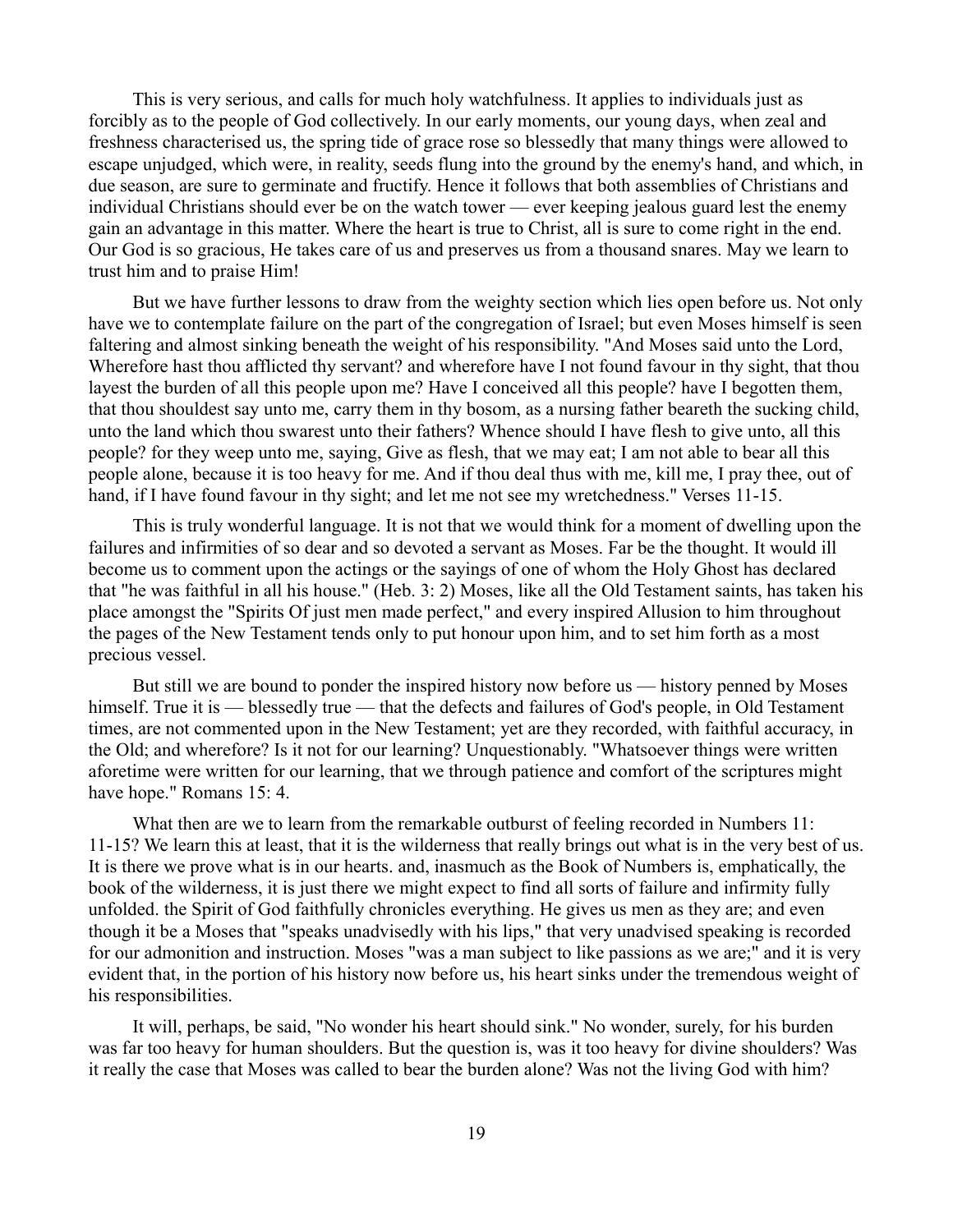This is very serious, and calls for much holy watchfulness. It applies to individuals just as forcibly as to the people of God collectively. In our early moments, our young days, when zeal and freshness characterised us, the spring tide of grace rose so blessedly that many things were allowed to escape unjudged, which were, in reality, seeds flung into the ground by the enemy's hand, and which, in due season, are sure to germinate and fructify. Hence it follows that both assemblies of Christians and individual Christians should ever be on the watch tower — ever keeping jealous guard lest the enemy gain an advantage in this matter. Where the heart is true to Christ, all is sure to come right in the end. Our God is so gracious, He takes care of us and preserves us from a thousand snares. May we learn to trust him and to praise Him!

But we have further lessons to draw from the weighty section which lies open before us. Not only have we to contemplate failure on the part of the congregation of Israel; but even Moses himself is seen faltering and almost sinking beneath the weight of his responsibility. "And Moses said unto the Lord, Wherefore hast thou afflicted thy servant? and wherefore have I not found favour in thy sight, that thou layest the burden of all this people upon me? Have I conceived all this people? have I begotten them, that thou shouldest say unto me, carry them in thy bosom, as a nursing father beareth the sucking child, unto the land which thou swarest unto their fathers? Whence should I have flesh to give unto, all this people? for they weep unto me, saying, Give as flesh, that we may eat; I am not able to bear all this people alone, because it is too heavy for me. And if thou deal thus with me, kill me, I pray thee, out of hand, if I have found favour in thy sight; and let me not see my wretchedness." Verses 11-15.

This is truly wonderful language. It is not that we would think for a moment of dwelling upon the failures and infirmities of so dear and so devoted a servant as Moses. Far be the thought. It would ill become us to comment upon the actings or the sayings of one of whom the Holy Ghost has declared that "he was faithful in all his house." (Heb. 3: 2) Moses, like all the Old Testament saints, has taken his place amongst the "Spirits Of just men made perfect," and every inspired Allusion to him throughout the pages of the New Testament tends only to put honour upon him, and to set him forth as a most precious vessel.

But still we are bound to ponder the inspired history now before us — history penned by Moses himself. True it is — blessedly true — that the defects and failures of God's people, in Old Testament times, are not commented upon in the New Testament; yet are they recorded, with faithful accuracy, in the Old; and wherefore? Is it not for our learning? Unquestionably. "Whatsoever things were written aforetime were written for our learning, that we through patience and comfort of the scriptures might have hope." Romans 15: 4.

What then are we to learn from the remarkable outburst of feeling recorded in Numbers 11: 11-15? We learn this at least, that it is the wilderness that really brings out what is in the very best of us. It is there we prove what is in our hearts. and, inasmuch as the Book of Numbers is, emphatically, the book of the wilderness, it is just there we might expect to find all sorts of failure and infirmity fully unfolded. the Spirit of God faithfully chronicles everything. He gives us men as they are; and even though it be a Moses that "speaks unadvisedly with his lips," that very unadvised speaking is recorded for our admonition and instruction. Moses "was a man subject to like passions as we are;" and it is very evident that, in the portion of his history now before us, his heart sinks under the tremendous weight of his responsibilities.

It will, perhaps, be said, "No wonder his heart should sink." No wonder, surely, for his burden was far too heavy for human shoulders. But the question is, was it too heavy for divine shoulders? Was it really the case that Moses was called to bear the burden alone? Was not the living God with him?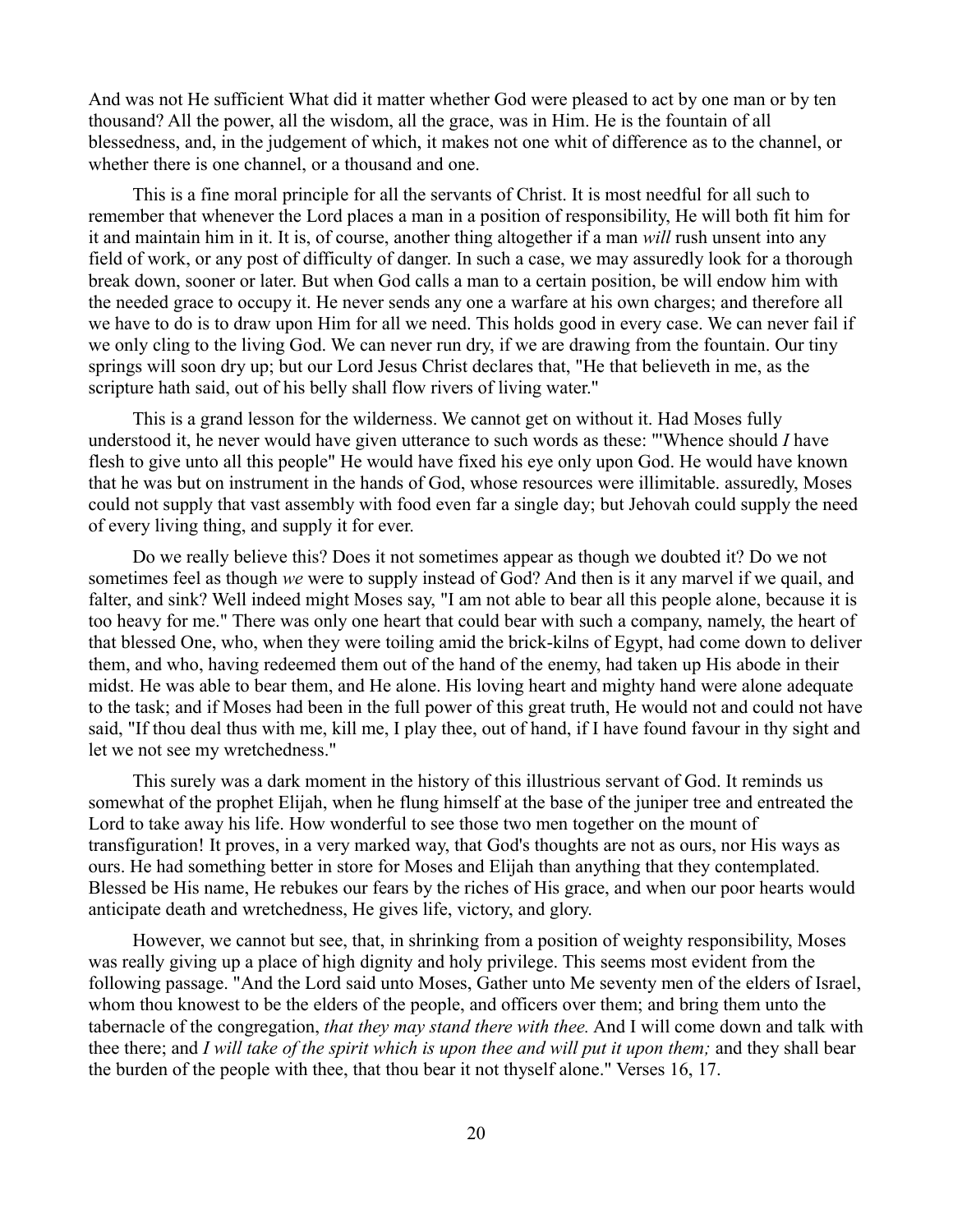And was not He sufficient What did it matter whether God were pleased to act by one man or by ten thousand? All the power, all the wisdom, all the grace, was in Him. He is the fountain of all blessedness, and, in the judgement of which, it makes not one whit of difference as to the channel, or whether there is one channel, or a thousand and one.

This is a fine moral principle for all the servants of Christ. It is most needful for all such to remember that whenever the Lord places a man in a position of responsibility, He will both fit him for it and maintain him in it. It is, of course, another thing altogether if a man *will* rush unsent into any field of work, or any post of difficulty of danger. In such a case, we may assuredly look for a thorough break down, sooner or later. But when God calls a man to a certain position, be will endow him with the needed grace to occupy it. He never sends any one a warfare at his own charges; and therefore all we have to do is to draw upon Him for all we need. This holds good in every case. We can never fail if we only cling to the living God. We can never run dry, if we are drawing from the fountain. Our tiny springs will soon dry up; but our Lord Jesus Christ declares that, "He that believeth in me, as the scripture hath said, out of his belly shall flow rivers of living water."

This is a grand lesson for the wilderness. We cannot get on without it. Had Moses fully understood it, he never would have given utterance to such words as these: "'Whence should *I* have flesh to give unto all this people" He would have fixed his eye only upon God. He would have known that he was but on instrument in the hands of God, whose resources were illimitable. assuredly, Moses could not supply that vast assembly with food even far a single day; but Jehovah could supply the need of every living thing, and supply it for ever.

Do we really believe this? Does it not sometimes appear as though we doubted it? Do we not sometimes feel as though *we* were to supply instead of God? And then is it any marvel if we quail, and falter, and sink? Well indeed might Moses say, "I am not able to bear all this people alone, because it is too heavy for me." There was only one heart that could bear with such a company, namely, the heart of that blessed One, who, when they were toiling amid the brick-kilns of Egypt, had come down to deliver them, and who, having redeemed them out of the hand of the enemy, had taken up His abode in their midst. He was able to bear them, and He alone. His loving heart and mighty hand were alone adequate to the task; and if Moses had been in the full power of this great truth, He would not and could not have said, "If thou deal thus with me, kill me, I play thee, out of hand, if I have found favour in thy sight and let we not see my wretchedness."

This surely was a dark moment in the history of this illustrious servant of God. It reminds us somewhat of the prophet Elijah, when he flung himself at the base of the juniper tree and entreated the Lord to take away his life. How wonderful to see those two men together on the mount of transfiguration! It proves, in a very marked way, that God's thoughts are not as ours, nor His ways as ours. He had something better in store for Moses and Elijah than anything that they contemplated. Blessed be His name, He rebukes our fears by the riches of His grace, and when our poor hearts would anticipate death and wretchedness, He gives life, victory, and glory.

However, we cannot but see, that, in shrinking from a position of weighty responsibility, Moses was really giving up a place of high dignity and holy privilege. This seems most evident from the following passage. "And the Lord said unto Moses, Gather unto Me seventy men of the elders of Israel, whom thou knowest to be the elders of the people, and officers over them; and bring them unto the tabernacle of the congregation, *that they may stand there with thee.* And I will come down and talk with thee there; and *I will take of the spirit which is upon thee and will put it upon them;* and they shall bear the burden of the people with thee, that thou bear it not thyself alone." Verses 16, 17.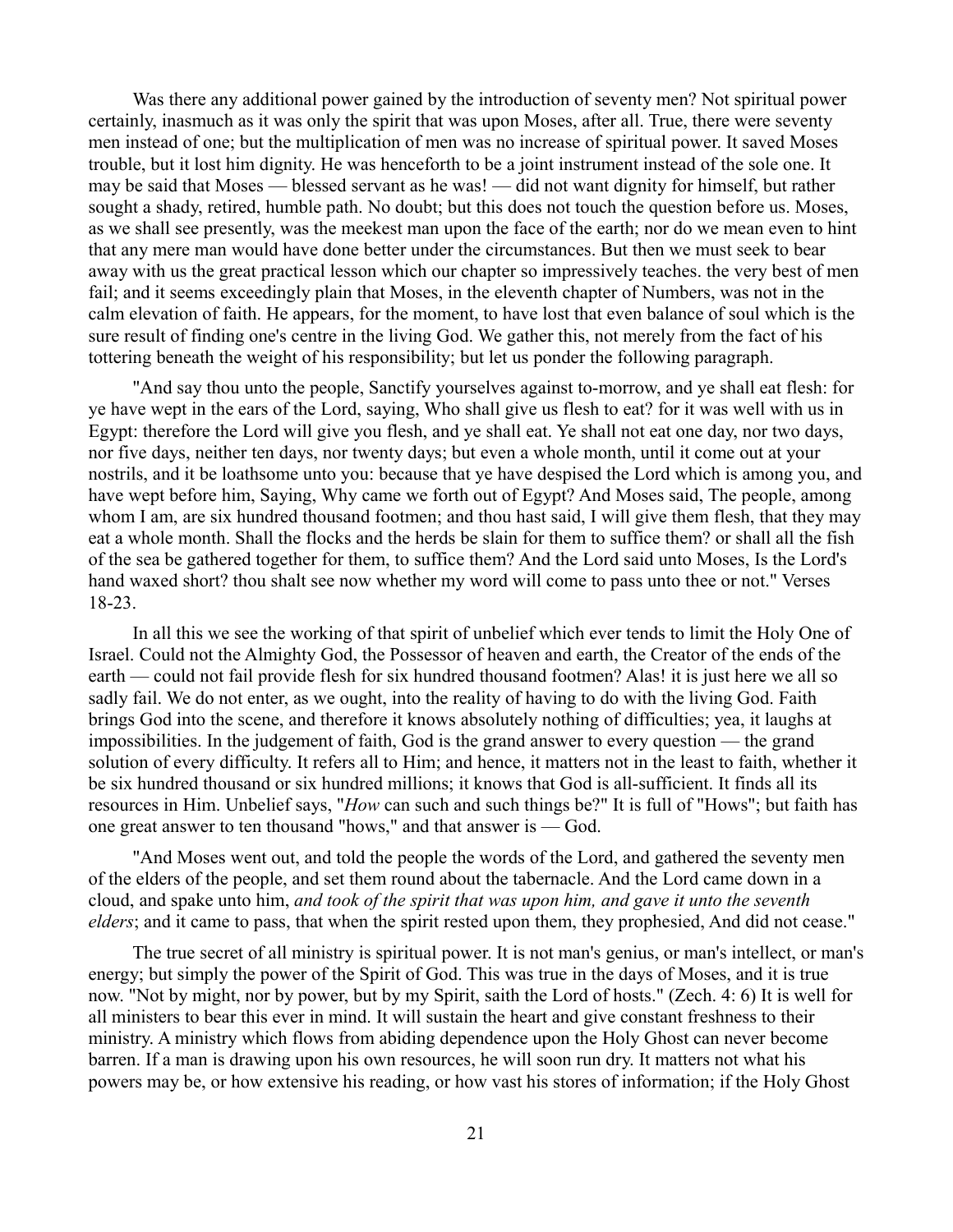Was there any additional power gained by the introduction of seventy men? Not spiritual power certainly, inasmuch as it was only the spirit that was upon Moses, after all. True, there were seventy men instead of one; but the multiplication of men was no increase of spiritual power. It saved Moses trouble, but it lost him dignity. He was henceforth to be a joint instrument instead of the sole one. It may be said that Moses — blessed servant as he was! — did not want dignity for himself, but rather sought a shady, retired, humble path. No doubt; but this does not touch the question before us. Moses, as we shall see presently, was the meekest man upon the face of the earth; nor do we mean even to hint that any mere man would have done better under the circumstances. But then we must seek to bear away with us the great practical lesson which our chapter so impressively teaches. the very best of men fail; and it seems exceedingly plain that Moses, in the eleventh chapter of Numbers, was not in the calm elevation of faith. He appears, for the moment, to have lost that even balance of soul which is the sure result of finding one's centre in the living God. We gather this, not merely from the fact of his tottering beneath the weight of his responsibility; but let us ponder the following paragraph.

"And say thou unto the people, Sanctify yourselves against to-morrow, and ye shall eat flesh: for ye have wept in the ears of the Lord, saying, Who shall give us flesh to eat? for it was well with us in Egypt: therefore the Lord will give you flesh, and ye shall eat. Ye shall not eat one day, nor two days, nor five days, neither ten days, nor twenty days; but even a whole month, until it come out at your nostrils, and it be loathsome unto you: because that ye have despised the Lord which is among you, and have wept before him, Saying, Why came we forth out of Egypt? And Moses said, The people, among whom I am, are six hundred thousand footmen; and thou hast said, I will give them flesh, that they may eat a whole month. Shall the flocks and the herds be slain for them to suffice them? or shall all the fish of the sea be gathered together for them, to suffice them? And the Lord said unto Moses, Is the Lord's hand waxed short? thou shalt see now whether my word will come to pass unto thee or not." Verses 18-23.

In all this we see the working of that spirit of unbelief which ever tends to limit the Holy One of Israel. Could not the Almighty God, the Possessor of heaven and earth, the Creator of the ends of the earth — could not fail provide flesh for six hundred thousand footmen? Alas! it is just here we all so sadly fail. We do not enter, as we ought, into the reality of having to do with the living God. Faith brings God into the scene, and therefore it knows absolutely nothing of difficulties; yea, it laughs at impossibilities. In the judgement of faith, God is the grand answer to every question — the grand solution of every difficulty. It refers all to Him; and hence, it matters not in the least to faith, whether it be six hundred thousand or six hundred millions; it knows that God is all-sufficient. It finds all its resources in Him. Unbelief says, "*How* can such and such things be?" It is full of "Hows"; but faith has one great answer to ten thousand "hows," and that answer is — God.

"And Moses went out, and told the people the words of the Lord, and gathered the seventy men of the elders of the people, and set them round about the tabernacle. And the Lord came down in a cloud, and spake unto him, *and took of the spirit that was upon him, and gave it unto the seventh elders*; and it came to pass, that when the spirit rested upon them, they prophesied, And did not cease."

The true secret of all ministry is spiritual power. It is not man's genius, or man's intellect, or man's energy; but simply the power of the Spirit of God. This was true in the days of Moses, and it is true now. "Not by might, nor by power, but by my Spirit, saith the Lord of hosts." (Zech. 4: 6) It is well for all ministers to bear this ever in mind. It will sustain the heart and give constant freshness to their ministry. A ministry which flows from abiding dependence upon the Holy Ghost can never become barren. If a man is drawing upon his own resources, he will soon run dry. It matters not what his powers may be, or how extensive his reading, or how vast his stores of information; if the Holy Ghost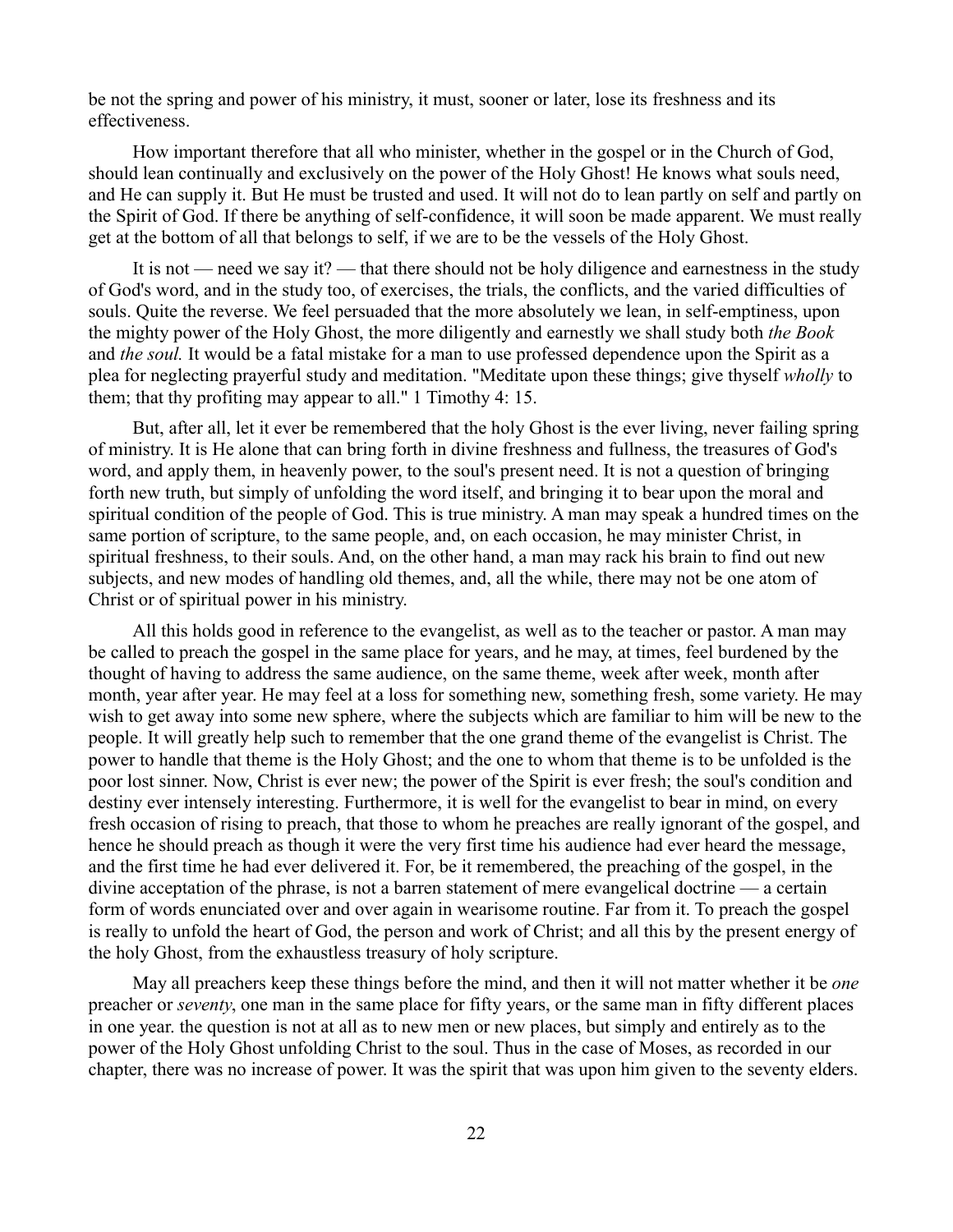be not the spring and power of his ministry, it must, sooner or later, lose its freshness and its effectiveness.

How important therefore that all who minister, whether in the gospel or in the Church of God, should lean continually and exclusively on the power of the Holy Ghost! He knows what souls need, and He can supply it. But He must be trusted and used. It will not do to lean partly on self and partly on the Spirit of God. If there be anything of self-confidence, it will soon be made apparent. We must really get at the bottom of all that belongs to self, if we are to be the vessels of the Holy Ghost.

It is not — need we say it? — that there should not be holy diligence and earnestness in the study of God's word, and in the study too, of exercises, the trials, the conflicts, and the varied difficulties of souls. Quite the reverse. We feel persuaded that the more absolutely we lean, in self-emptiness, upon the mighty power of the Holy Ghost, the more diligently and earnestly we shall study both *the Book* and *the soul.* It would be a fatal mistake for a man to use professed dependence upon the Spirit as a plea for neglecting prayerful study and meditation. "Meditate upon these things; give thyself *wholly* to them; that thy profiting may appear to all." 1 Timothy 4: 15.

But, after all, let it ever be remembered that the holy Ghost is the ever living, never failing spring of ministry. It is He alone that can bring forth in divine freshness and fullness, the treasures of God's word, and apply them, in heavenly power, to the soul's present need. It is not a question of bringing forth new truth, but simply of unfolding the word itself, and bringing it to bear upon the moral and spiritual condition of the people of God. This is true ministry. A man may speak a hundred times on the same portion of scripture, to the same people, and, on each occasion, he may minister Christ, in spiritual freshness, to their souls. And, on the other hand, a man may rack his brain to find out new subjects, and new modes of handling old themes, and, all the while, there may not be one atom of Christ or of spiritual power in his ministry.

All this holds good in reference to the evangelist, as well as to the teacher or pastor. A man may be called to preach the gospel in the same place for years, and he may, at times, feel burdened by the thought of having to address the same audience, on the same theme, week after week, month after month, year after year. He may feel at a loss for something new, something fresh, some variety. He may wish to get away into some new sphere, where the subjects which are familiar to him will be new to the people. It will greatly help such to remember that the one grand theme of the evangelist is Christ. The power to handle that theme is the Holy Ghost; and the one to whom that theme is to be unfolded is the poor lost sinner. Now, Christ is ever new; the power of the Spirit is ever fresh; the soul's condition and destiny ever intensely interesting. Furthermore, it is well for the evangelist to bear in mind, on every fresh occasion of rising to preach, that those to whom he preaches are really ignorant of the gospel, and hence he should preach as though it were the very first time his audience had ever heard the message, and the first time he had ever delivered it. For, be it remembered, the preaching of the gospel, in the divine acceptation of the phrase, is not a barren statement of mere evangelical doctrine — a certain form of words enunciated over and over again in wearisome routine. Far from it. To preach the gospel is really to unfold the heart of God, the person and work of Christ; and all this by the present energy of the holy Ghost, from the exhaustless treasury of holy scripture.

May all preachers keep these things before the mind, and then it will not matter whether it be *one* preacher or *seventy*, one man in the same place for fifty years, or the same man in fifty different places in one year. the question is not at all as to new men or new places, but simply and entirely as to the power of the Holy Ghost unfolding Christ to the soul. Thus in the case of Moses, as recorded in our chapter, there was no increase of power. It was the spirit that was upon him given to the seventy elders.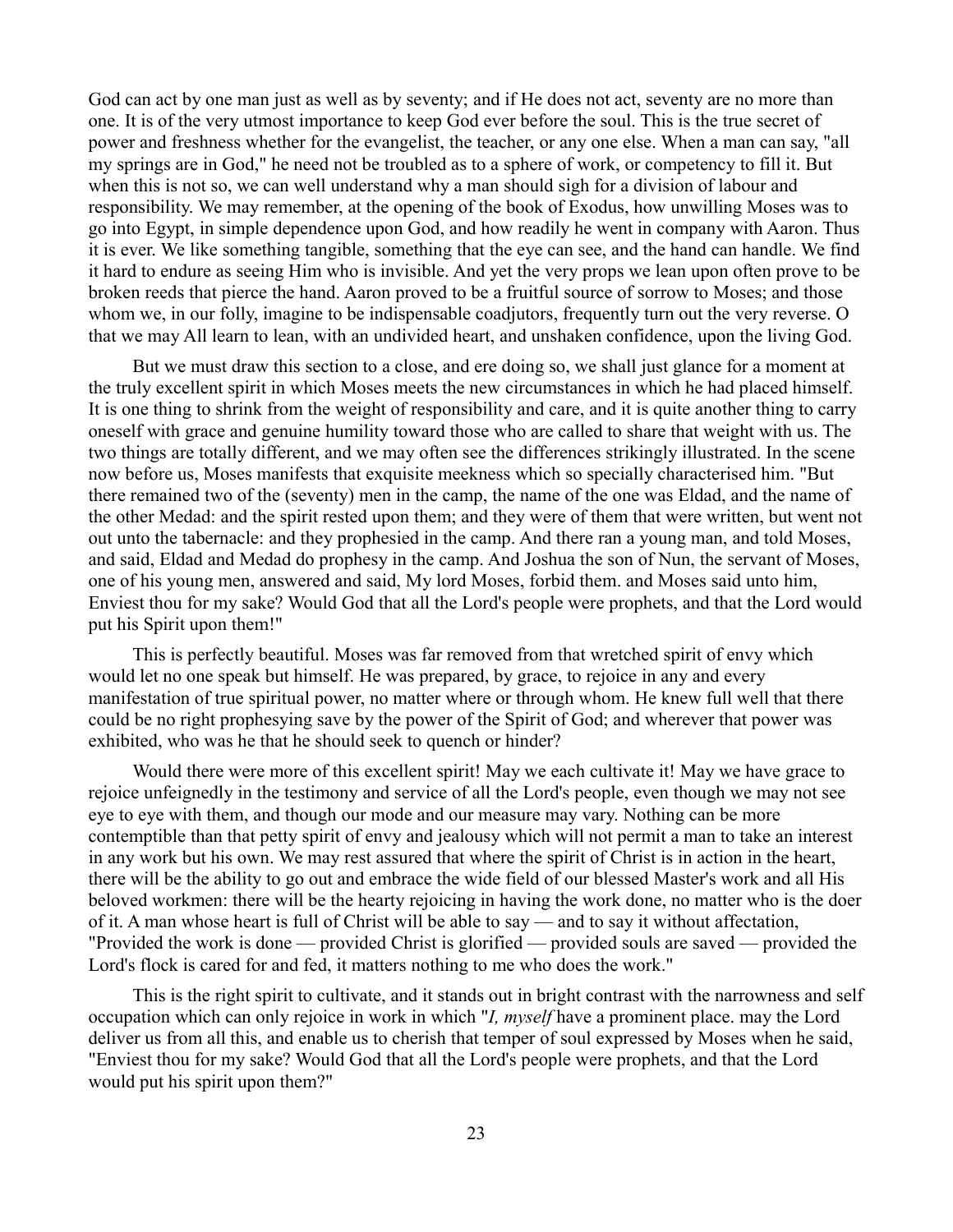God can act by one man just as well as by seventy; and if He does not act, seventy are no more than one. It is of the very utmost importance to keep God ever before the soul. This is the true secret of power and freshness whether for the evangelist, the teacher, or any one else. When a man can say, "all my springs are in God," he need not be troubled as to a sphere of work, or competency to fill it. But when this is not so, we can well understand why a man should sigh for a division of labour and responsibility. We may remember, at the opening of the book of Exodus, how unwilling Moses was to go into Egypt, in simple dependence upon God, and how readily he went in company with Aaron. Thus it is ever. We like something tangible, something that the eye can see, and the hand can handle. We find it hard to endure as seeing Him who is invisible. And yet the very props we lean upon often prove to be broken reeds that pierce the hand. Aaron proved to be a fruitful source of sorrow to Moses; and those whom we, in our folly, imagine to be indispensable coadjutors, frequently turn out the very reverse. O that we may All learn to lean, with an undivided heart, and unshaken confidence, upon the living God.

But we must draw this section to a close, and ere doing so, we shall just glance for a moment at the truly excellent spirit in which Moses meets the new circumstances in which he had placed himself. It is one thing to shrink from the weight of responsibility and care, and it is quite another thing to carry oneself with grace and genuine humility toward those who are called to share that weight with us. The two things are totally different, and we may often see the differences strikingly illustrated. In the scene now before us, Moses manifests that exquisite meekness which so specially characterised him. "But there remained two of the (seventy) men in the camp, the name of the one was Eldad, and the name of the other Medad: and the spirit rested upon them; and they were of them that were written, but went not out unto the tabernacle: and they prophesied in the camp. And there ran a young man, and told Moses, and said, Eldad and Medad do prophesy in the camp. And Joshua the son of Nun, the servant of Moses, one of his young men, answered and said, My lord Moses, forbid them. and Moses said unto him, Enviest thou for my sake? Would God that all the Lord's people were prophets, and that the Lord would put his Spirit upon them!"

This is perfectly beautiful. Moses was far removed from that wretched spirit of envy which would let no one speak but himself. He was prepared, by grace, to rejoice in any and every manifestation of true spiritual power, no matter where or through whom. He knew full well that there could be no right prophesying save by the power of the Spirit of God; and wherever that power was exhibited, who was he that he should seek to quench or hinder?

Would there were more of this excellent spirit! May we each cultivate it! May we have grace to rejoice unfeignedly in the testimony and service of all the Lord's people, even though we may not see eye to eye with them, and though our mode and our measure may vary. Nothing can be more contemptible than that petty spirit of envy and jealousy which will not permit a man to take an interest in any work but his own. We may rest assured that where the spirit of Christ is in action in the heart, there will be the ability to go out and embrace the wide field of our blessed Master's work and all His beloved workmen: there will be the hearty rejoicing in having the work done, no matter who is the doer of it. A man whose heart is full of Christ will be able to say — and to say it without affectation, "Provided the work is done — provided Christ is glorified — provided souls are saved — provided the Lord's flock is cared for and fed, it matters nothing to me who does the work."

This is the right spirit to cultivate, and it stands out in bright contrast with the narrowness and self occupation which can only rejoice in work in which "*I, myself* have a prominent place. may the Lord deliver us from all this, and enable us to cherish that temper of soul expressed by Moses when he said, "Enviest thou for my sake? Would God that all the Lord's people were prophets, and that the Lord would put his spirit upon them?"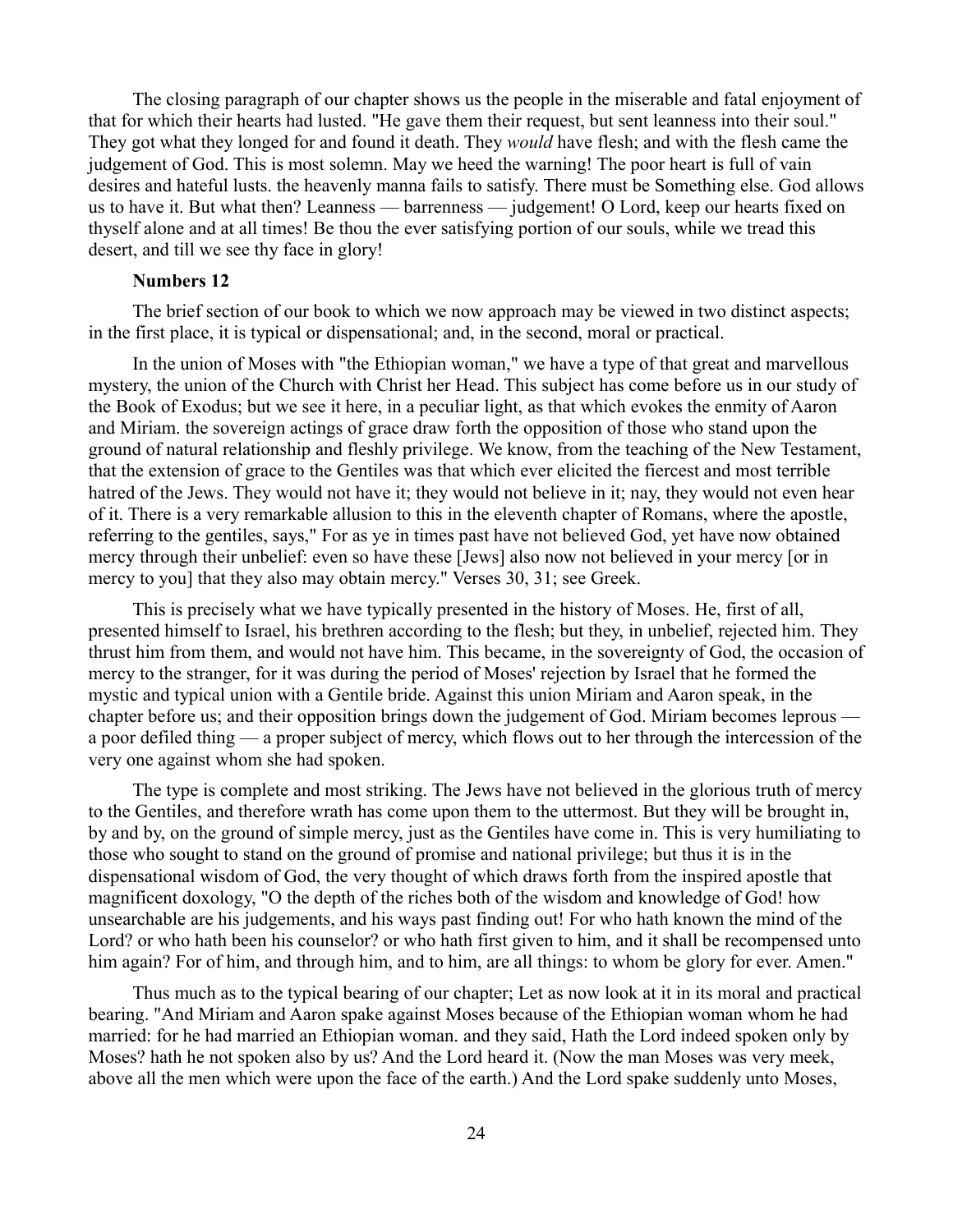The closing paragraph of our chapter shows us the people in the miserable and fatal enjoyment of that for which their hearts had lusted. "He gave them their request, but sent leanness into their soul." They got what they longed for and found it death. They *would* have flesh; and with the flesh came the judgement of God. This is most solemn. May we heed the warning! The poor heart is full of vain desires and hateful lusts. the heavenly manna fails to satisfy. There must be Something else. God allows us to have it. But what then? Leanness — barrenness — judgement! O Lord, keep our hearts fixed on thyself alone and at all times! Be thou the ever satisfying portion of our souls, while we tread this desert, and till we see thy face in glory!

### **Numbers 12**

The brief section of our book to which we now approach may be viewed in two distinct aspects; in the first place, it is typical or dispensational; and, in the second, moral or practical.

In the union of Moses with "the Ethiopian woman," we have a type of that great and marvellous mystery, the union of the Church with Christ her Head. This subject has come before us in our study of the Book of Exodus; but we see it here, in a peculiar light, as that which evokes the enmity of Aaron and Miriam. the sovereign actings of grace draw forth the opposition of those who stand upon the ground of natural relationship and fleshly privilege. We know, from the teaching of the New Testament, that the extension of grace to the Gentiles was that which ever elicited the fiercest and most terrible hatred of the Jews. They would not have it; they would not believe in it; nay, they would not even hear of it. There is a very remarkable allusion to this in the eleventh chapter of Romans, where the apostle, referring to the gentiles, says," For as ye in times past have not believed God, yet have now obtained mercy through their unbelief: even so have these [Jews] also now not believed in your mercy [or in mercy to you] that they also may obtain mercy." Verses 30, 31; see Greek.

This is precisely what we have typically presented in the history of Moses. He, first of all, presented himself to Israel, his brethren according to the flesh; but they, in unbelief, rejected him. They thrust him from them, and would not have him. This became, in the sovereignty of God, the occasion of mercy to the stranger, for it was during the period of Moses' rejection by Israel that he formed the mystic and typical union with a Gentile bride. Against this union Miriam and Aaron speak, in the chapter before us; and their opposition brings down the judgement of God. Miriam becomes leprous a poor defiled thing — a proper subject of mercy, which flows out to her through the intercession of the very one against whom she had spoken.

The type is complete and most striking. The Jews have not believed in the glorious truth of mercy to the Gentiles, and therefore wrath has come upon them to the uttermost. But they will be brought in, by and by, on the ground of simple mercy, just as the Gentiles have come in. This is very humiliating to those who sought to stand on the ground of promise and national privilege; but thus it is in the dispensational wisdom of God, the very thought of which draws forth from the inspired apostle that magnificent doxology, "O the depth of the riches both of the wisdom and knowledge of God! how unsearchable are his judgements, and his ways past finding out! For who hath known the mind of the Lord? or who hath been his counselor? or who hath first given to him, and it shall be recompensed unto him again? For of him, and through him, and to him, are all things: to whom be glory for ever. Amen."

Thus much as to the typical bearing of our chapter; Let as now look at it in its moral and practical bearing. "And Miriam and Aaron spake against Moses because of the Ethiopian woman whom he had married: for he had married an Ethiopian woman. and they said, Hath the Lord indeed spoken only by Moses? hath he not spoken also by us? And the Lord heard it. (Now the man Moses was very meek, above all the men which were upon the face of the earth.) And the Lord spake suddenly unto Moses,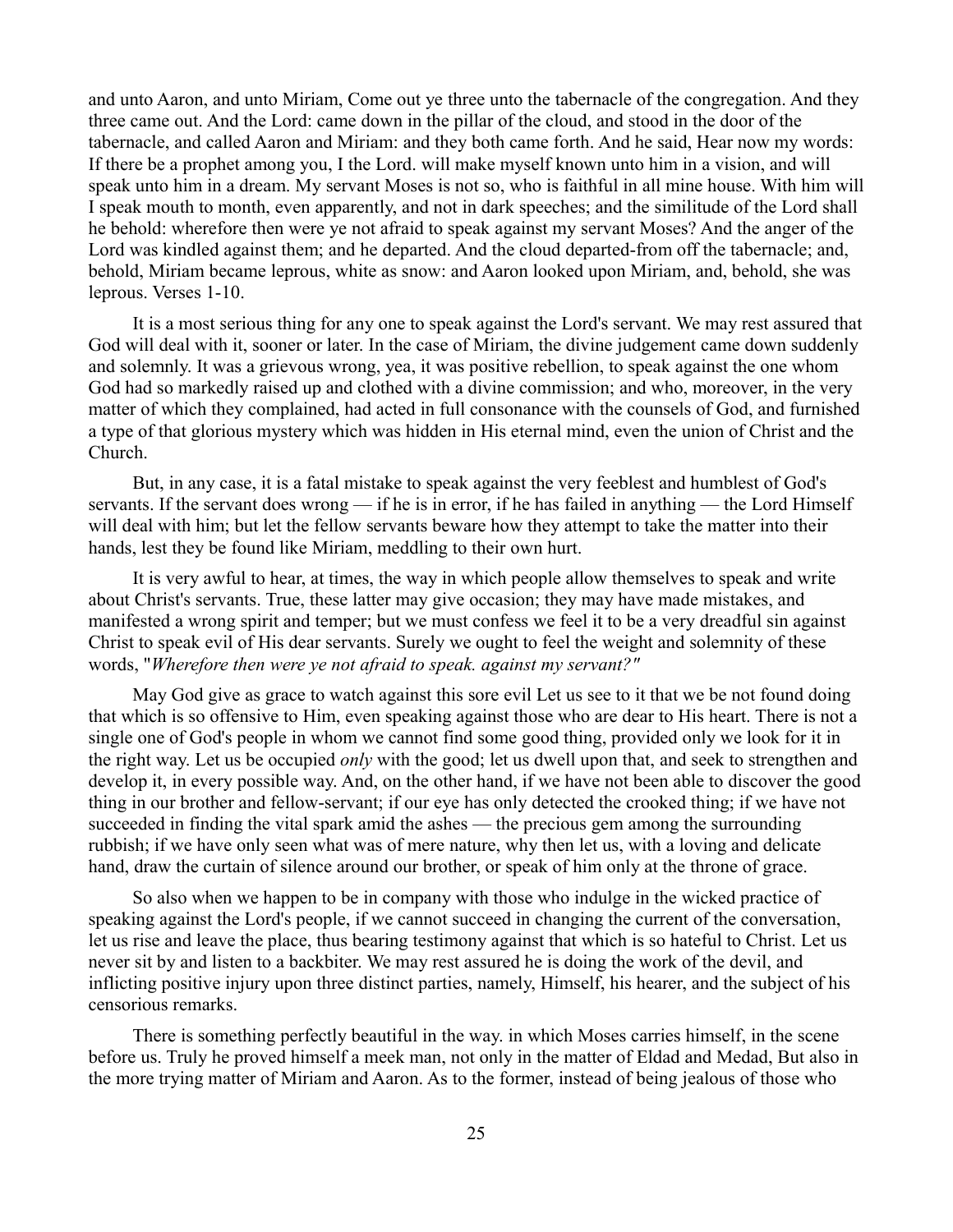and unto Aaron, and unto Miriam, Come out ye three unto the tabernacle of the congregation. And they three came out. And the Lord: came down in the pillar of the cloud, and stood in the door of the tabernacle, and called Aaron and Miriam: and they both came forth. And he said, Hear now my words: If there be a prophet among you, I the Lord. will make myself known unto him in a vision, and will speak unto him in a dream. My servant Moses is not so, who is faithful in all mine house. With him will I speak mouth to month, even apparently, and not in dark speeches; and the similitude of the Lord shall he behold: wherefore then were ye not afraid to speak against my servant Moses? And the anger of the Lord was kindled against them; and he departed. And the cloud departed-from off the tabernacle; and, behold, Miriam became leprous, white as snow: and Aaron looked upon Miriam, and, behold, she was leprous. Verses 1-10.

It is a most serious thing for any one to speak against the Lord's servant. We may rest assured that God will deal with it, sooner or later. In the case of Miriam, the divine judgement came down suddenly and solemnly. It was a grievous wrong, yea, it was positive rebellion, to speak against the one whom God had so markedly raised up and clothed with a divine commission; and who, moreover, in the very matter of which they complained, had acted in full consonance with the counsels of God, and furnished a type of that glorious mystery which was hidden in His eternal mind, even the union of Christ and the Church.

But, in any case, it is a fatal mistake to speak against the very feeblest and humblest of God's servants. If the servant does wrong — if he is in error, if he has failed in anything — the Lord Himself will deal with him; but let the fellow servants beware how they attempt to take the matter into their hands, lest they be found like Miriam, meddling to their own hurt.

It is very awful to hear, at times, the way in which people allow themselves to speak and write about Christ's servants. True, these latter may give occasion; they may have made mistakes, and manifested a wrong spirit and temper; but we must confess we feel it to be a very dreadful sin against Christ to speak evil of His dear servants. Surely we ought to feel the weight and solemnity of these words, "*Wherefore then were ye not afraid to speak. against my servant?"*

May God give as grace to watch against this sore evil Let us see to it that we be not found doing that which is so offensive to Him, even speaking against those who are dear to His heart. There is not a single one of God's people in whom we cannot find some good thing, provided only we look for it in the right way. Let us be occupied *only* with the good; let us dwell upon that, and seek to strengthen and develop it, in every possible way. And, on the other hand, if we have not been able to discover the good thing in our brother and fellow-servant; if our eye has only detected the crooked thing; if we have not succeeded in finding the vital spark amid the ashes — the precious gem among the surrounding rubbish; if we have only seen what was of mere nature, why then let us, with a loving and delicate hand, draw the curtain of silence around our brother, or speak of him only at the throne of grace.

So also when we happen to be in company with those who indulge in the wicked practice of speaking against the Lord's people, if we cannot succeed in changing the current of the conversation, let us rise and leave the place, thus bearing testimony against that which is so hateful to Christ. Let us never sit by and listen to a backbiter. We may rest assured he is doing the work of the devil, and inflicting positive injury upon three distinct parties, namely, Himself, his hearer, and the subject of his censorious remarks.

There is something perfectly beautiful in the way. in which Moses carries himself, in the scene before us. Truly he proved himself a meek man, not only in the matter of Eldad and Medad, But also in the more trying matter of Miriam and Aaron. As to the former, instead of being jealous of those who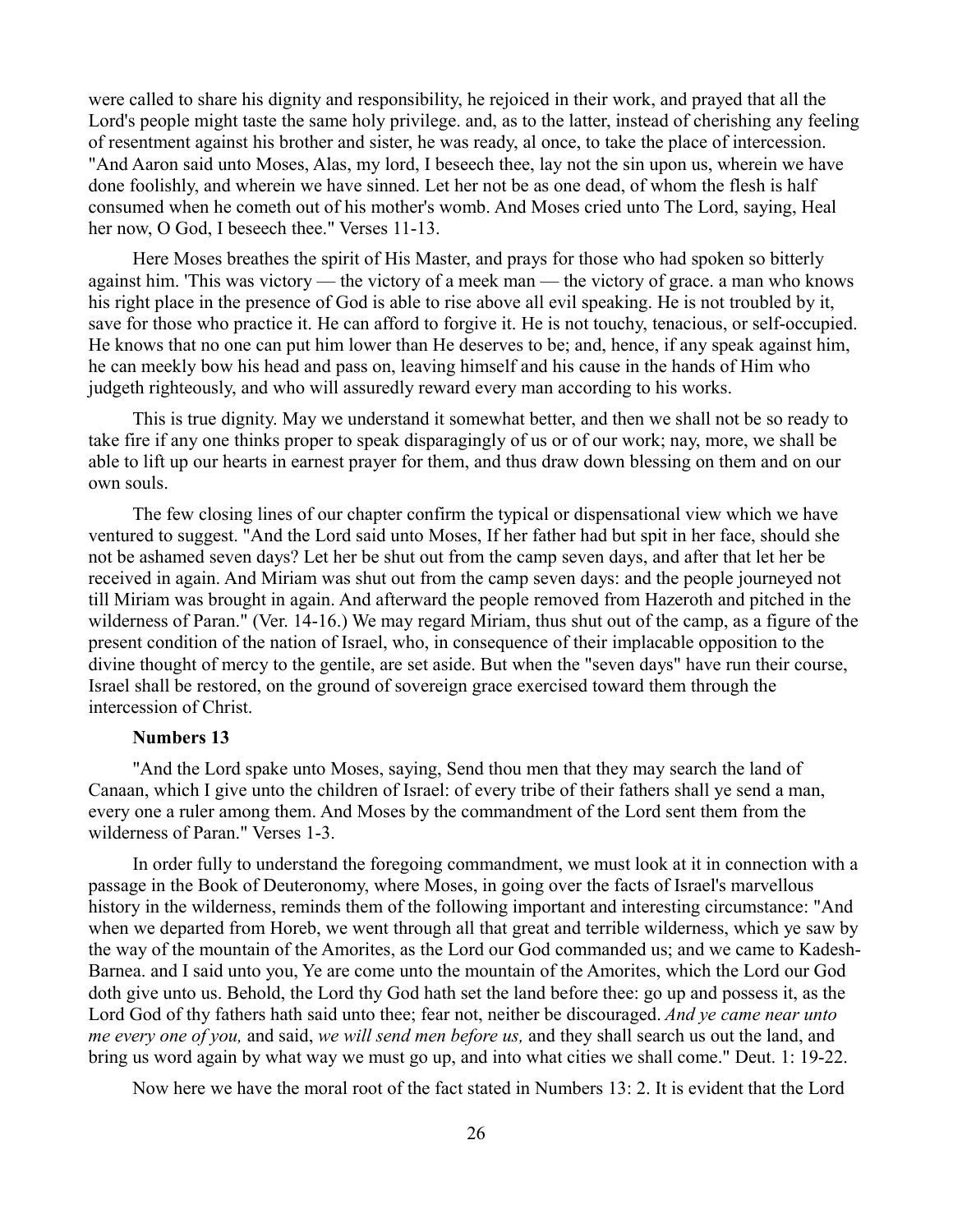were called to share his dignity and responsibility, he rejoiced in their work, and prayed that all the Lord's people might taste the same holy privilege. and, as to the latter, instead of cherishing any feeling of resentment against his brother and sister, he was ready, al once, to take the place of intercession. "And Aaron said unto Moses, Alas, my lord, I beseech thee, lay not the sin upon us, wherein we have done foolishly, and wherein we have sinned. Let her not be as one dead, of whom the flesh is half consumed when he cometh out of his mother's womb. And Moses cried unto The Lord, saying, Heal her now, O God, I beseech thee." Verses 11-13.

Here Moses breathes the spirit of His Master, and prays for those who had spoken so bitterly against him. 'This was victory — the victory of a meek man — the victory of grace. a man who knows his right place in the presence of God is able to rise above all evil speaking. He is not troubled by it, save for those who practice it. He can afford to forgive it. He is not touchy, tenacious, or self-occupied. He knows that no one can put him lower than He deserves to be; and, hence, if any speak against him, he can meekly bow his head and pass on, leaving himself and his cause in the hands of Him who judgeth righteously, and who will assuredly reward every man according to his works.

This is true dignity. May we understand it somewhat better, and then we shall not be so ready to take fire if any one thinks proper to speak disparagingly of us or of our work; nay, more, we shall be able to lift up our hearts in earnest prayer for them, and thus draw down blessing on them and on our own souls.

The few closing lines of our chapter confirm the typical or dispensational view which we have ventured to suggest. "And the Lord said unto Moses, If her father had but spit in her face, should she not be ashamed seven days? Let her be shut out from the camp seven days, and after that let her be received in again. And Miriam was shut out from the camp seven days: and the people journeyed not till Miriam was brought in again. And afterward the people removed from Hazeroth and pitched in the wilderness of Paran." (Ver. 14-16.) We may regard Miriam, thus shut out of the camp, as a figure of the present condition of the nation of Israel, who, in consequence of their implacable opposition to the divine thought of mercy to the gentile, are set aside. But when the "seven days" have run their course, Israel shall be restored, on the ground of sovereign grace exercised toward them through the intercession of Christ.

## **Numbers 13**

"And the Lord spake unto Moses, saying, Send thou men that they may search the land of Canaan, which I give unto the children of Israel: of every tribe of their fathers shall ye send a man, every one a ruler among them. And Moses by the commandment of the Lord sent them from the wilderness of Paran." Verses 1-3.

In order fully to understand the foregoing commandment, we must look at it in connection with a passage in the Book of Deuteronomy, where Moses, in going over the facts of Israel's marvellous history in the wilderness, reminds them of the following important and interesting circumstance: "And when we departed from Horeb, we went through all that great and terrible wilderness, which ye saw by the way of the mountain of the Amorites, as the Lord our God commanded us; and we came to Kadesh-Barnea. and I said unto you, Ye are come unto the mountain of the Amorites, which the Lord our God doth give unto us. Behold, the Lord thy God hath set the land before thee: go up and possess it, as the Lord God of thy fathers hath said unto thee; fear not, neither be discouraged. *And ye came near unto me every one of you,* and said, *we will send men before us,* and they shall search us out the land, and bring us word again by what way we must go up, and into what cities we shall come." Deut. 1: 19-22.

Now here we have the moral root of the fact stated in Numbers 13: 2. It is evident that the Lord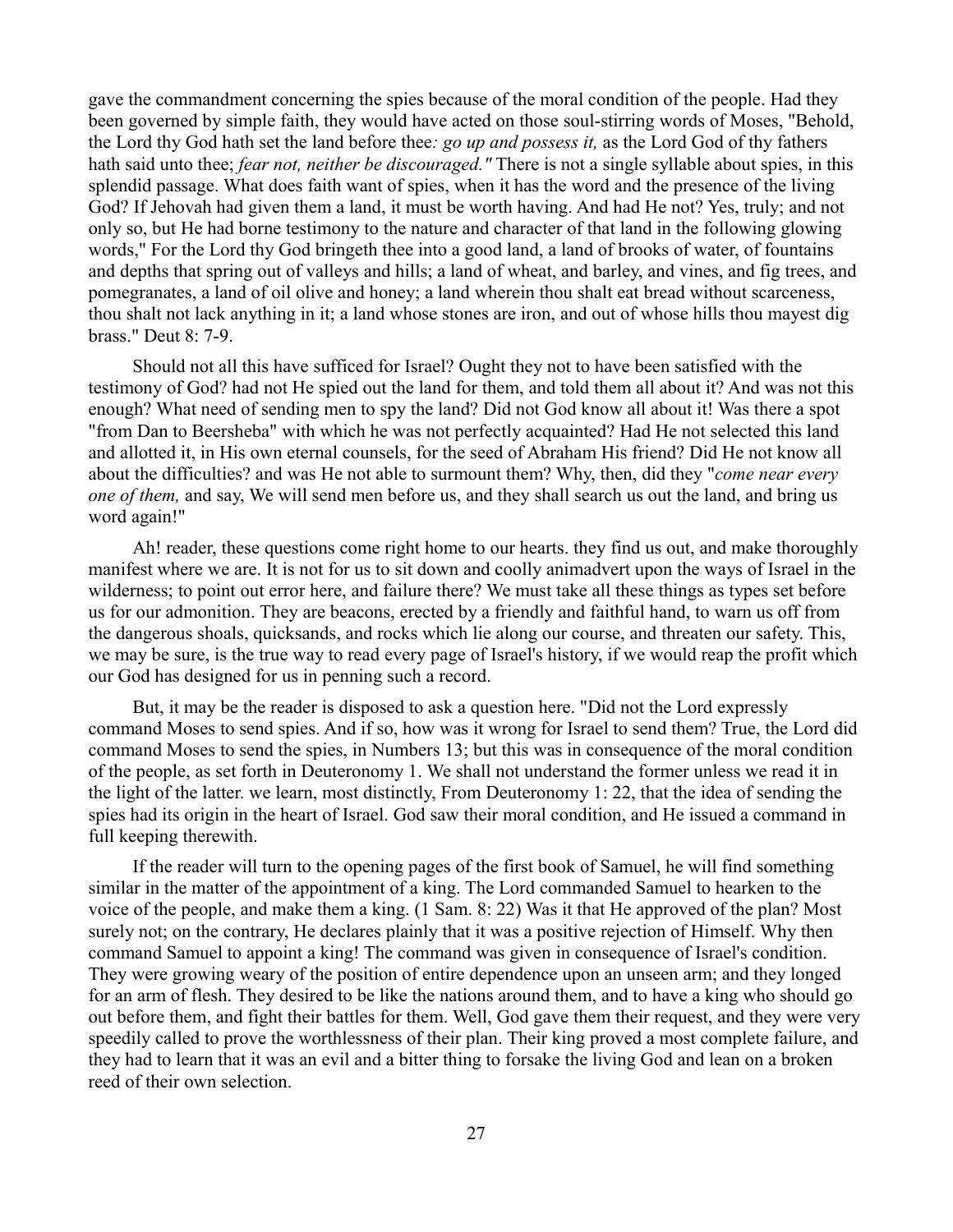gave the commandment concerning the spies because of the moral condition of the people. Had they been governed by simple faith, they would have acted on those soul-stirring words of Moses, "Behold, the Lord thy God hath set the land before thee*: go up and possess it,* as the Lord God of thy fathers hath said unto thee; *fear not, neither be discouraged."* There is not a single syllable about spies, in this splendid passage. What does faith want of spies, when it has the word and the presence of the living God? If Jehovah had given them a land, it must be worth having. And had He not? Yes, truly; and not only so, but He had borne testimony to the nature and character of that land in the following glowing words," For the Lord thy God bringeth thee into a good land, a land of brooks of water, of fountains and depths that spring out of valleys and hills; a land of wheat, and barley, and vines, and fig trees, and pomegranates, a land of oil olive and honey; a land wherein thou shalt eat bread without scarceness, thou shalt not lack anything in it; a land whose stones are iron, and out of whose hills thou mayest dig brass." Deut 8: 7-9.

Should not all this have sufficed for Israel? Ought they not to have been satisfied with the testimony of God? had not He spied out the land for them, and told them all about it? And was not this enough? What need of sending men to spy the land? Did not God know all about it! Was there a spot "from Dan to Beersheba" with which he was not perfectly acquainted? Had He not selected this land and allotted it, in His own eternal counsels, for the seed of Abraham His friend? Did He not know all about the difficulties? and was He not able to surmount them? Why, then, did they "*come near every one of them,* and say, We will send men before us, and they shall search us out the land, and bring us word again!"

Ah! reader, these questions come right home to our hearts. they find us out, and make thoroughly manifest where we are. It is not for us to sit down and coolly animadvert upon the ways of Israel in the wilderness; to point out error here, and failure there? We must take all these things as types set before us for our admonition. They are beacons, erected by a friendly and faithful hand, to warn us off from the dangerous shoals, quicksands, and rocks which lie along our course, and threaten our safety. This, we may be sure, is the true way to read every page of Israel's history, if we would reap the profit which our God has designed for us in penning such a record.

But, it may be the reader is disposed to ask a question here. "Did not the Lord expressly command Moses to send spies. And if so, how was it wrong for Israel to send them? True, the Lord did command Moses to send the spies, in Numbers 13; but this was in consequence of the moral condition of the people, as set forth in Deuteronomy 1. We shall not understand the former unless we read it in the light of the latter. we learn, most distinctly, From Deuteronomy 1: 22, that the idea of sending the spies had its origin in the heart of Israel. God saw their moral condition, and He issued a command in full keeping therewith.

If the reader will turn to the opening pages of the first book of Samuel, he will find something similar in the matter of the appointment of a king. The Lord commanded Samuel to hearken to the voice of the people, and make them a king. (1 Sam. 8: 22) Was it that He approved of the plan? Most surely not; on the contrary, He declares plainly that it was a positive rejection of Himself. Why then command Samuel to appoint a king! The command was given in consequence of Israel's condition. They were growing weary of the position of entire dependence upon an unseen arm; and they longed for an arm of flesh. They desired to be like the nations around them, and to have a king who should go out before them, and fight their battles for them. Well, God gave them their request, and they were very speedily called to prove the worthlessness of their plan. Their king proved a most complete failure, and they had to learn that it was an evil and a bitter thing to forsake the living God and lean on a broken reed of their own selection.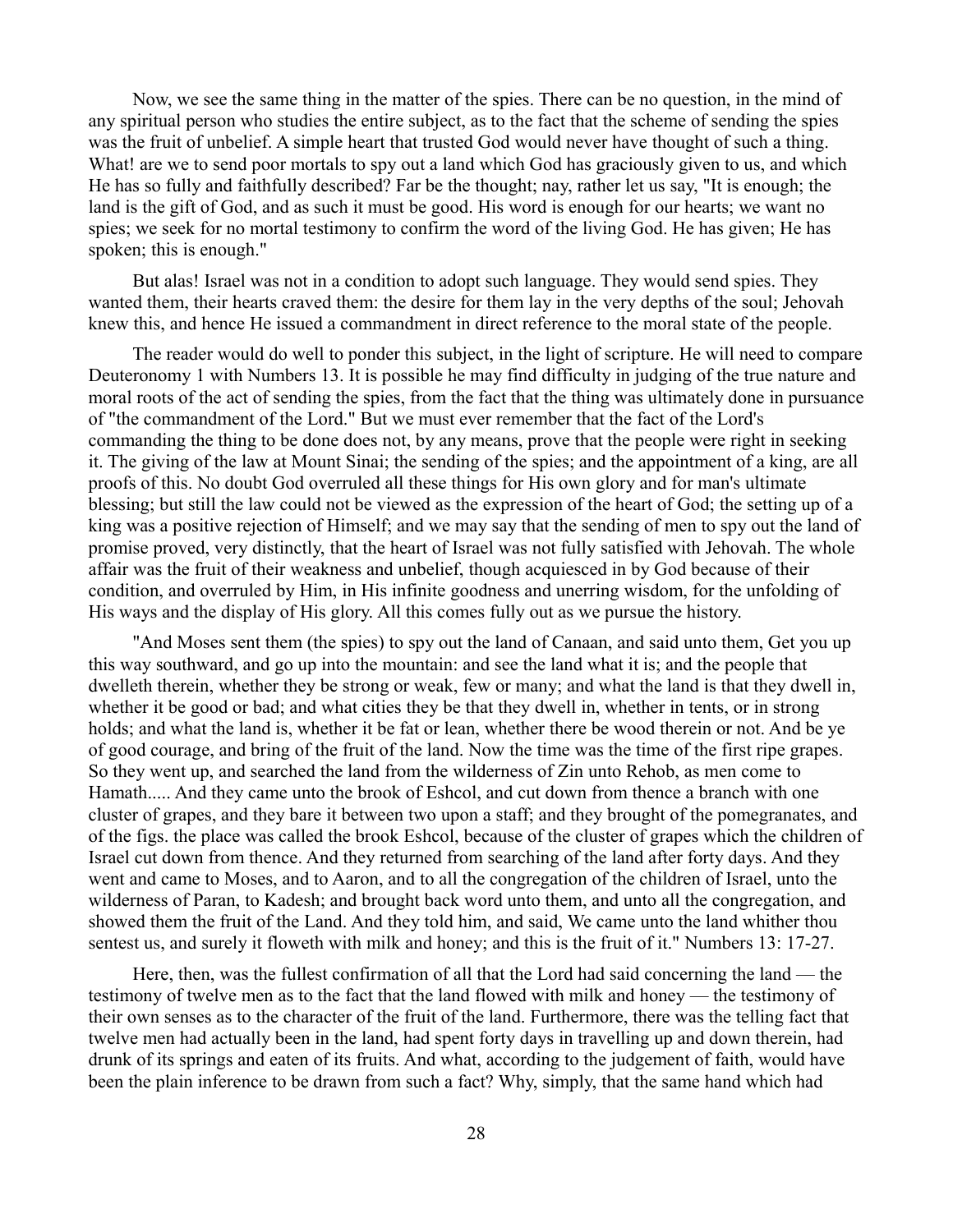Now, we see the same thing in the matter of the spies. There can be no question, in the mind of any spiritual person who studies the entire subject, as to the fact that the scheme of sending the spies was the fruit of unbelief. A simple heart that trusted God would never have thought of such a thing. What! are we to send poor mortals to spy out a land which God has graciously given to us, and which He has so fully and faithfully described? Far be the thought; nay, rather let us say, "It is enough; the land is the gift of God, and as such it must be good. His word is enough for our hearts; we want no spies; we seek for no mortal testimony to confirm the word of the living God. He has given; He has spoken; this is enough."

But alas! Israel was not in a condition to adopt such language. They would send spies. They wanted them, their hearts craved them: the desire for them lay in the very depths of the soul; Jehovah knew this, and hence He issued a commandment in direct reference to the moral state of the people.

The reader would do well to ponder this subject, in the light of scripture. He will need to compare Deuteronomy 1 with Numbers 13. It is possible he may find difficulty in judging of the true nature and moral roots of the act of sending the spies, from the fact that the thing was ultimately done in pursuance of "the commandment of the Lord." But we must ever remember that the fact of the Lord's commanding the thing to be done does not, by any means, prove that the people were right in seeking it. The giving of the law at Mount Sinai; the sending of the spies; and the appointment of a king, are all proofs of this. No doubt God overruled all these things for His own glory and for man's ultimate blessing; but still the law could not be viewed as the expression of the heart of God; the setting up of a king was a positive rejection of Himself; and we may say that the sending of men to spy out the land of promise proved, very distinctly, that the heart of Israel was not fully satisfied with Jehovah. The whole affair was the fruit of their weakness and unbelief, though acquiesced in by God because of their condition, and overruled by Him, in His infinite goodness and unerring wisdom, for the unfolding of His ways and the display of His glory. All this comes fully out as we pursue the history.

"And Moses sent them (the spies) to spy out the land of Canaan, and said unto them, Get you up this way southward, and go up into the mountain: and see the land what it is; and the people that dwelleth therein, whether they be strong or weak, few or many; and what the land is that they dwell in, whether it be good or bad; and what cities they be that they dwell in, whether in tents, or in strong holds; and what the land is, whether it be fat or lean, whether there be wood therein or not. And be ye of good courage, and bring of the fruit of the land. Now the time was the time of the first ripe grapes. So they went up, and searched the land from the wilderness of Zin unto Rehob, as men come to Hamath..... And they came unto the brook of Eshcol, and cut down from thence a branch with one cluster of grapes, and they bare it between two upon a staff; and they brought of the pomegranates, and of the figs. the place was called the brook Eshcol, because of the cluster of grapes which the children of Israel cut down from thence. And they returned from searching of the land after forty days. And they went and came to Moses, and to Aaron, and to all the congregation of the children of Israel, unto the wilderness of Paran, to Kadesh; and brought back word unto them, and unto all the congregation, and showed them the fruit of the Land. And they told him, and said, We came unto the land whither thou sentest us, and surely it floweth with milk and honey; and this is the fruit of it." Numbers 13: 17-27.

Here, then, was the fullest confirmation of all that the Lord had said concerning the land — the testimony of twelve men as to the fact that the land flowed with milk and honey — the testimony of their own senses as to the character of the fruit of the land. Furthermore, there was the telling fact that twelve men had actually been in the land, had spent forty days in travelling up and down therein, had drunk of its springs and eaten of its fruits. And what, according to the judgement of faith, would have been the plain inference to be drawn from such a fact? Why, simply, that the same hand which had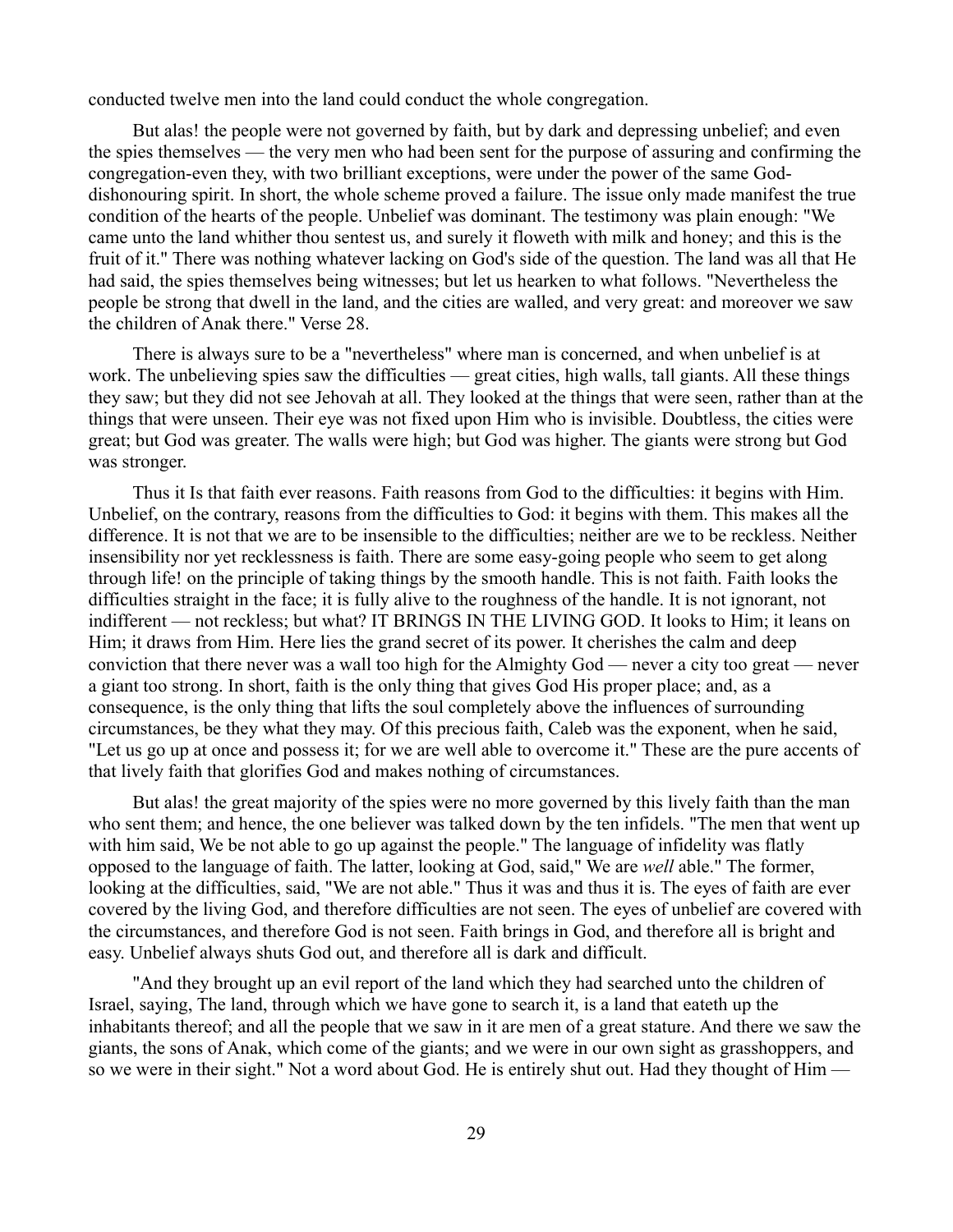conducted twelve men into the land could conduct the whole congregation.

But alas! the people were not governed by faith, but by dark and depressing unbelief; and even the spies themselves — the very men who had been sent for the purpose of assuring and confirming the congregation-even they, with two brilliant exceptions, were under the power of the same Goddishonouring spirit. In short, the whole scheme proved a failure. The issue only made manifest the true condition of the hearts of the people. Unbelief was dominant. The testimony was plain enough: "We came unto the land whither thou sentest us, and surely it floweth with milk and honey; and this is the fruit of it." There was nothing whatever lacking on God's side of the question. The land was all that He had said, the spies themselves being witnesses; but let us hearken to what follows. "Nevertheless the people be strong that dwell in the land, and the cities are walled, and very great: and moreover we saw the children of Anak there." Verse 28.

There is always sure to be a "nevertheless" where man is concerned, and when unbelief is at work. The unbelieving spies saw the difficulties — great cities, high walls, tall giants. All these things they saw; but they did not see Jehovah at all. They looked at the things that were seen, rather than at the things that were unseen. Their eye was not fixed upon Him who is invisible. Doubtless, the cities were great; but God was greater. The walls were high; but God was higher. The giants were strong but God was stronger.

Thus it Is that faith ever reasons. Faith reasons from God to the difficulties: it begins with Him. Unbelief, on the contrary, reasons from the difficulties to God: it begins with them. This makes all the difference. It is not that we are to be insensible to the difficulties; neither are we to be reckless. Neither insensibility nor yet recklessness is faith. There are some easy-going people who seem to get along through life! on the principle of taking things by the smooth handle. This is not faith. Faith looks the difficulties straight in the face; it is fully alive to the roughness of the handle. It is not ignorant, not indifferent — not reckless; but what? IT BRINGS IN THE LIVING GOD. It looks to Him; it leans on Him; it draws from Him. Here lies the grand secret of its power. It cherishes the calm and deep conviction that there never was a wall too high for the Almighty God — never a city too great — never a giant too strong. In short, faith is the only thing that gives God His proper place; and, as a consequence, is the only thing that lifts the soul completely above the influences of surrounding circumstances, be they what they may. Of this precious faith, Caleb was the exponent, when he said, "Let us go up at once and possess it; for we are well able to overcome it." These are the pure accents of that lively faith that glorifies God and makes nothing of circumstances.

But alas! the great majority of the spies were no more governed by this lively faith than the man who sent them; and hence, the one believer was talked down by the ten infidels. "The men that went up with him said, We be not able to go up against the people." The language of infidelity was flatly opposed to the language of faith. The latter, looking at God, said," We are *well* able." The former, looking at the difficulties, said, "We are not able." Thus it was and thus it is. The eyes of faith are ever covered by the living God, and therefore difficulties are not seen. The eyes of unbelief are covered with the circumstances, and therefore God is not seen. Faith brings in God, and therefore all is bright and easy. Unbelief always shuts God out, and therefore all is dark and difficult.

"And they brought up an evil report of the land which they had searched unto the children of Israel, saying, The land, through which we have gone to search it, is a land that eateth up the inhabitants thereof; and all the people that we saw in it are men of a great stature. And there we saw the giants, the sons of Anak, which come of the giants; and we were in our own sight as grasshoppers, and so we were in their sight." Not a word about God. He is entirely shut out. Had they thought of Him —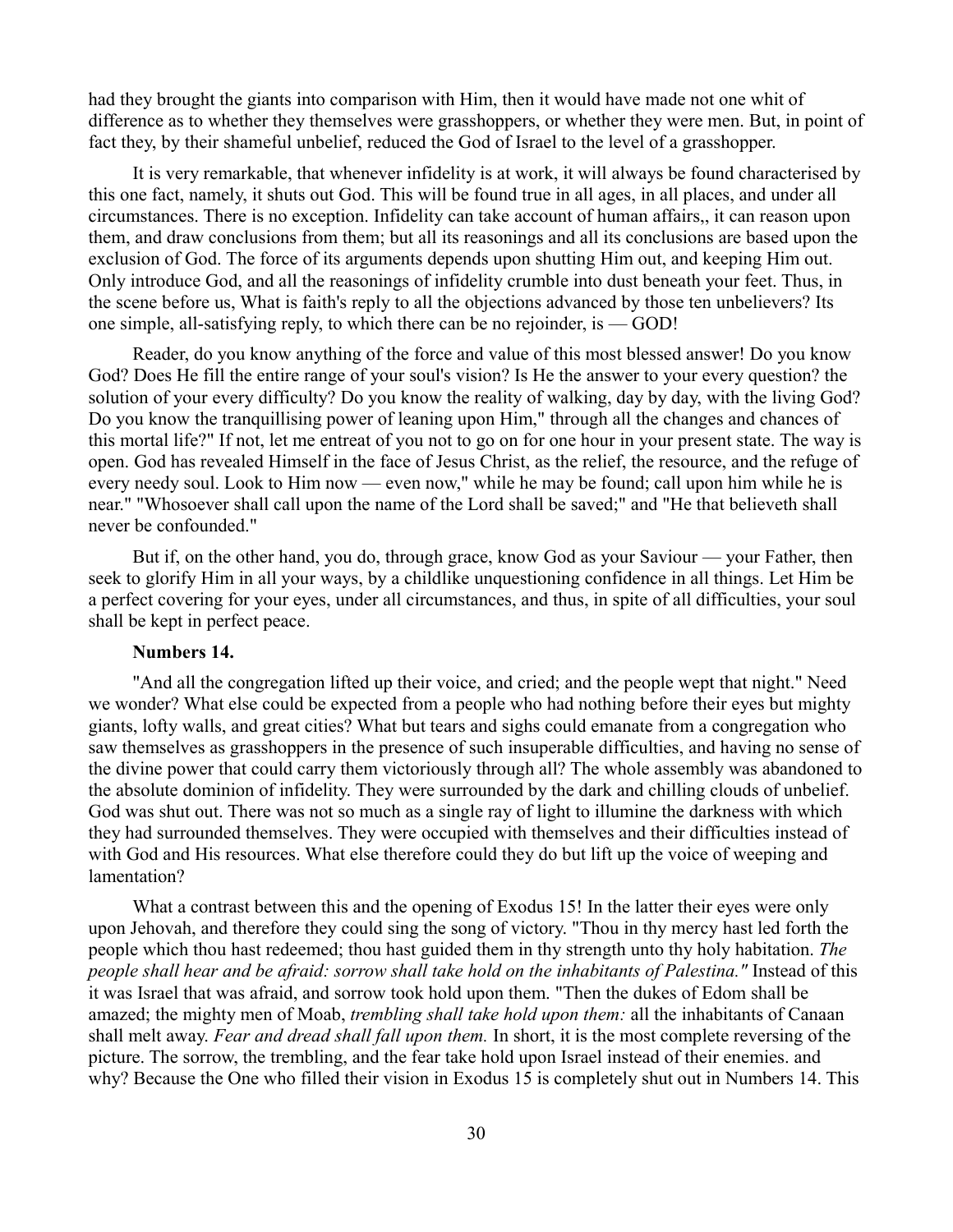had they brought the giants into comparison with Him, then it would have made not one whit of difference as to whether they themselves were grasshoppers, or whether they were men. But, in point of fact they, by their shameful unbelief, reduced the God of Israel to the level of a grasshopper.

It is very remarkable, that whenever infidelity is at work, it will always be found characterised by this one fact, namely, it shuts out God. This will be found true in all ages, in all places, and under all circumstances. There is no exception. Infidelity can take account of human affairs,, it can reason upon them, and draw conclusions from them; but all its reasonings and all its conclusions are based upon the exclusion of God. The force of its arguments depends upon shutting Him out, and keeping Him out. Only introduce God, and all the reasonings of infidelity crumble into dust beneath your feet. Thus, in the scene before us, What is faith's reply to all the objections advanced by those ten unbelievers? Its one simple, all-satisfying reply, to which there can be no rejoinder, is — GOD!

Reader, do you know anything of the force and value of this most blessed answer! Do you know God? Does He fill the entire range of your soul's vision? Is He the answer to your every question? the solution of your every difficulty? Do you know the reality of walking, day by day, with the living God? Do you know the tranquillising power of leaning upon Him," through all the changes and chances of this mortal life?" If not, let me entreat of you not to go on for one hour in your present state. The way is open. God has revealed Himself in the face of Jesus Christ, as the relief, the resource, and the refuge of every needy soul. Look to Him now — even now," while he may be found; call upon him while he is near." "Whosoever shall call upon the name of the Lord shall be saved;" and "He that believeth shall never be confounded."

But if, on the other hand, you do, through grace, know God as your Saviour — your Father, then seek to glorify Him in all your ways, by a childlike unquestioning confidence in all things. Let Him be a perfect covering for your eyes, under all circumstances, and thus, in spite of all difficulties, your soul shall be kept in perfect peace.

# **Numbers 14.**

"And all the congregation lifted up their voice, and cried; and the people wept that night." Need we wonder? What else could be expected from a people who had nothing before their eyes but mighty giants, lofty walls, and great cities? What but tears and sighs could emanate from a congregation who saw themselves as grasshoppers in the presence of such insuperable difficulties, and having no sense of the divine power that could carry them victoriously through all? The whole assembly was abandoned to the absolute dominion of infidelity. They were surrounded by the dark and chilling clouds of unbelief. God was shut out. There was not so much as a single ray of light to illumine the darkness with which they had surrounded themselves. They were occupied with themselves and their difficulties instead of with God and His resources. What else therefore could they do but lift up the voice of weeping and lamentation?

What a contrast between this and the opening of Exodus 15! In the latter their eyes were only upon Jehovah, and therefore they could sing the song of victory. "Thou in thy mercy hast led forth the people which thou hast redeemed; thou hast guided them in thy strength unto thy holy habitation. *The people shall hear and be afraid: sorrow shall take hold on the inhabitants of Palestina."* Instead of this it was Israel that was afraid, and sorrow took hold upon them. "Then the dukes of Edom shall be amazed; the mighty men of Moab, *trembling shall take hold upon them:* all the inhabitants of Canaan shall melt away. *Fear and dread shall fall upon them.* In short, it is the most complete reversing of the picture. The sorrow, the trembling, and the fear take hold upon Israel instead of their enemies. and why? Because the One who filled their vision in Exodus 15 is completely shut out in Numbers 14. This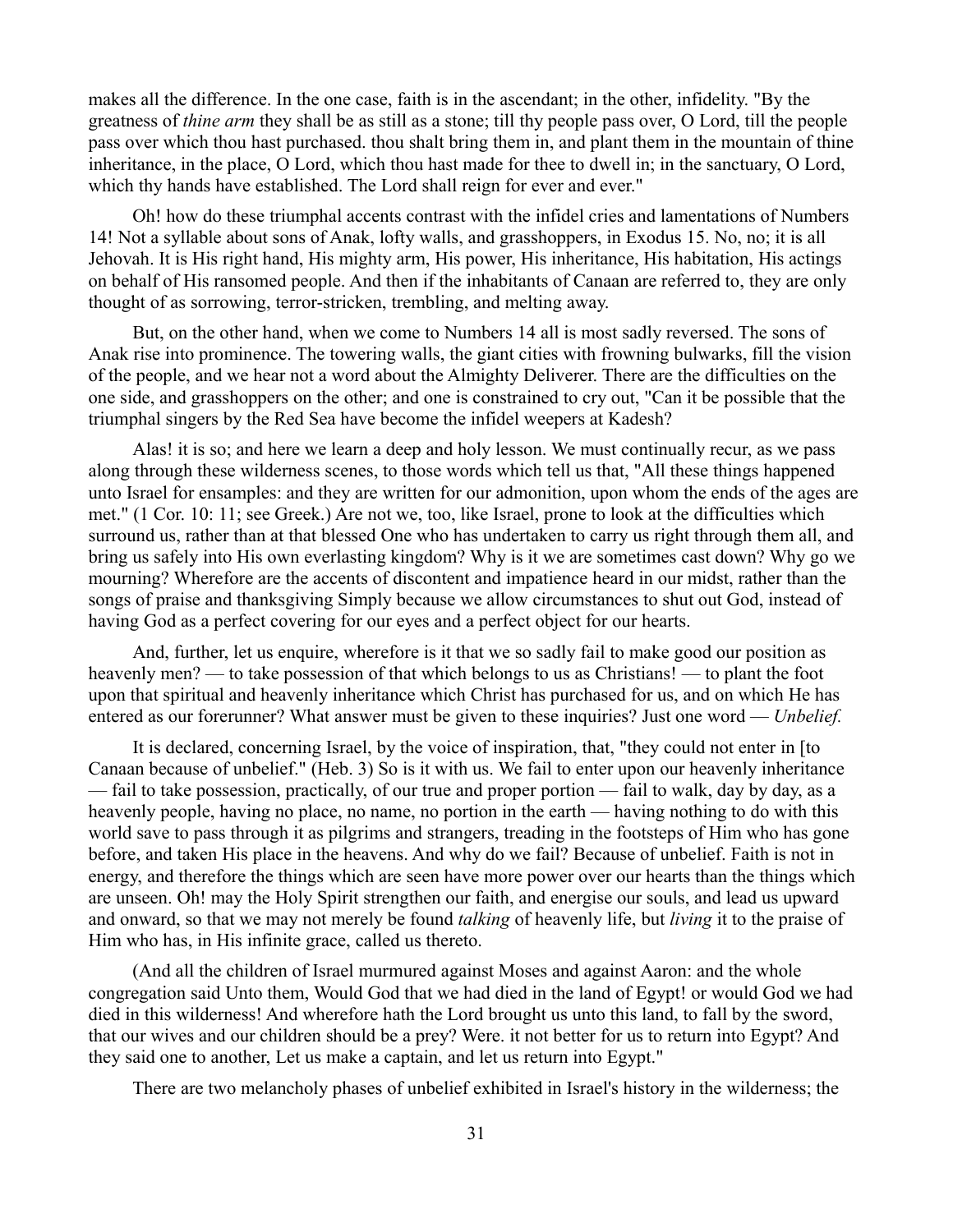makes all the difference. In the one case, faith is in the ascendant; in the other, infidelity. "By the greatness of *thine arm* they shall be as still as a stone; till thy people pass over, O Lord, till the people pass over which thou hast purchased. thou shalt bring them in, and plant them in the mountain of thine inheritance, in the place, O Lord, which thou hast made for thee to dwell in; in the sanctuary, O Lord, which thy hands have established. The Lord shall reign for ever and ever."

Oh! how do these triumphal accents contrast with the infidel cries and lamentations of Numbers 14! Not a syllable about sons of Anak, lofty walls, and grasshoppers, in Exodus 15. No, no; it is all Jehovah. It is His right hand, His mighty arm, His power, His inheritance, His habitation, His actings on behalf of His ransomed people. And then if the inhabitants of Canaan are referred to, they are only thought of as sorrowing, terror-stricken, trembling, and melting away.

But, on the other hand, when we come to Numbers 14 all is most sadly reversed. The sons of Anak rise into prominence. The towering walls, the giant cities with frowning bulwarks, fill the vision of the people, and we hear not a word about the Almighty Deliverer. There are the difficulties on the one side, and grasshoppers on the other; and one is constrained to cry out, "Can it be possible that the triumphal singers by the Red Sea have become the infidel weepers at Kadesh?

Alas! it is so; and here we learn a deep and holy lesson. We must continually recur, as we pass along through these wilderness scenes, to those words which tell us that, "All these things happened unto Israel for ensamples: and they are written for our admonition, upon whom the ends of the ages are met." (1 Cor. 10: 11; see Greek.) Are not we, too, like Israel, prone to look at the difficulties which surround us, rather than at that blessed One who has undertaken to carry us right through them all, and bring us safely into His own everlasting kingdom? Why is it we are sometimes cast down? Why go we mourning? Wherefore are the accents of discontent and impatience heard in our midst, rather than the songs of praise and thanksgiving Simply because we allow circumstances to shut out God, instead of having God as a perfect covering for our eyes and a perfect object for our hearts.

And, further, let us enquire, wherefore is it that we so sadly fail to make good our position as heavenly men? — to take possession of that which belongs to us as Christians! — to plant the foot upon that spiritual and heavenly inheritance which Christ has purchased for us, and on which He has entered as our forerunner? What answer must be given to these inquiries? Just one word — *Unbelief.*

It is declared, concerning Israel, by the voice of inspiration, that, "they could not enter in [to Canaan because of unbelief." (Heb. 3) So is it with us. We fail to enter upon our heavenly inheritance — fail to take possession, practically, of our true and proper portion — fail to walk, day by day, as a heavenly people, having no place, no name, no portion in the earth — having nothing to do with this world save to pass through it as pilgrims and strangers, treading in the footsteps of Him who has gone before, and taken His place in the heavens. And why do we fail? Because of unbelief. Faith is not in energy, and therefore the things which are seen have more power over our hearts than the things which are unseen. Oh! may the Holy Spirit strengthen our faith, and energise our souls, and lead us upward and onward, so that we may not merely be found *talking* of heavenly life, but *living* it to the praise of Him who has, in His infinite grace, called us thereto.

(And all the children of Israel murmured against Moses and against Aaron: and the whole congregation said Unto them, Would God that we had died in the land of Egypt! or would God we had died in this wilderness! And wherefore hath the Lord brought us unto this land, to fall by the sword, that our wives and our children should be a prey? Were. it not better for us to return into Egypt? And they said one to another, Let us make a captain, and let us return into Egypt."

There are two melancholy phases of unbelief exhibited in Israel's history in the wilderness; the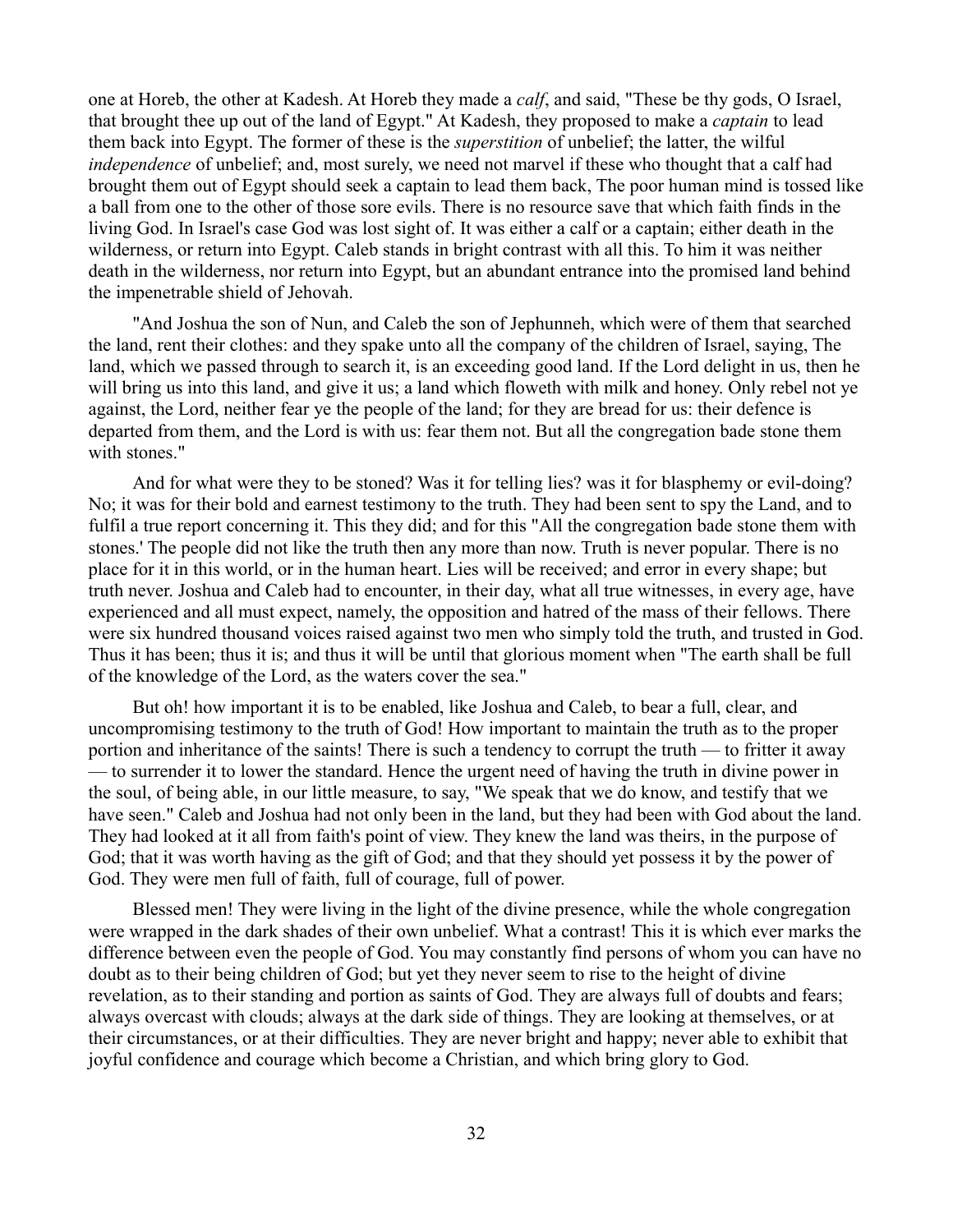one at Horeb, the other at Kadesh. At Horeb they made a *calf*, and said, "These be thy gods, O Israel, that brought thee up out of the land of Egypt." At Kadesh, they proposed to make a *captain* to lead them back into Egypt. The former of these is the *superstition* of unbelief; the latter, the wilful *independence* of unbelief; and, most surely, we need not marvel if these who thought that a calf had brought them out of Egypt should seek a captain to lead them back, The poor human mind is tossed like a ball from one to the other of those sore evils. There is no resource save that which faith finds in the living God. In Israel's case God was lost sight of. It was either a calf or a captain; either death in the wilderness, or return into Egypt. Caleb stands in bright contrast with all this. To him it was neither death in the wilderness, nor return into Egypt, but an abundant entrance into the promised land behind the impenetrable shield of Jehovah.

"And Joshua the son of Nun, and Caleb the son of Jephunneh, which were of them that searched the land, rent their clothes: and they spake unto all the company of the children of Israel, saying, The land, which we passed through to search it, is an exceeding good land. If the Lord delight in us, then he will bring us into this land, and give it us; a land which floweth with milk and honey. Only rebel not ye against, the Lord, neither fear ye the people of the land; for they are bread for us: their defence is departed from them, and the Lord is with us: fear them not. But all the congregation bade stone them with stones."

And for what were they to be stoned? Was it for telling lies? was it for blasphemy or evil-doing? No; it was for their bold and earnest testimony to the truth. They had been sent to spy the Land, and to fulfil a true report concerning it. This they did; and for this "All the congregation bade stone them with stones.' The people did not like the truth then any more than now. Truth is never popular. There is no place for it in this world, or in the human heart. Lies will be received; and error in every shape; but truth never. Joshua and Caleb had to encounter, in their day, what all true witnesses, in every age, have experienced and all must expect, namely, the opposition and hatred of the mass of their fellows. There were six hundred thousand voices raised against two men who simply told the truth, and trusted in God. Thus it has been; thus it is; and thus it will be until that glorious moment when "The earth shall be full of the knowledge of the Lord, as the waters cover the sea."

But oh! how important it is to be enabled, like Joshua and Caleb, to bear a full, clear, and uncompromising testimony to the truth of God! How important to maintain the truth as to the proper portion and inheritance of the saints! There is such a tendency to corrupt the truth — to fritter it away — to surrender it to lower the standard. Hence the urgent need of having the truth in divine power in the soul, of being able, in our little measure, to say, "We speak that we do know, and testify that we have seen." Caleb and Joshua had not only been in the land, but they had been with God about the land. They had looked at it all from faith's point of view. They knew the land was theirs, in the purpose of God; that it was worth having as the gift of God; and that they should yet possess it by the power of God. They were men full of faith, full of courage, full of power.

Blessed men! They were living in the light of the divine presence, while the whole congregation were wrapped in the dark shades of their own unbelief. What a contrast! This it is which ever marks the difference between even the people of God. You may constantly find persons of whom you can have no doubt as to their being children of God; but yet they never seem to rise to the height of divine revelation, as to their standing and portion as saints of God. They are always full of doubts and fears; always overcast with clouds; always at the dark side of things. They are looking at themselves, or at their circumstances, or at their difficulties. They are never bright and happy; never able to exhibit that joyful confidence and courage which become a Christian, and which bring glory to God.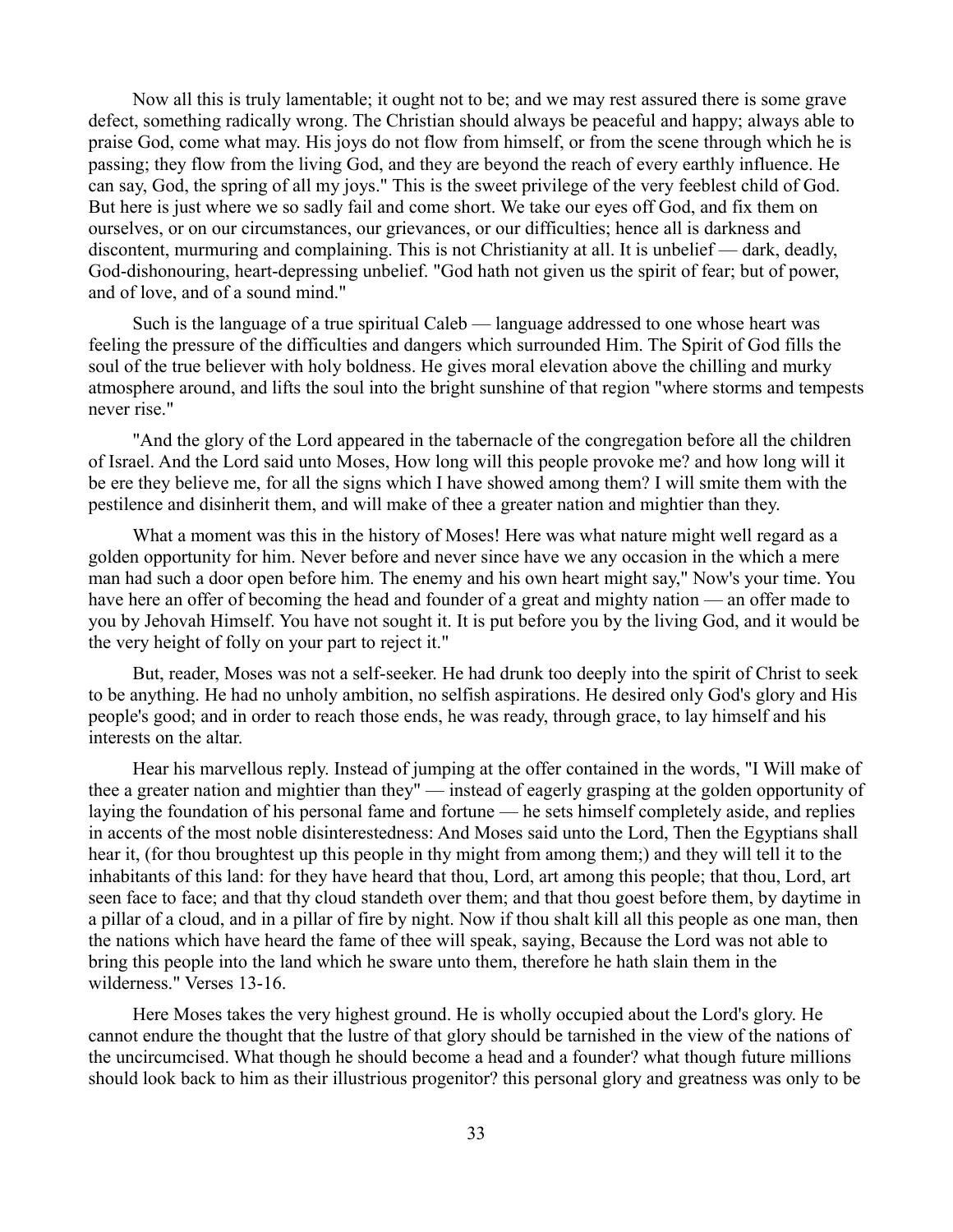Now all this is truly lamentable; it ought not to be; and we may rest assured there is some grave defect, something radically wrong. The Christian should always be peaceful and happy; always able to praise God, come what may. His joys do not flow from himself, or from the scene through which he is passing; they flow from the living God, and they are beyond the reach of every earthly influence. He can say, God, the spring of all my joys." This is the sweet privilege of the very feeblest child of God. But here is just where we so sadly fail and come short. We take our eyes off God, and fix them on ourselves, or on our circumstances, our grievances, or our difficulties; hence all is darkness and discontent, murmuring and complaining. This is not Christianity at all. It is unbelief — dark, deadly, God-dishonouring, heart-depressing unbelief. "God hath not given us the spirit of fear; but of power, and of love, and of a sound mind."

Such is the language of a true spiritual Caleb — language addressed to one whose heart was feeling the pressure of the difficulties and dangers which surrounded Him. The Spirit of God fills the soul of the true believer with holy boldness. He gives moral elevation above the chilling and murky atmosphere around, and lifts the soul into the bright sunshine of that region "where storms and tempests never rise."

"And the glory of the Lord appeared in the tabernacle of the congregation before all the children of Israel. And the Lord said unto Moses, How long will this people provoke me? and how long will it be ere they believe me, for all the signs which I have showed among them? I will smite them with the pestilence and disinherit them, and will make of thee a greater nation and mightier than they.

What a moment was this in the history of Moses! Here was what nature might well regard as a golden opportunity for him. Never before and never since have we any occasion in the which a mere man had such a door open before him. The enemy and his own heart might say," Now's your time. You have here an offer of becoming the head and founder of a great and mighty nation — an offer made to you by Jehovah Himself. You have not sought it. It is put before you by the living God, and it would be the very height of folly on your part to reject it."

But, reader, Moses was not a self-seeker. He had drunk too deeply into the spirit of Christ to seek to be anything. He had no unholy ambition, no selfish aspirations. He desired only God's glory and His people's good; and in order to reach those ends, he was ready, through grace, to lay himself and his interests on the altar.

Hear his marvellous reply. Instead of jumping at the offer contained in the words, "I Will make of thee a greater nation and mightier than they" — instead of eagerly grasping at the golden opportunity of laying the foundation of his personal fame and fortune — he sets himself completely aside, and replies in accents of the most noble disinterestedness: And Moses said unto the Lord, Then the Egyptians shall hear it, (for thou broughtest up this people in thy might from among them;) and they will tell it to the inhabitants of this land: for they have heard that thou, Lord, art among this people; that thou, Lord, art seen face to face; and that thy cloud standeth over them; and that thou goest before them, by daytime in a pillar of a cloud, and in a pillar of fire by night. Now if thou shalt kill all this people as one man, then the nations which have heard the fame of thee will speak, saying, Because the Lord was not able to bring this people into the land which he sware unto them, therefore he hath slain them in the wilderness." Verses 13-16.

Here Moses takes the very highest ground. He is wholly occupied about the Lord's glory. He cannot endure the thought that the lustre of that glory should be tarnished in the view of the nations of the uncircumcised. What though he should become a head and a founder? what though future millions should look back to him as their illustrious progenitor? this personal glory and greatness was only to be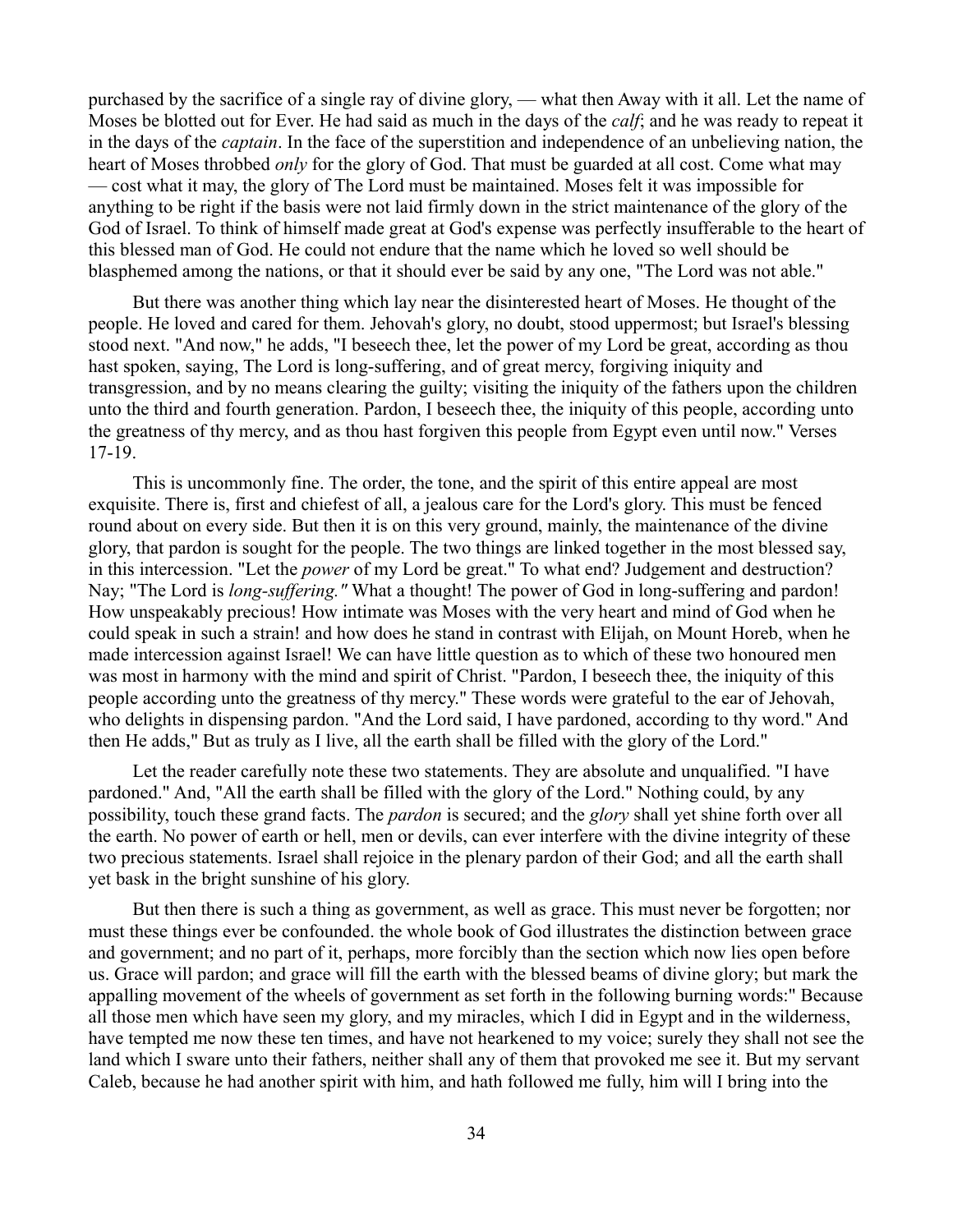purchased by the sacrifice of a single ray of divine glory, — what then Away with it all. Let the name of Moses be blotted out for Ever. He had said as much in the days of the *calf*; and he was ready to repeat it in the days of the *captain*. In the face of the superstition and independence of an unbelieving nation, the heart of Moses throbbed *only* for the glory of God. That must be guarded at all cost. Come what may — cost what it may, the glory of The Lord must be maintained. Moses felt it was impossible for anything to be right if the basis were not laid firmly down in the strict maintenance of the glory of the God of Israel. To think of himself made great at God's expense was perfectly insufferable to the heart of this blessed man of God. He could not endure that the name which he loved so well should be blasphemed among the nations, or that it should ever be said by any one, "The Lord was not able."

But there was another thing which lay near the disinterested heart of Moses. He thought of the people. He loved and cared for them. Jehovah's glory, no doubt, stood uppermost; but Israel's blessing stood next. "And now," he adds, "I beseech thee, let the power of my Lord be great, according as thou hast spoken, saying, The Lord is long-suffering, and of great mercy, forgiving iniquity and transgression, and by no means clearing the guilty; visiting the iniquity of the fathers upon the children unto the third and fourth generation. Pardon, I beseech thee, the iniquity of this people, according unto the greatness of thy mercy, and as thou hast forgiven this people from Egypt even until now." Verses 17-19.

This is uncommonly fine. The order, the tone, and the spirit of this entire appeal are most exquisite. There is, first and chiefest of all, a jealous care for the Lord's glory. This must be fenced round about on every side. But then it is on this very ground, mainly, the maintenance of the divine glory, that pardon is sought for the people. The two things are linked together in the most blessed say, in this intercession. "Let the *power* of my Lord be great." To what end? Judgement and destruction? Nay; "The Lord is *long-suffering."* What a thought! The power of God in long-suffering and pardon! How unspeakably precious! How intimate was Moses with the very heart and mind of God when he could speak in such a strain! and how does he stand in contrast with Elijah, on Mount Horeb, when he made intercession against Israel! We can have little question as to which of these two honoured men was most in harmony with the mind and spirit of Christ. "Pardon, I beseech thee, the iniquity of this people according unto the greatness of thy mercy." These words were grateful to the ear of Jehovah, who delights in dispensing pardon. "And the Lord said, I have pardoned, according to thy word." And then He adds," But as truly as I live, all the earth shall be filled with the glory of the Lord."

Let the reader carefully note these two statements. They are absolute and unqualified. "I have pardoned." And, "All the earth shall be filled with the glory of the Lord." Nothing could, by any possibility, touch these grand facts. The *pardon* is secured; and the *glory* shall yet shine forth over all the earth. No power of earth or hell, men or devils, can ever interfere with the divine integrity of these two precious statements. Israel shall rejoice in the plenary pardon of their God; and all the earth shall yet bask in the bright sunshine of his glory.

But then there is such a thing as government, as well as grace. This must never be forgotten; nor must these things ever be confounded. the whole book of God illustrates the distinction between grace and government; and no part of it, perhaps, more forcibly than the section which now lies open before us. Grace will pardon; and grace will fill the earth with the blessed beams of divine glory; but mark the appalling movement of the wheels of government as set forth in the following burning words:" Because all those men which have seen my glory, and my miracles, which I did in Egypt and in the wilderness, have tempted me now these ten times, and have not hearkened to my voice; surely they shall not see the land which I sware unto their fathers, neither shall any of them that provoked me see it. But my servant Caleb, because he had another spirit with him, and hath followed me fully, him will I bring into the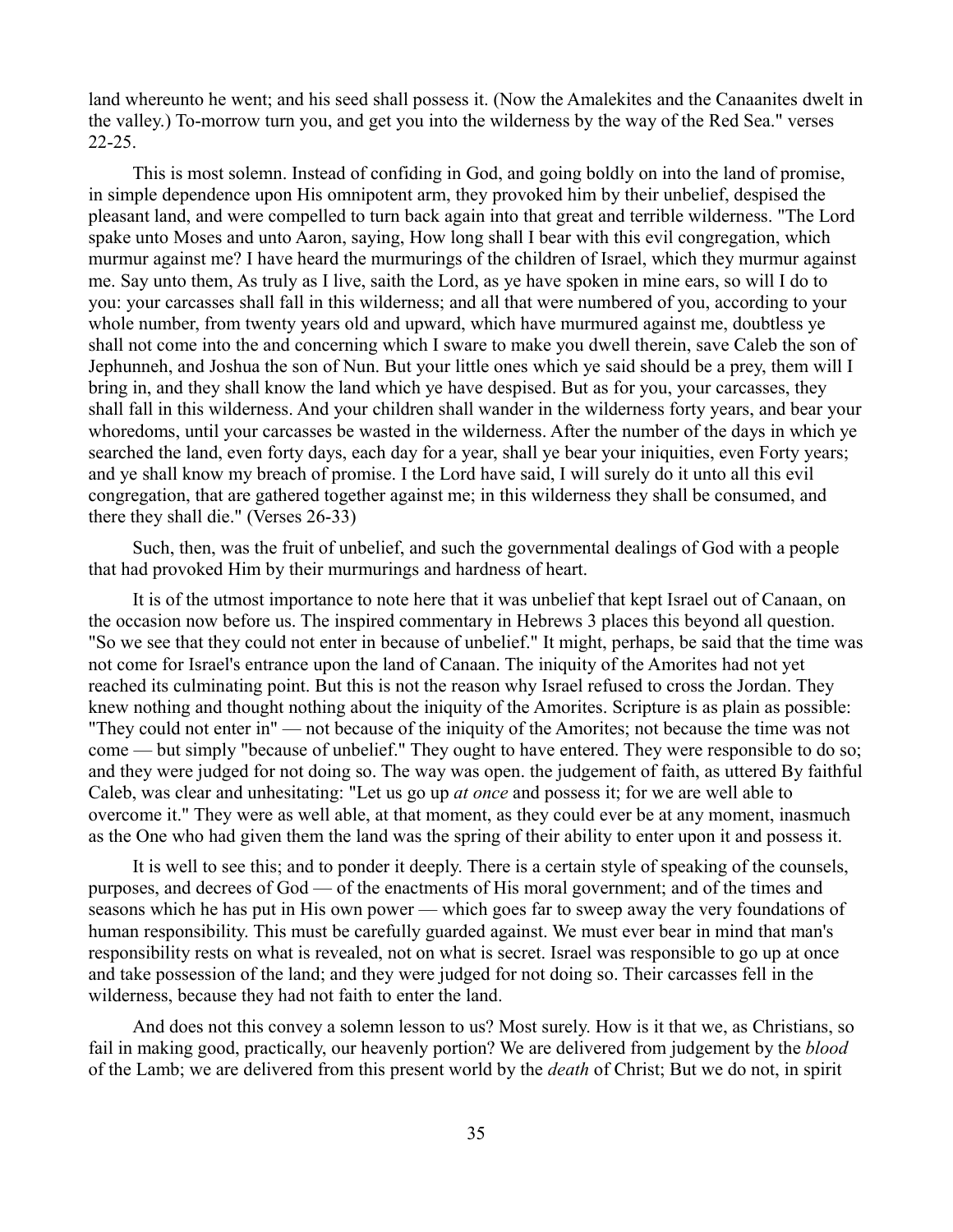land whereunto he went; and his seed shall possess it. (Now the Amalekites and the Canaanites dwelt in the valley.) To-morrow turn you, and get you into the wilderness by the way of the Red Sea." verses 22-25.

This is most solemn. Instead of confiding in God, and going boldly on into the land of promise, in simple dependence upon His omnipotent arm, they provoked him by their unbelief, despised the pleasant land, and were compelled to turn back again into that great and terrible wilderness. "The Lord spake unto Moses and unto Aaron, saying, How long shall I bear with this evil congregation, which murmur against me? I have heard the murmurings of the children of Israel, which they murmur against me. Say unto them, As truly as I live, saith the Lord, as ye have spoken in mine ears, so will I do to you: your carcasses shall fall in this wilderness; and all that were numbered of you, according to your whole number, from twenty years old and upward, which have murmured against me, doubtless ye shall not come into the and concerning which I sware to make you dwell therein, save Caleb the son of Jephunneh, and Joshua the son of Nun. But your little ones which ye said should be a prey, them will I bring in, and they shall know the land which ye have despised. But as for you, your carcasses, they shall fall in this wilderness. And your children shall wander in the wilderness forty years, and bear your whoredoms, until your carcasses be wasted in the wilderness. After the number of the days in which ye searched the land, even forty days, each day for a year, shall ye bear your iniquities, even Forty years; and ye shall know my breach of promise. I the Lord have said, I will surely do it unto all this evil congregation, that are gathered together against me; in this wilderness they shall be consumed, and there they shall die." (Verses 26-33)

Such, then, was the fruit of unbelief, and such the governmental dealings of God with a people that had provoked Him by their murmurings and hardness of heart.

It is of the utmost importance to note here that it was unbelief that kept Israel out of Canaan, on the occasion now before us. The inspired commentary in Hebrews 3 places this beyond all question. "So we see that they could not enter in because of unbelief." It might, perhaps, be said that the time was not come for Israel's entrance upon the land of Canaan. The iniquity of the Amorites had not yet reached its culminating point. But this is not the reason why Israel refused to cross the Jordan. They knew nothing and thought nothing about the iniquity of the Amorites. Scripture is as plain as possible: "They could not enter in" — not because of the iniquity of the Amorites; not because the time was not come — but simply "because of unbelief." They ought to have entered. They were responsible to do so; and they were judged for not doing so. The way was open. the judgement of faith, as uttered By faithful Caleb, was clear and unhesitating: "Let us go up *at once* and possess it; for we are well able to overcome it." They were as well able, at that moment, as they could ever be at any moment, inasmuch as the One who had given them the land was the spring of their ability to enter upon it and possess it.

It is well to see this; and to ponder it deeply. There is a certain style of speaking of the counsels, purposes, and decrees of God — of the enactments of His moral government; and of the times and seasons which he has put in His own power — which goes far to sweep away the very foundations of human responsibility. This must be carefully guarded against. We must ever bear in mind that man's responsibility rests on what is revealed, not on what is secret. Israel was responsible to go up at once and take possession of the land; and they were judged for not doing so. Their carcasses fell in the wilderness, because they had not faith to enter the land.

And does not this convey a solemn lesson to us? Most surely. How is it that we, as Christians, so fail in making good, practically, our heavenly portion? We are delivered from judgement by the *blood* of the Lamb; we are delivered from this present world by the *death* of Christ; But we do not, in spirit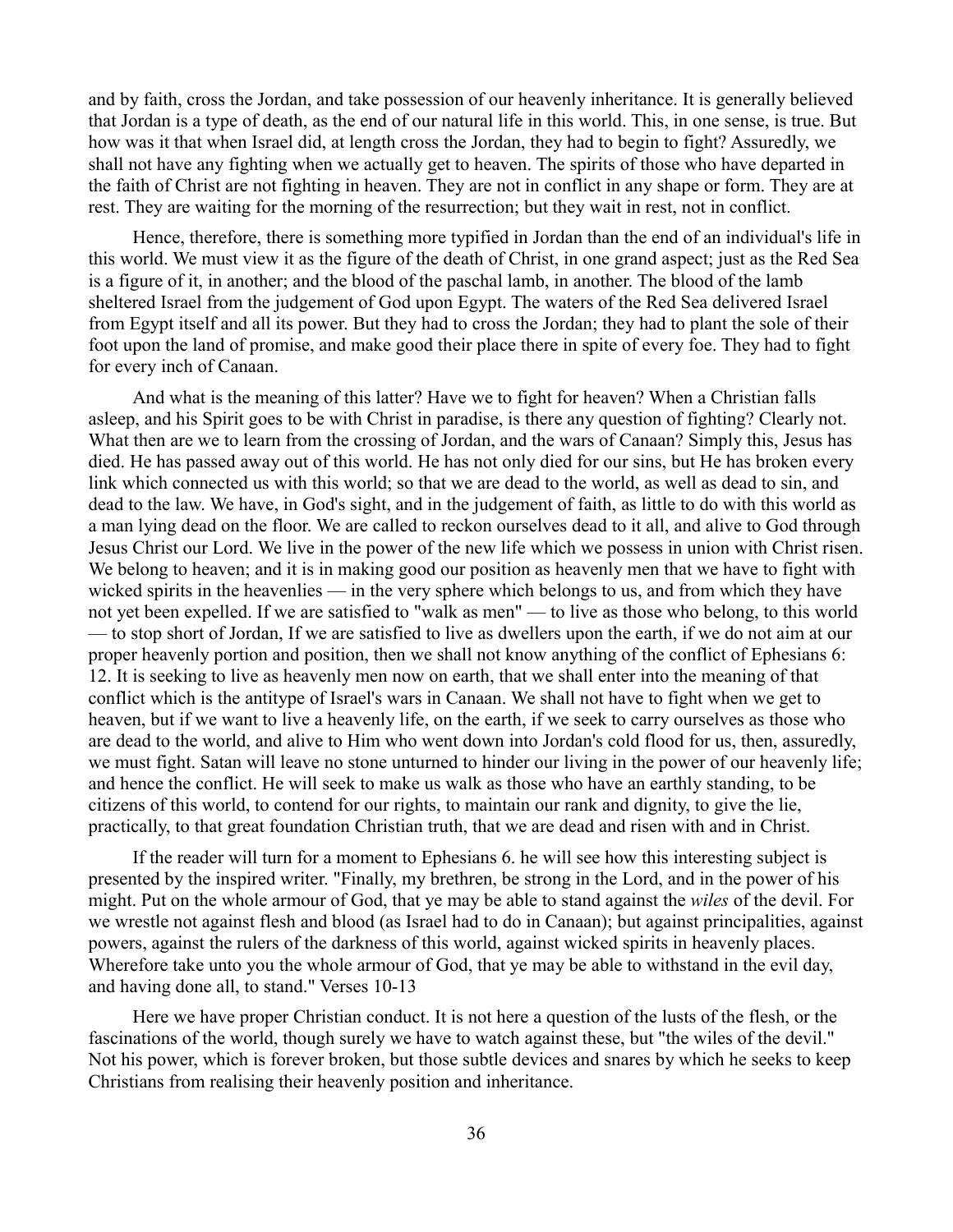and by faith, cross the Jordan, and take possession of our heavenly inheritance. It is generally believed that Jordan is a type of death, as the end of our natural life in this world. This, in one sense, is true. But how was it that when Israel did, at length cross the Jordan, they had to begin to fight? Assuredly, we shall not have any fighting when we actually get to heaven. The spirits of those who have departed in the faith of Christ are not fighting in heaven. They are not in conflict in any shape or form. They are at rest. They are waiting for the morning of the resurrection; but they wait in rest, not in conflict.

Hence, therefore, there is something more typified in Jordan than the end of an individual's life in this world. We must view it as the figure of the death of Christ, in one grand aspect; just as the Red Sea is a figure of it, in another; and the blood of the paschal lamb, in another. The blood of the lamb sheltered Israel from the judgement of God upon Egypt. The waters of the Red Sea delivered Israel from Egypt itself and all its power. But they had to cross the Jordan; they had to plant the sole of their foot upon the land of promise, and make good their place there in spite of every foe. They had to fight for every inch of Canaan.

And what is the meaning of this latter? Have we to fight for heaven? When a Christian falls asleep, and his Spirit goes to be with Christ in paradise, is there any question of fighting? Clearly not. What then are we to learn from the crossing of Jordan, and the wars of Canaan? Simply this, Jesus has died. He has passed away out of this world. He has not only died for our sins, but He has broken every link which connected us with this world; so that we are dead to the world, as well as dead to sin, and dead to the law. We have, in God's sight, and in the judgement of faith, as little to do with this world as a man lying dead on the floor. We are called to reckon ourselves dead to it all, and alive to God through Jesus Christ our Lord. We live in the power of the new life which we possess in union with Christ risen. We belong to heaven; and it is in making good our position as heavenly men that we have to fight with wicked spirits in the heavenlies — in the very sphere which belongs to us, and from which they have not yet been expelled. If we are satisfied to "walk as men" — to live as those who belong, to this world — to stop short of Jordan, If we are satisfied to live as dwellers upon the earth, if we do not aim at our proper heavenly portion and position, then we shall not know anything of the conflict of Ephesians 6: 12. It is seeking to live as heavenly men now on earth, that we shall enter into the meaning of that conflict which is the antitype of Israel's wars in Canaan. We shall not have to fight when we get to heaven, but if we want to live a heavenly life, on the earth, if we seek to carry ourselves as those who are dead to the world, and alive to Him who went down into Jordan's cold flood for us, then, assuredly, we must fight. Satan will leave no stone unturned to hinder our living in the power of our heavenly life; and hence the conflict. He will seek to make us walk as those who have an earthly standing, to be citizens of this world, to contend for our rights, to maintain our rank and dignity, to give the lie, practically, to that great foundation Christian truth, that we are dead and risen with and in Christ.

If the reader will turn for a moment to Ephesians 6. he will see how this interesting subject is presented by the inspired writer. "Finally, my brethren, be strong in the Lord, and in the power of his might. Put on the whole armour of God, that ye may be able to stand against the *wiles* of the devil. For we wrestle not against flesh and blood (as Israel had to do in Canaan); but against principalities, against powers, against the rulers of the darkness of this world, against wicked spirits in heavenly places. Wherefore take unto you the whole armour of God, that ye may be able to withstand in the evil day, and having done all, to stand." Verses 10-13

Here we have proper Christian conduct. It is not here a question of the lusts of the flesh, or the fascinations of the world, though surely we have to watch against these, but "the wiles of the devil." Not his power, which is forever broken, but those subtle devices and snares by which he seeks to keep Christians from realising their heavenly position and inheritance.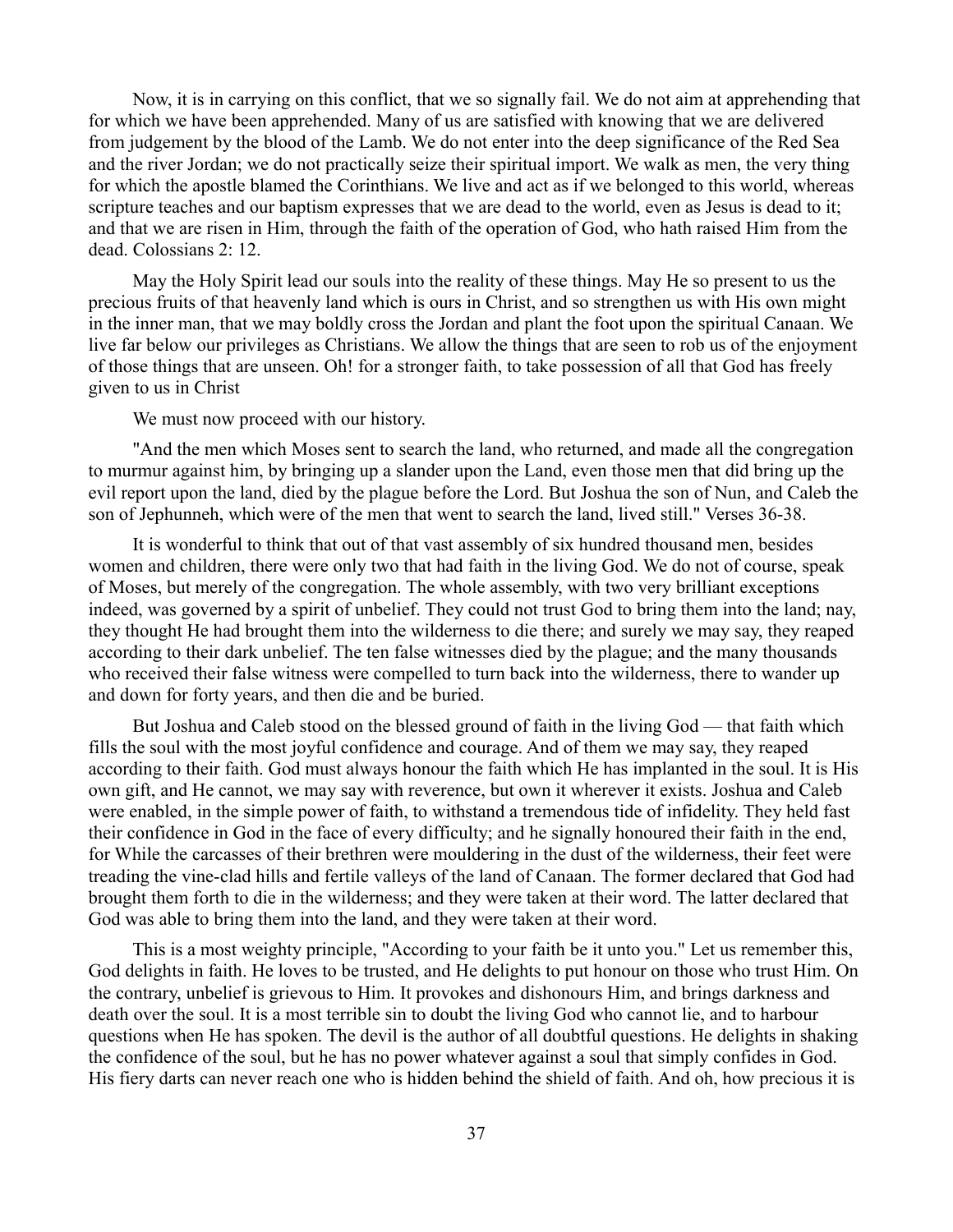Now, it is in carrying on this conflict, that we so signally fail. We do not aim at apprehending that for which we have been apprehended. Many of us are satisfied with knowing that we are delivered from judgement by the blood of the Lamb. We do not enter into the deep significance of the Red Sea and the river Jordan; we do not practically seize their spiritual import. We walk as men, the very thing for which the apostle blamed the Corinthians. We live and act as if we belonged to this world, whereas scripture teaches and our baptism expresses that we are dead to the world, even as Jesus is dead to it; and that we are risen in Him, through the faith of the operation of God, who hath raised Him from the dead. Colossians 2: 12.

May the Holy Spirit lead our souls into the reality of these things. May He so present to us the precious fruits of that heavenly land which is ours in Christ, and so strengthen us with His own might in the inner man, that we may boldly cross the Jordan and plant the foot upon the spiritual Canaan. We live far below our privileges as Christians. We allow the things that are seen to rob us of the enjoyment of those things that are unseen. Oh! for a stronger faith, to take possession of all that God has freely given to us in Christ

We must now proceed with our history.

"And the men which Moses sent to search the land, who returned, and made all the congregation to murmur against him, by bringing up a slander upon the Land, even those men that did bring up the evil report upon the land, died by the plague before the Lord. But Joshua the son of Nun, and Caleb the son of Jephunneh, which were of the men that went to search the land, lived still." Verses 36-38.

It is wonderful to think that out of that vast assembly of six hundred thousand men, besides women and children, there were only two that had faith in the living God. We do not of course, speak of Moses, but merely of the congregation. The whole assembly, with two very brilliant exceptions indeed, was governed by a spirit of unbelief. They could not trust God to bring them into the land; nay, they thought He had brought them into the wilderness to die there; and surely we may say, they reaped according to their dark unbelief. The ten false witnesses died by the plague; and the many thousands who received their false witness were compelled to turn back into the wilderness, there to wander up and down for forty years, and then die and be buried.

But Joshua and Caleb stood on the blessed ground of faith in the living God — that faith which fills the soul with the most joyful confidence and courage. And of them we may say, they reaped according to their faith. God must always honour the faith which He has implanted in the soul. It is His own gift, and He cannot, we may say with reverence, but own it wherever it exists. Joshua and Caleb were enabled, in the simple power of faith, to withstand a tremendous tide of infidelity. They held fast their confidence in God in the face of every difficulty; and he signally honoured their faith in the end, for While the carcasses of their brethren were mouldering in the dust of the wilderness, their feet were treading the vine-clad hills and fertile valleys of the land of Canaan. The former declared that God had brought them forth to die in the wilderness; and they were taken at their word. The latter declared that God was able to bring them into the land, and they were taken at their word.

This is a most weighty principle, "According to your faith be it unto you." Let us remember this, God delights in faith. He loves to be trusted, and He delights to put honour on those who trust Him. On the contrary, unbelief is grievous to Him. It provokes and dishonours Him, and brings darkness and death over the soul. It is a most terrible sin to doubt the living God who cannot lie, and to harbour questions when He has spoken. The devil is the author of all doubtful questions. He delights in shaking the confidence of the soul, but he has no power whatever against a soul that simply confides in God. His fiery darts can never reach one who is hidden behind the shield of faith. And oh, how precious it is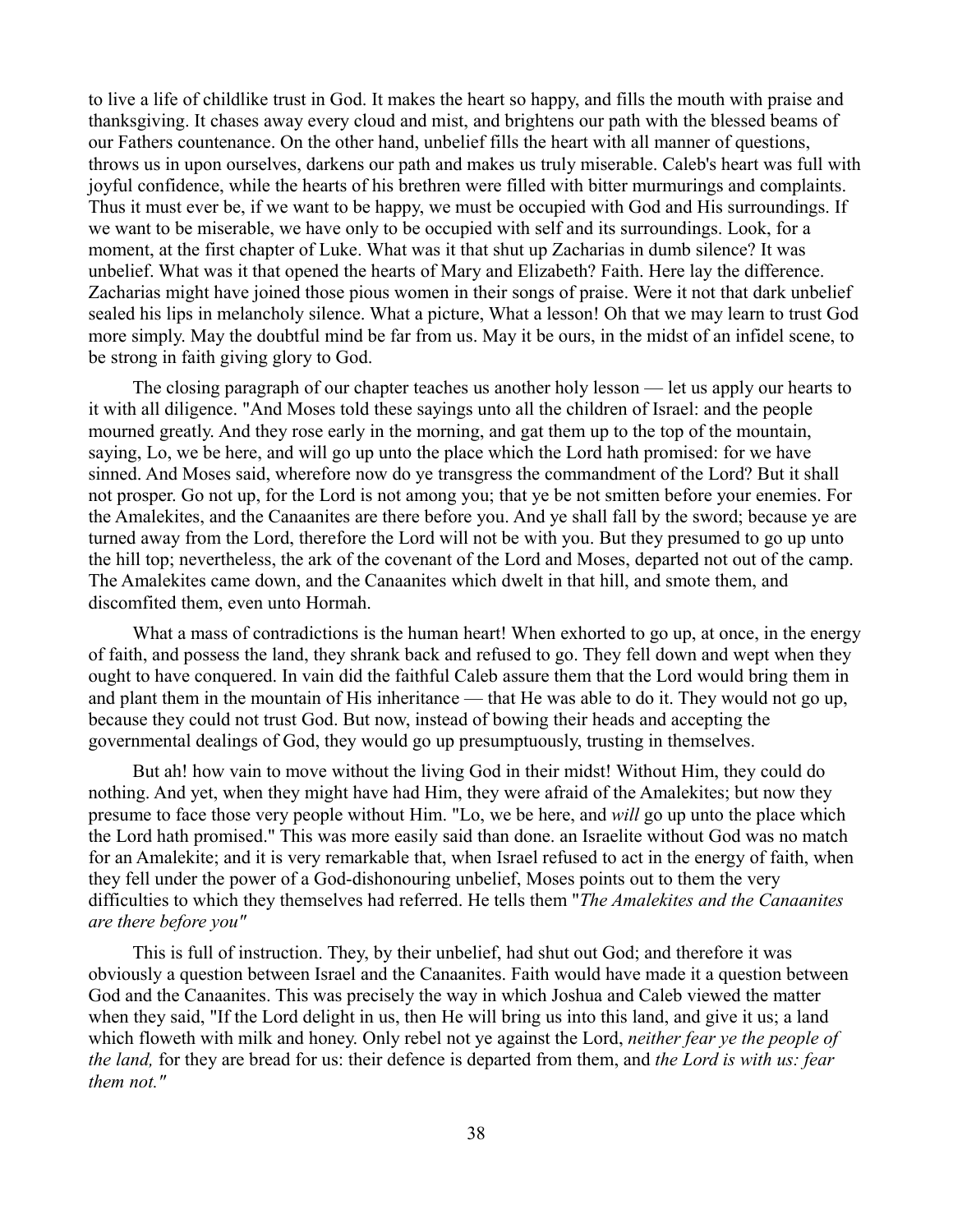to live a life of childlike trust in God. It makes the heart so happy, and fills the mouth with praise and thanksgiving. It chases away every cloud and mist, and brightens our path with the blessed beams of our Fathers countenance. On the other hand, unbelief fills the heart with all manner of questions, throws us in upon ourselves, darkens our path and makes us truly miserable. Caleb's heart was full with joyful confidence, while the hearts of his brethren were filled with bitter murmurings and complaints. Thus it must ever be, if we want to be happy, we must be occupied with God and His surroundings. If we want to be miserable, we have only to be occupied with self and its surroundings. Look, for a moment, at the first chapter of Luke. What was it that shut up Zacharias in dumb silence? It was unbelief. What was it that opened the hearts of Mary and Elizabeth? Faith. Here lay the difference. Zacharias might have joined those pious women in their songs of praise. Were it not that dark unbelief sealed his lips in melancholy silence. What a picture, What a lesson! Oh that we may learn to trust God more simply. May the doubtful mind be far from us. May it be ours, in the midst of an infidel scene, to be strong in faith giving glory to God.

The closing paragraph of our chapter teaches us another holy lesson — let us apply our hearts to it with all diligence. "And Moses told these sayings unto all the children of Israel: and the people mourned greatly. And they rose early in the morning, and gat them up to the top of the mountain, saying, Lo, we be here, and will go up unto the place which the Lord hath promised: for we have sinned. And Moses said, wherefore now do ye transgress the commandment of the Lord? But it shall not prosper. Go not up, for the Lord is not among you; that ye be not smitten before your enemies. For the Amalekites, and the Canaanites are there before you. And ye shall fall by the sword; because ye are turned away from the Lord, therefore the Lord will not be with you. But they presumed to go up unto the hill top; nevertheless, the ark of the covenant of the Lord and Moses, departed not out of the camp. The Amalekites came down, and the Canaanites which dwelt in that hill, and smote them, and discomfited them, even unto Hormah.

What a mass of contradictions is the human heart! When exhorted to go up, at once, in the energy of faith, and possess the land, they shrank back and refused to go. They fell down and wept when they ought to have conquered. In vain did the faithful Caleb assure them that the Lord would bring them in and plant them in the mountain of His inheritance — that He was able to do it. They would not go up, because they could not trust God. But now, instead of bowing their heads and accepting the governmental dealings of God, they would go up presumptuously, trusting in themselves.

But ah! how vain to move without the living God in their midst! Without Him, they could do nothing. And yet, when they might have had Him, they were afraid of the Amalekites; but now they presume to face those very people without Him. "Lo, we be here, and *will* go up unto the place which the Lord hath promised." This was more easily said than done. an Israelite without God was no match for an Amalekite; and it is very remarkable that, when Israel refused to act in the energy of faith, when they fell under the power of a God-dishonouring unbelief, Moses points out to them the very difficulties to which they themselves had referred. He tells them "*The Amalekites and the Canaanites are there before you"*

This is full of instruction. They, by their unbelief, had shut out God; and therefore it was obviously a question between Israel and the Canaanites. Faith would have made it a question between God and the Canaanites. This was precisely the way in which Joshua and Caleb viewed the matter when they said, "If the Lord delight in us, then He will bring us into this land, and give it us; a land which floweth with milk and honey. Only rebel not ye against the Lord, *neither fear ye the people of the land,* for they are bread for us: their defence is departed from them, and *the Lord is with us: fear them not."*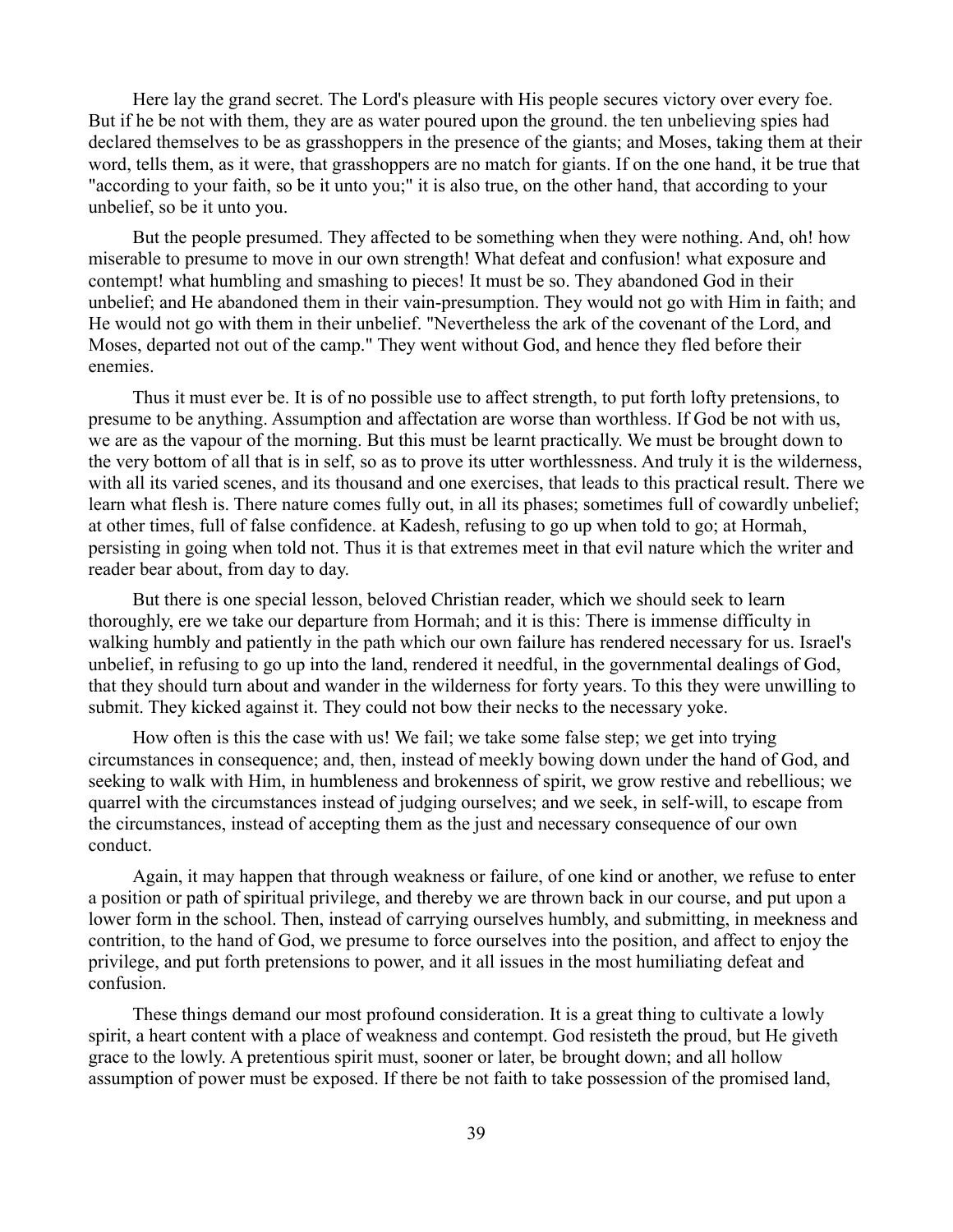Here lay the grand secret. The Lord's pleasure with His people secures victory over every foe. But if he be not with them, they are as water poured upon the ground. the ten unbelieving spies had declared themselves to be as grasshoppers in the presence of the giants; and Moses, taking them at their word, tells them, as it were, that grasshoppers are no match for giants. If on the one hand, it be true that "according to your faith, so be it unto you;" it is also true, on the other hand, that according to your unbelief, so be it unto you.

But the people presumed. They affected to be something when they were nothing. And, oh! how miserable to presume to move in our own strength! What defeat and confusion! what exposure and contempt! what humbling and smashing to pieces! It must be so. They abandoned God in their unbelief; and He abandoned them in their vain-presumption. They would not go with Him in faith; and He would not go with them in their unbelief. "Nevertheless the ark of the covenant of the Lord, and Moses, departed not out of the camp." They went without God, and hence they fled before their enemies.

Thus it must ever be. It is of no possible use to affect strength, to put forth lofty pretensions, to presume to be anything. Assumption and affectation are worse than worthless. If God be not with us, we are as the vapour of the morning. But this must be learnt practically. We must be brought down to the very bottom of all that is in self, so as to prove its utter worthlessness. And truly it is the wilderness, with all its varied scenes, and its thousand and one exercises, that leads to this practical result. There we learn what flesh is. There nature comes fully out, in all its phases; sometimes full of cowardly unbelief; at other times, full of false confidence. at Kadesh, refusing to go up when told to go; at Hormah, persisting in going when told not. Thus it is that extremes meet in that evil nature which the writer and reader bear about, from day to day.

But there is one special lesson, beloved Christian reader, which we should seek to learn thoroughly, ere we take our departure from Hormah; and it is this: There is immense difficulty in walking humbly and patiently in the path which our own failure has rendered necessary for us. Israel's unbelief, in refusing to go up into the land, rendered it needful, in the governmental dealings of God, that they should turn about and wander in the wilderness for forty years. To this they were unwilling to submit. They kicked against it. They could not bow their necks to the necessary yoke.

How often is this the case with us! We fail; we take some false step; we get into trying circumstances in consequence; and, then, instead of meekly bowing down under the hand of God, and seeking to walk with Him, in humbleness and brokenness of spirit, we grow restive and rebellious; we quarrel with the circumstances instead of judging ourselves; and we seek, in self-will, to escape from the circumstances, instead of accepting them as the just and necessary consequence of our own conduct.

Again, it may happen that through weakness or failure, of one kind or another, we refuse to enter a position or path of spiritual privilege, and thereby we are thrown back in our course, and put upon a lower form in the school. Then, instead of carrying ourselves humbly, and submitting, in meekness and contrition, to the hand of God, we presume to force ourselves into the position, and affect to enjoy the privilege, and put forth pretensions to power, and it all issues in the most humiliating defeat and confusion.

These things demand our most profound consideration. It is a great thing to cultivate a lowly spirit, a heart content with a place of weakness and contempt. God resisteth the proud, but He giveth grace to the lowly. A pretentious spirit must, sooner or later, be brought down; and all hollow assumption of power must be exposed. If there be not faith to take possession of the promised land,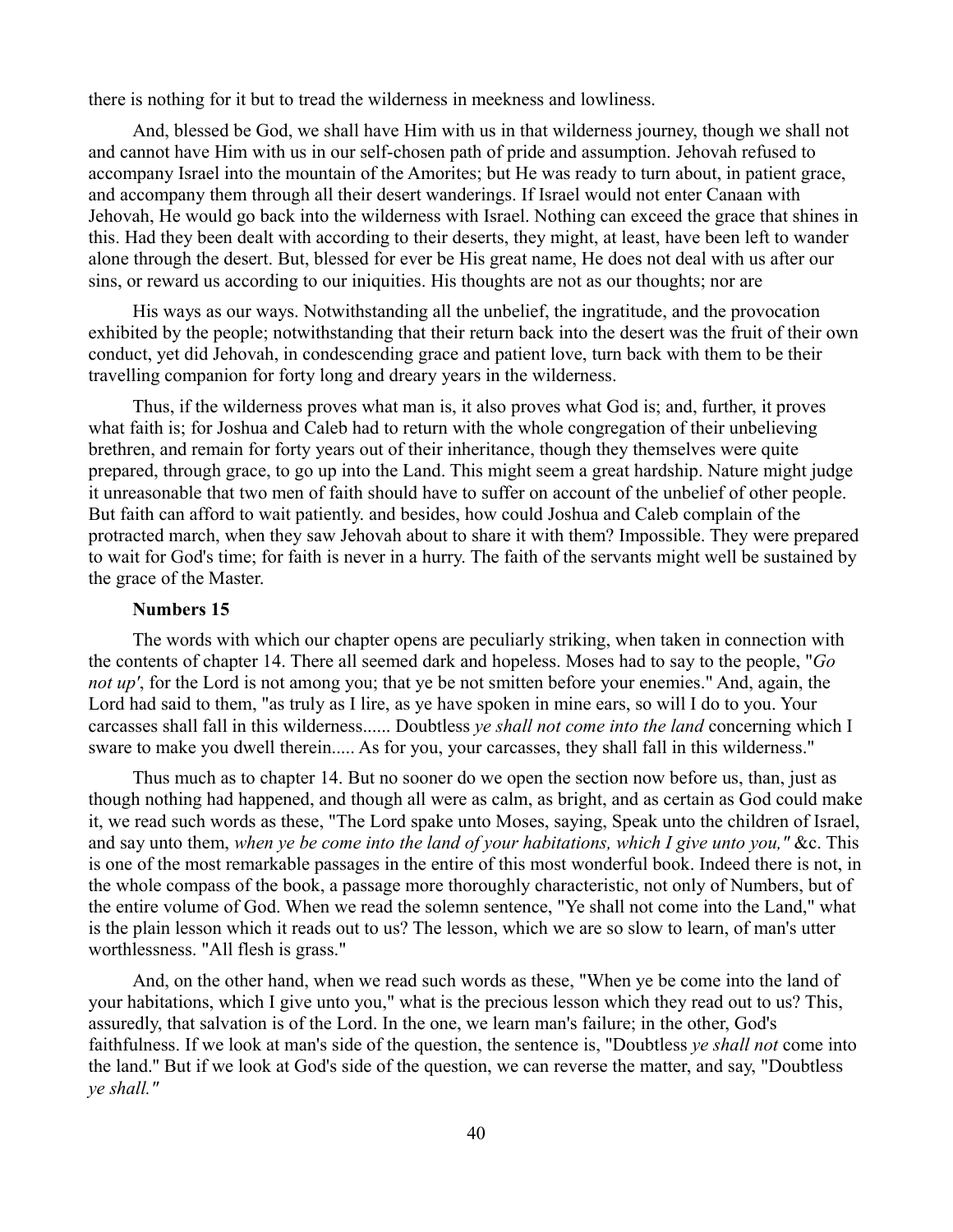there is nothing for it but to tread the wilderness in meekness and lowliness.

And, blessed be God, we shall have Him with us in that wilderness journey, though we shall not and cannot have Him with us in our self-chosen path of pride and assumption. Jehovah refused to accompany Israel into the mountain of the Amorites; but He was ready to turn about, in patient grace, and accompany them through all their desert wanderings. If Israel would not enter Canaan with Jehovah, He would go back into the wilderness with Israel. Nothing can exceed the grace that shines in this. Had they been dealt with according to their deserts, they might, at least, have been left to wander alone through the desert. But, blessed for ever be His great name, He does not deal with us after our sins, or reward us according to our iniquities. His thoughts are not as our thoughts; nor are

His ways as our ways. Notwithstanding all the unbelief, the ingratitude, and the provocation exhibited by the people; notwithstanding that their return back into the desert was the fruit of their own conduct, yet did Jehovah, in condescending grace and patient love, turn back with them to be their travelling companion for forty long and dreary years in the wilderness.

Thus, if the wilderness proves what man is, it also proves what God is; and, further, it proves what faith is; for Joshua and Caleb had to return with the whole congregation of their unbelieving brethren, and remain for forty years out of their inheritance, though they themselves were quite prepared, through grace, to go up into the Land. This might seem a great hardship. Nature might judge it unreasonable that two men of faith should have to suffer on account of the unbelief of other people. But faith can afford to wait patiently. and besides, how could Joshua and Caleb complain of the protracted march, when they saw Jehovah about to share it with them? Impossible. They were prepared to wait for God's time; for faith is never in a hurry. The faith of the servants might well be sustained by the grace of the Master.

# **Numbers 15**

The words with which our chapter opens are peculiarly striking, when taken in connection with the contents of chapter 14. There all seemed dark and hopeless. Moses had to say to the people, "*Go not up'*, for the Lord is not among you; that ye be not smitten before your enemies." And, again, the Lord had said to them, "as truly as I lire, as ye have spoken in mine ears, so will I do to you. Your carcasses shall fall in this wilderness...... Doubtless *ye shall not come into the land* concerning which I sware to make you dwell therein..... As for you, your carcasses, they shall fall in this wilderness."

Thus much as to chapter 14. But no sooner do we open the section now before us, than, just as though nothing had happened, and though all were as calm, as bright, and as certain as God could make it, we read such words as these, "The Lord spake unto Moses, saying, Speak unto the children of Israel, and say unto them, *when ye be come into the land of your habitations, which I give unto you,"* &c. This is one of the most remarkable passages in the entire of this most wonderful book. Indeed there is not, in the whole compass of the book, a passage more thoroughly characteristic, not only of Numbers, but of the entire volume of God. When we read the solemn sentence, "Ye shall not come into the Land," what is the plain lesson which it reads out to us? The lesson, which we are so slow to learn, of man's utter worthlessness. "All flesh is grass."

And, on the other hand, when we read such words as these, "When ye be come into the land of your habitations, which I give unto you," what is the precious lesson which they read out to us? This, assuredly, that salvation is of the Lord. In the one, we learn man's failure; in the other, God's faithfulness. If we look at man's side of the question, the sentence is, "Doubtless *ye shall not* come into the land.'' But if we look at God's side of the question, we can reverse the matter, and say, "Doubtless *ye shall."*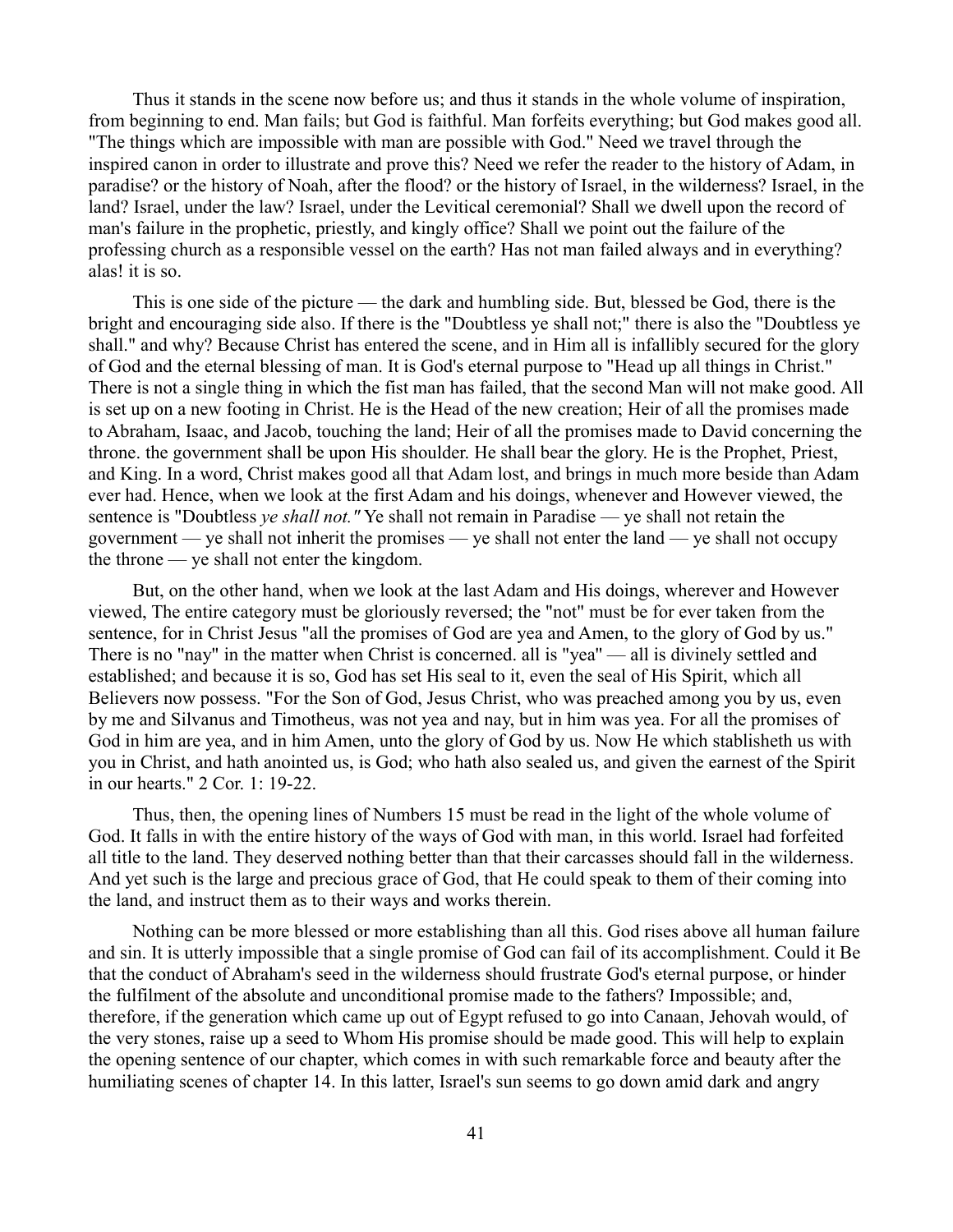Thus it stands in the scene now before us; and thus it stands in the whole volume of inspiration, from beginning to end. Man fails; but God is faithful. Man forfeits everything; but God makes good all. "The things which are impossible with man are possible with God." Need we travel through the inspired canon in order to illustrate and prove this? Need we refer the reader to the history of Adam, in paradise? or the history of Noah, after the flood? or the history of Israel, in the wilderness? Israel, in the land? Israel, under the law? Israel, under the Levitical ceremonial? Shall we dwell upon the record of man's failure in the prophetic, priestly, and kingly office? Shall we point out the failure of the professing church as a responsible vessel on the earth? Has not man failed always and in everything? alas! it is so.

This is one side of the picture — the dark and humbling side. But, blessed be God, there is the bright and encouraging side also. If there is the "Doubtless ye shall not;" there is also the "Doubtless ye shall." and why? Because Christ has entered the scene, and in Him all is infallibly secured for the glory of God and the eternal blessing of man. It is God's eternal purpose to "Head up all things in Christ." There is not a single thing in which the fist man has failed, that the second Man will not make good. All is set up on a new footing in Christ. He is the Head of the new creation; Heir of all the promises made to Abraham, Isaac, and Jacob, touching the land; Heir of all the promises made to David concerning the throne. the government shall be upon His shoulder. He shall bear the glory. He is the Prophet, Priest, and King. In a word, Christ makes good all that Adam lost, and brings in much more beside than Adam ever had. Hence, when we look at the first Adam and his doings, whenever and However viewed, the sentence is "Doubtless *ye shall not."* Ye shall not remain in Paradise — ye shall not retain the government — ye shall not inherit the promises — ye shall not enter the land — ye shall not occupy the throne — ye shall not enter the kingdom.

But, on the other hand, when we look at the last Adam and His doings, wherever and However viewed, The entire category must be gloriously reversed; the "not" must be for ever taken from the sentence, for in Christ Jesus "all the promises of God are yea and Amen, to the glory of God by us." There is no "nay" in the matter when Christ is concerned. all is "yea'' — all is divinely settled and established; and because it is so, God has set His seal to it, even the seal of His Spirit, which all Believers now possess. "For the Son of God, Jesus Christ, who was preached among you by us, even by me and Silvanus and Timotheus, was not yea and nay, but in him was yea. For all the promises of God in him are yea, and in him Amen, unto the glory of God by us. Now He which stablisheth us with you in Christ, and hath anointed us, is God; who hath also sealed us, and given the earnest of the Spirit in our hearts." 2 Cor. 1: 19-22.

Thus, then, the opening lines of Numbers 15 must be read in the light of the whole volume of God. It falls in with the entire history of the ways of God with man, in this world. Israel had forfeited all title to the land. They deserved nothing better than that their carcasses should fall in the wilderness. And yet such is the large and precious grace of God, that He could speak to them of their coming into the land, and instruct them as to their ways and works therein.

Nothing can be more blessed or more establishing than all this. God rises above all human failure and sin. It is utterly impossible that a single promise of God can fail of its accomplishment. Could it Be that the conduct of Abraham's seed in the wilderness should frustrate God's eternal purpose, or hinder the fulfilment of the absolute and unconditional promise made to the fathers? Impossible; and, therefore, if the generation which came up out of Egypt refused to go into Canaan, Jehovah would, of the very stones, raise up a seed to Whom His promise should be made good. This will help to explain the opening sentence of our chapter, which comes in with such remarkable force and beauty after the humiliating scenes of chapter 14. In this latter, Israel's sun seems to go down amid dark and angry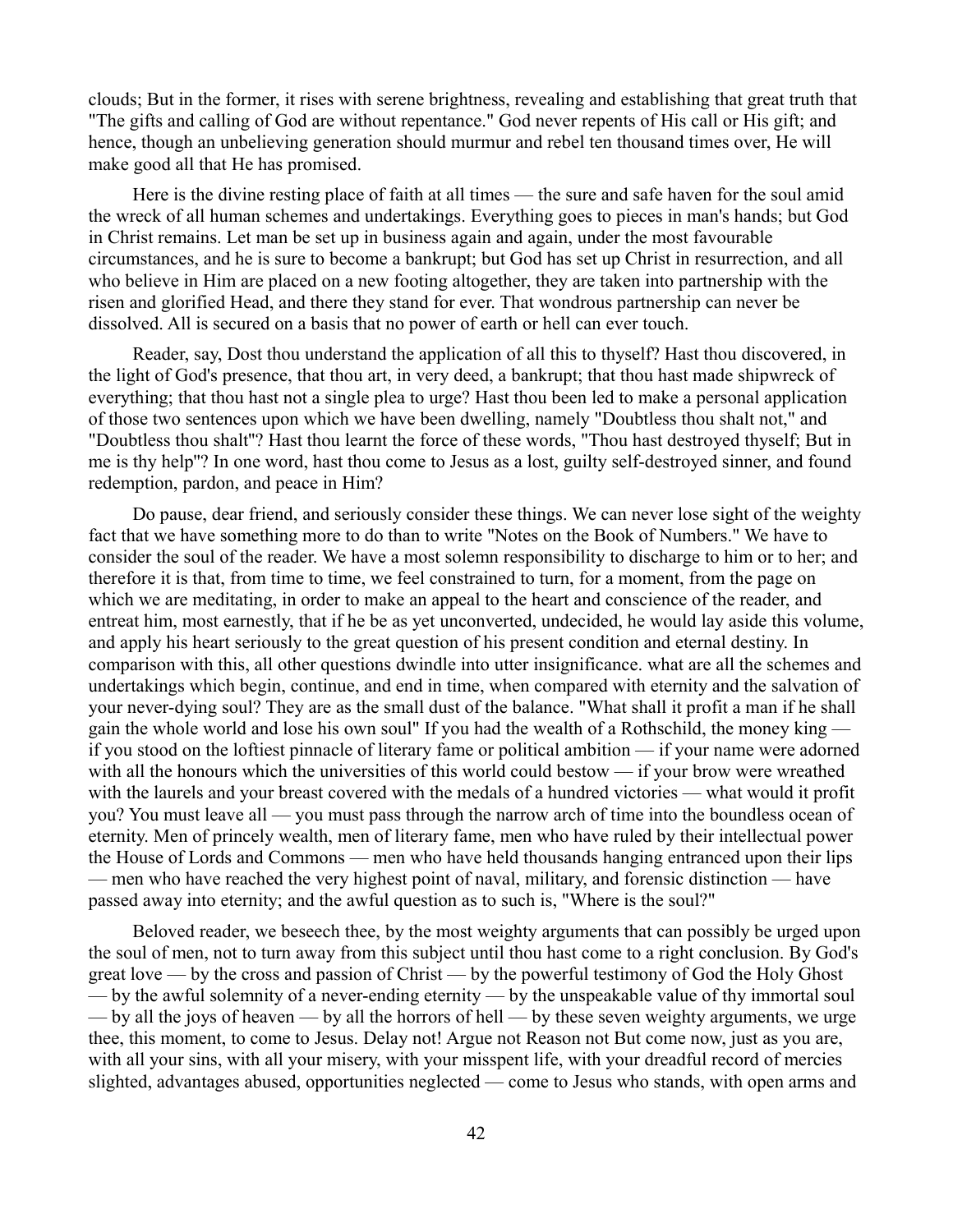clouds; But in the former, it rises with serene brightness, revealing and establishing that great truth that "The gifts and calling of God are without repentance." God never repents of His call or His gift; and hence, though an unbelieving generation should murmur and rebel ten thousand times over, He will make good all that He has promised.

Here is the divine resting place of faith at all times — the sure and safe haven for the soul amid the wreck of all human schemes and undertakings. Everything goes to pieces in man's hands; but God in Christ remains. Let man be set up in business again and again, under the most favourable circumstances, and he is sure to become a bankrupt; but God has set up Christ in resurrection, and all who believe in Him are placed on a new footing altogether, they are taken into partnership with the risen and glorified Head, and there they stand for ever. That wondrous partnership can never be dissolved. All is secured on a basis that no power of earth or hell can ever touch.

Reader, say, Dost thou understand the application of all this to thyself? Hast thou discovered, in the light of God's presence, that thou art, in very deed, a bankrupt; that thou hast made shipwreck of everything; that thou hast not a single plea to urge? Hast thou been led to make a personal application of those two sentences upon which we have been dwelling, namely "Doubtless thou shalt not," and "Doubtless thou shalt''? Hast thou learnt the force of these words, "Thou hast destroyed thyself; But in me is thy help''? In one word, hast thou come to Jesus as a lost, guilty self-destroyed sinner, and found redemption, pardon, and peace in Him?

Do pause, dear friend, and seriously consider these things. We can never lose sight of the weighty fact that we have something more to do than to write "Notes on the Book of Numbers." We have to consider the soul of the reader. We have a most solemn responsibility to discharge to him or to her; and therefore it is that, from time to time, we feel constrained to turn, for a moment, from the page on which we are meditating, in order to make an appeal to the heart and conscience of the reader, and entreat him, most earnestly, that if he be as yet unconverted, undecided, he would lay aside this volume, and apply his heart seriously to the great question of his present condition and eternal destiny. In comparison with this, all other questions dwindle into utter insignificance. what are all the schemes and undertakings which begin, continue, and end in time, when compared with eternity and the salvation of your never-dying soul? They are as the small dust of the balance. "What shall it profit a man if he shall gain the whole world and lose his own soul" If you had the wealth of a Rothschild, the money king if you stood on the loftiest pinnacle of literary fame or political ambition — if your name were adorned with all the honours which the universities of this world could bestow — if your brow were wreathed with the laurels and your breast covered with the medals of a hundred victories — what would it profit you? You must leave all — you must pass through the narrow arch of time into the boundless ocean of eternity. Men of princely wealth, men of literary fame, men who have ruled by their intellectual power the House of Lords and Commons — men who have held thousands hanging entranced upon their lips — men who have reached the very highest point of naval, military, and forensic distinction — have passed away into eternity; and the awful question as to such is, "Where is the soul?"

Beloved reader, we beseech thee, by the most weighty arguments that can possibly be urged upon the soul of men, not to turn away from this subject until thou hast come to a right conclusion. By God's great love — by the cross and passion of Christ — by the powerful testimony of God the Holy Ghost — by the awful solemnity of a never-ending eternity — by the unspeakable value of thy immortal soul — by all the joys of heaven — by all the horrors of hell — by these seven weighty arguments, we urge thee, this moment, to come to Jesus. Delay not! Argue not Reason not But come now, just as you are, with all your sins, with all your misery, with your misspent life, with your dreadful record of mercies slighted, advantages abused, opportunities neglected — come to Jesus who stands, with open arms and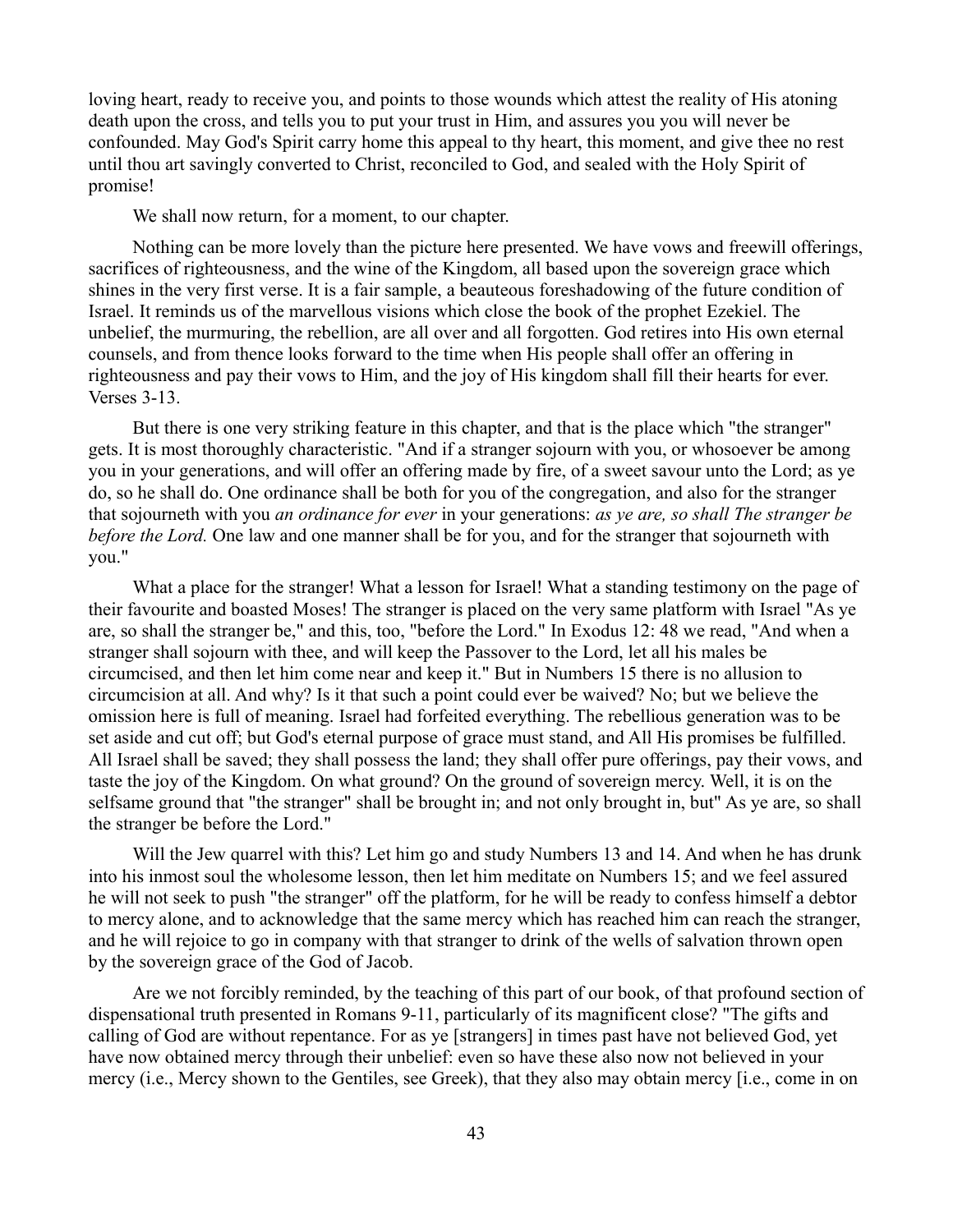loving heart, ready to receive you, and points to those wounds which attest the reality of His atoning death upon the cross, and tells you to put your trust in Him, and assures you you will never be confounded. May God's Spirit carry home this appeal to thy heart, this moment, and give thee no rest until thou art savingly converted to Christ, reconciled to God, and sealed with the Holy Spirit of promise!

We shall now return, for a moment, to our chapter.

Nothing can be more lovely than the picture here presented. We have vows and freewill offerings, sacrifices of righteousness, and the wine of the Kingdom, all based upon the sovereign grace which shines in the very first verse. It is a fair sample, a beauteous foreshadowing of the future condition of Israel. It reminds us of the marvellous visions which close the book of the prophet Ezekiel. The unbelief, the murmuring, the rebellion, are all over and all forgotten. God retires into His own eternal counsels, and from thence looks forward to the time when His people shall offer an offering in righteousness and pay their vows to Him, and the joy of His kingdom shall fill their hearts for ever. Verses 3-13.

But there is one very striking feature in this chapter, and that is the place which "the stranger" gets. It is most thoroughly characteristic. "And if a stranger sojourn with you, or whosoever be among you in your generations, and will offer an offering made by fire, of a sweet savour unto the Lord; as ye do, so he shall do. One ordinance shall be both for you of the congregation, and also for the stranger that sojourneth with you *an ordinance for ever* in your generations: *as ye are, so shall The stranger be before the Lord.* One law and one manner shall be for you, and for the stranger that sojourneth with you."

What a place for the stranger! What a lesson for Israel! What a standing testimony on the page of their favourite and boasted Moses! The stranger is placed on the very same platform with Israel "As ye are, so shall the stranger be," and this, too, "before the Lord." In Exodus 12: 48 we read, "And when a stranger shall sojourn with thee, and will keep the Passover to the Lord, let all his males be circumcised, and then let him come near and keep it." But in Numbers 15 there is no allusion to circumcision at all. And why? Is it that such a point could ever be waived? No; but we believe the omission here is full of meaning. Israel had forfeited everything. The rebellious generation was to be set aside and cut off; but God's eternal purpose of grace must stand, and All His promises be fulfilled. All Israel shall be saved; they shall possess the land; they shall offer pure offerings, pay their vows, and taste the joy of the Kingdom. On what ground? On the ground of sovereign mercy. Well, it is on the selfsame ground that "the stranger" shall be brought in; and not only brought in, but" As ye are, so shall the stranger be before the Lord."

Will the Jew quarrel with this? Let him go and study Numbers 13 and 14. And when he has drunk into his inmost soul the wholesome lesson, then let him meditate on Numbers 15; and we feel assured he will not seek to push "the stranger" off the platform, for he will be ready to confess himself a debtor to mercy alone, and to acknowledge that the same mercy which has reached him can reach the stranger, and he will rejoice to go in company with that stranger to drink of the wells of salvation thrown open by the sovereign grace of the God of Jacob.

Are we not forcibly reminded, by the teaching of this part of our book, of that profound section of dispensational truth presented in Romans 9-11, particularly of its magnificent close? "The gifts and calling of God are without repentance. For as ye [strangers] in times past have not believed God, yet have now obtained mercy through their unbelief: even so have these also now not believed in your mercy (i.e., Mercy shown to the Gentiles, see Greek), that they also may obtain mercy [i.e., come in on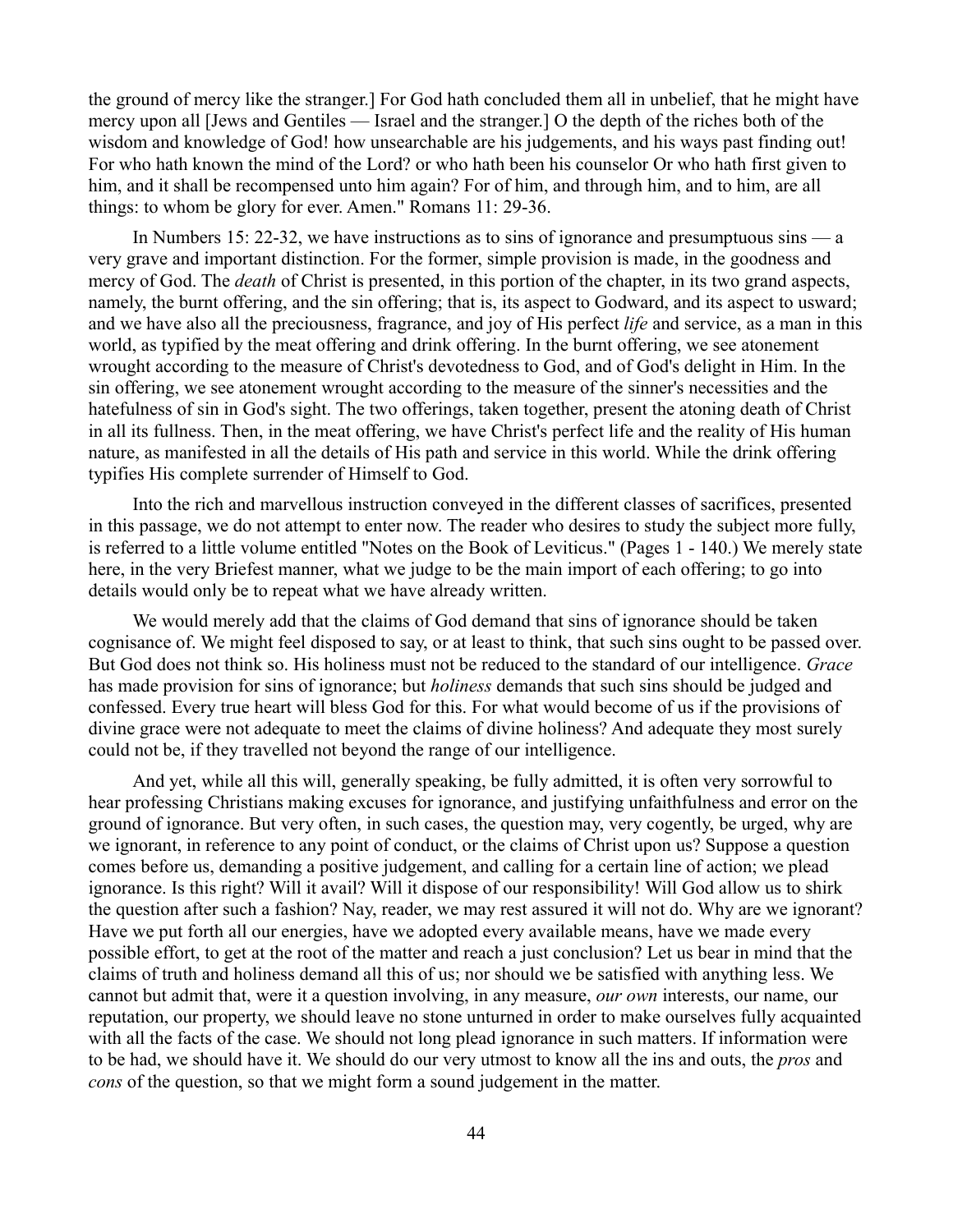the ground of mercy like the stranger.] For God hath concluded them all in unbelief, that he might have mercy upon all [Jews and Gentiles — Israel and the stranger.] O the depth of the riches both of the wisdom and knowledge of God! how unsearchable are his judgements, and his ways past finding out! For who hath known the mind of the Lord? or who hath been his counselor Or who hath first given to him, and it shall be recompensed unto him again? For of him, and through him, and to him, are all things: to whom be glory for ever. Amen." Romans 11: 29-36.

In Numbers 15: 22-32, we have instructions as to sins of ignorance and presumptuous sins — a very grave and important distinction. For the former, simple provision is made, in the goodness and mercy of God. The *death* of Christ is presented, in this portion of the chapter, in its two grand aspects, namely, the burnt offering, and the sin offering; that is, its aspect to Godward, and its aspect to usward; and we have also all the preciousness, fragrance, and joy of His perfect *life* and service, as a man in this world, as typified by the meat offering and drink offering. In the burnt offering, we see atonement wrought according to the measure of Christ's devotedness to God, and of God's delight in Him. In the sin offering, we see atonement wrought according to the measure of the sinner's necessities and the hatefulness of sin in God's sight. The two offerings, taken together, present the atoning death of Christ in all its fullness. Then, in the meat offering, we have Christ's perfect life and the reality of His human nature, as manifested in all the details of His path and service in this world. While the drink offering typifies His complete surrender of Himself to God.

Into the rich and marvellous instruction conveyed in the different classes of sacrifices, presented in this passage, we do not attempt to enter now. The reader who desires to study the subject more fully, is referred to a little volume entitled "Notes on the Book of Leviticus." (Pages 1 - 140.) We merely state here, in the very Briefest manner, what we judge to be the main import of each offering; to go into details would only be to repeat what we have already written.

We would merely add that the claims of God demand that sins of ignorance should be taken cognisance of. We might feel disposed to say, or at least to think, that such sins ought to be passed over. But God does not think so. His holiness must not be reduced to the standard of our intelligence. *Grace* has made provision for sins of ignorance; but *holiness* demands that such sins should be judged and confessed. Every true heart will bless God for this. For what would become of us if the provisions of divine grace were not adequate to meet the claims of divine holiness? And adequate they most surely could not be, if they travelled not beyond the range of our intelligence.

And yet, while all this will, generally speaking, be fully admitted, it is often very sorrowful to hear professing Christians making excuses for ignorance, and justifying unfaithfulness and error on the ground of ignorance. But very often, in such cases, the question may, very cogently, be urged, why are we ignorant, in reference to any point of conduct, or the claims of Christ upon us? Suppose a question comes before us, demanding a positive judgement, and calling for a certain line of action; we plead ignorance. Is this right? Will it avail? Will it dispose of our responsibility! Will God allow us to shirk the question after such a fashion? Nay, reader, we may rest assured it will not do. Why are we ignorant? Have we put forth all our energies, have we adopted every available means, have we made every possible effort, to get at the root of the matter and reach a just conclusion? Let us bear in mind that the claims of truth and holiness demand all this of us; nor should we be satisfied with anything less. We cannot but admit that, were it a question involving, in any measure, *our own* interests, our name, our reputation, our property, we should leave no stone unturned in order to make ourselves fully acquainted with all the facts of the case. We should not long plead ignorance in such matters. If information were to be had, we should have it. We should do our very utmost to know all the ins and outs, the *pros* and *cons* of the question, so that we might form a sound judgement in the matter.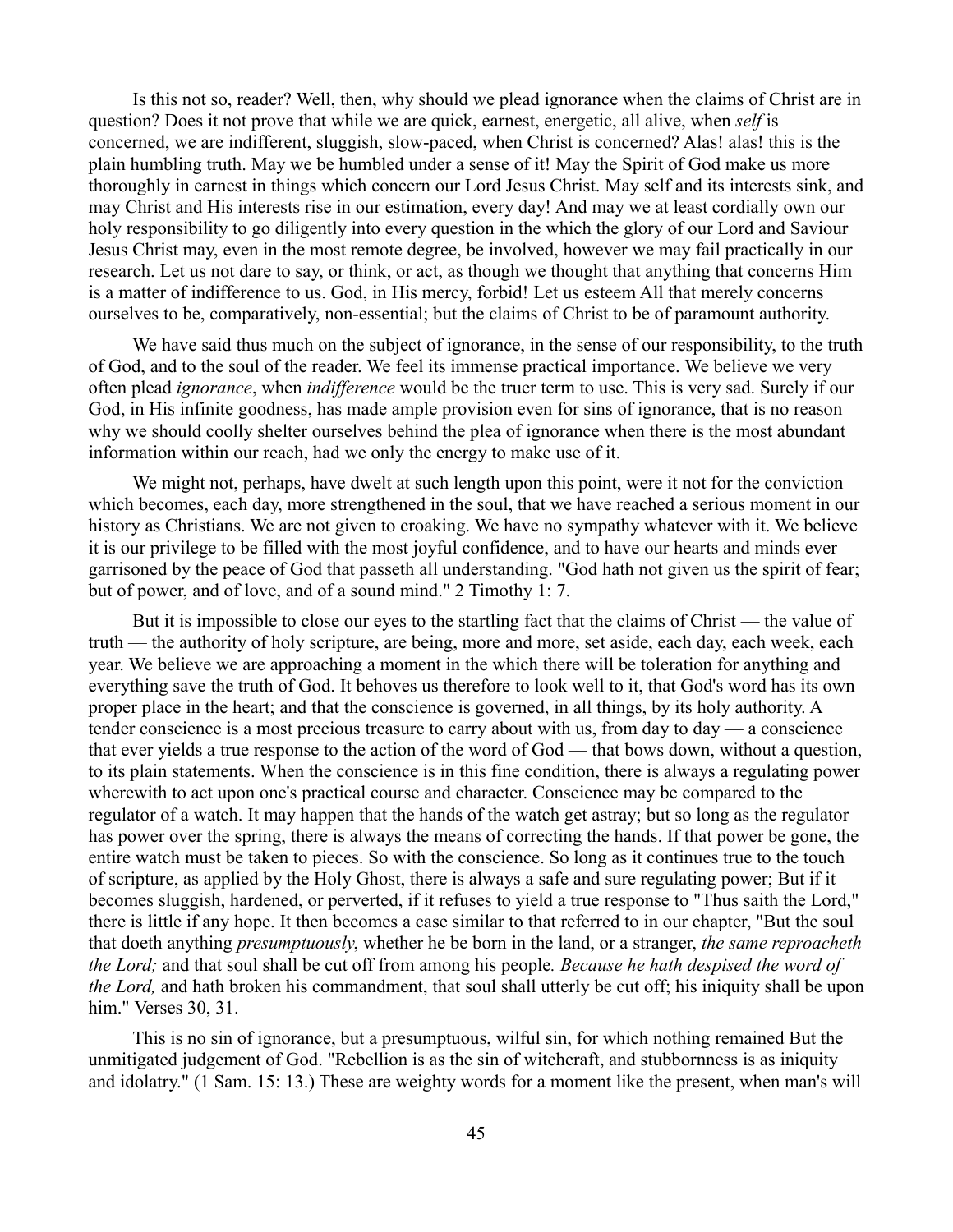Is this not so, reader? Well, then, why should we plead ignorance when the claims of Christ are in question? Does it not prove that while we are quick, earnest, energetic, all alive, when *self* is concerned, we are indifferent, sluggish, slow-paced, when Christ is concerned? Alas! alas! this is the plain humbling truth. May we be humbled under a sense of it! May the Spirit of God make us more thoroughly in earnest in things which concern our Lord Jesus Christ. May self and its interests sink, and may Christ and His interests rise in our estimation, every day! And may we at least cordially own our holy responsibility to go diligently into every question in the which the glory of our Lord and Saviour Jesus Christ may, even in the most remote degree, be involved, however we may fail practically in our research. Let us not dare to say, or think, or act, as though we thought that anything that concerns Him is a matter of indifference to us. God, in His mercy, forbid! Let us esteem All that merely concerns ourselves to be, comparatively, non-essential; but the claims of Christ to be of paramount authority.

We have said thus much on the subject of ignorance, in the sense of our responsibility, to the truth of God, and to the soul of the reader. We feel its immense practical importance. We believe we very often plead *ignorance*, when *indifference* would be the truer term to use. This is very sad. Surely if our God, in His infinite goodness, has made ample provision even for sins of ignorance, that is no reason why we should coolly shelter ourselves behind the plea of ignorance when there is the most abundant information within our reach, had we only the energy to make use of it.

We might not, perhaps, have dwelt at such length upon this point, were it not for the conviction which becomes, each day, more strengthened in the soul, that we have reached a serious moment in our history as Christians. We are not given to croaking. We have no sympathy whatever with it. We believe it is our privilege to be filled with the most joyful confidence, and to have our hearts and minds ever garrisoned by the peace of God that passeth all understanding. "God hath not given us the spirit of fear; but of power, and of love, and of a sound mind." 2 Timothy 1: 7.

But it is impossible to close our eyes to the startling fact that the claims of Christ — the value of truth — the authority of holy scripture, are being, more and more, set aside, each day, each week, each year. We believe we are approaching a moment in the which there will be toleration for anything and everything save the truth of God. It behoves us therefore to look well to it, that God's word has its own proper place in the heart; and that the conscience is governed, in all things, by its holy authority. A tender conscience is a most precious treasure to carry about with us, from day to day — a conscience that ever yields a true response to the action of the word of God — that bows down, without a question, to its plain statements. When the conscience is in this fine condition, there is always a regulating power wherewith to act upon one's practical course and character. Conscience may be compared to the regulator of a watch. It may happen that the hands of the watch get astray; but so long as the regulator has power over the spring, there is always the means of correcting the hands. If that power be gone, the entire watch must be taken to pieces. So with the conscience. So long as it continues true to the touch of scripture, as applied by the Holy Ghost, there is always a safe and sure regulating power; But if it becomes sluggish, hardened, or perverted, if it refuses to yield a true response to "Thus saith the Lord," there is little if any hope. It then becomes a case similar to that referred to in our chapter, "But the soul that doeth anything *presumptuously*, whether he be born in the land, or a stranger, *the same reproacheth the Lord;* and that soul shall be cut off from among his people*. Because he hath despised the word of the Lord,* and hath broken his commandment, that soul shall utterly be cut off; his iniquity shall be upon him." Verses 30, 31.

This is no sin of ignorance, but a presumptuous, wilful sin, for which nothing remained But the unmitigated judgement of God. "Rebellion is as the sin of witchcraft, and stubbornness is as iniquity and idolatry." (1 Sam. 15: 13.) These are weighty words for a moment like the present, when man's will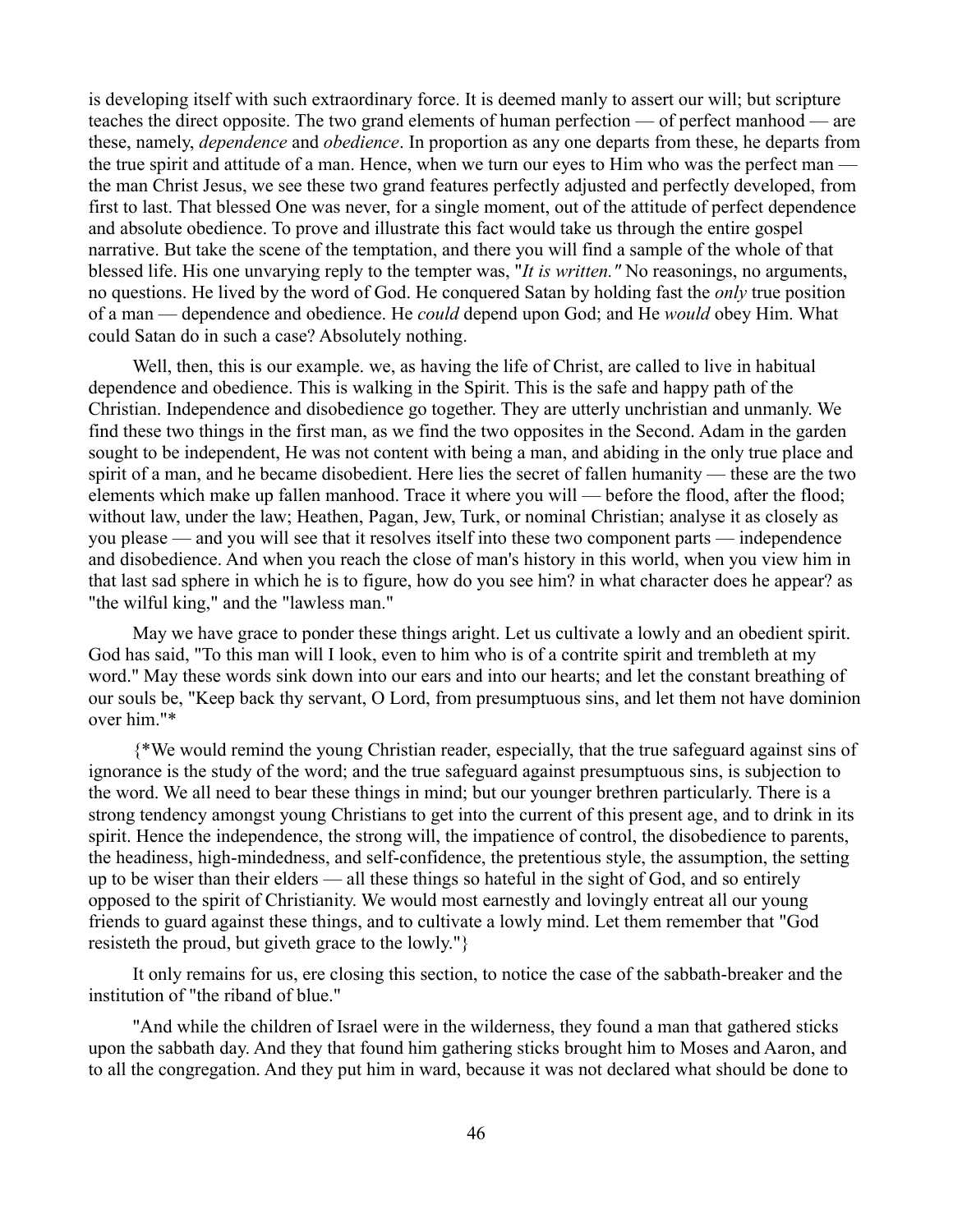is developing itself with such extraordinary force. It is deemed manly to assert our will; but scripture teaches the direct opposite. The two grand elements of human perfection — of perfect manhood — are these, namely, *dependence* and *obedience*. In proportion as any one departs from these, he departs from the true spirit and attitude of a man. Hence, when we turn our eyes to Him who was the perfect man the man Christ Jesus, we see these two grand features perfectly adjusted and perfectly developed, from first to last. That blessed One was never, for a single moment, out of the attitude of perfect dependence and absolute obedience. To prove and illustrate this fact would take us through the entire gospel narrative. But take the scene of the temptation, and there you will find a sample of the whole of that blessed life. His one unvarying reply to the tempter was, "*It is written."* No reasonings, no arguments, no questions. He lived by the word of God. He conquered Satan by holding fast the *only* true position of a man — dependence and obedience. He *could* depend upon God; and He *would* obey Him. What could Satan do in such a case? Absolutely nothing.

Well, then, this is our example. we, as having the life of Christ, are called to live in habitual dependence and obedience. This is walking in the Spirit. This is the safe and happy path of the Christian. Independence and disobedience go together. They are utterly unchristian and unmanly. We find these two things in the first man, as we find the two opposites in the Second. Adam in the garden sought to be independent, He was not content with being a man, and abiding in the only true place and spirit of a man, and he became disobedient. Here lies the secret of fallen humanity — these are the two elements which make up fallen manhood. Trace it where you will — before the flood, after the flood; without law, under the law; Heathen, Pagan, Jew, Turk, or nominal Christian; analyse it as closely as you please — and you will see that it resolves itself into these two component parts — independence and disobedience. And when you reach the close of man's history in this world, when you view him in that last sad sphere in which he is to figure, how do you see him? in what character does he appear? as "the wilful king," and the "lawless man."

May we have grace to ponder these things aright. Let us cultivate a lowly and an obedient spirit. God has said, "To this man will I look, even to him who is of a contrite spirit and trembleth at my word." May these words sink down into our ears and into our hearts; and let the constant breathing of our souls be, "Keep back thy servant, O Lord, from presumptuous sins, and let them not have dominion over him."\*

{\*We would remind the young Christian reader, especially, that the true safeguard against sins of ignorance is the study of the word; and the true safeguard against presumptuous sins, is subjection to the word. We all need to bear these things in mind; but our younger brethren particularly. There is a strong tendency amongst young Christians to get into the current of this present age, and to drink in its spirit. Hence the independence, the strong will, the impatience of control, the disobedience to parents, the headiness, high-mindedness, and self-confidence, the pretentious style, the assumption, the setting up to be wiser than their elders — all these things so hateful in the sight of God, and so entirely opposed to the spirit of Christianity. We would most earnestly and lovingly entreat all our young friends to guard against these things, and to cultivate a lowly mind. Let them remember that "God resisteth the proud, but giveth grace to the lowly."}

It only remains for us, ere closing this section, to notice the case of the sabbath-breaker and the institution of "the riband of blue."

"And while the children of Israel were in the wilderness, they found a man that gathered sticks upon the sabbath day. And they that found him gathering sticks brought him to Moses and Aaron, and to all the congregation. And they put him in ward, because it was not declared what should be done to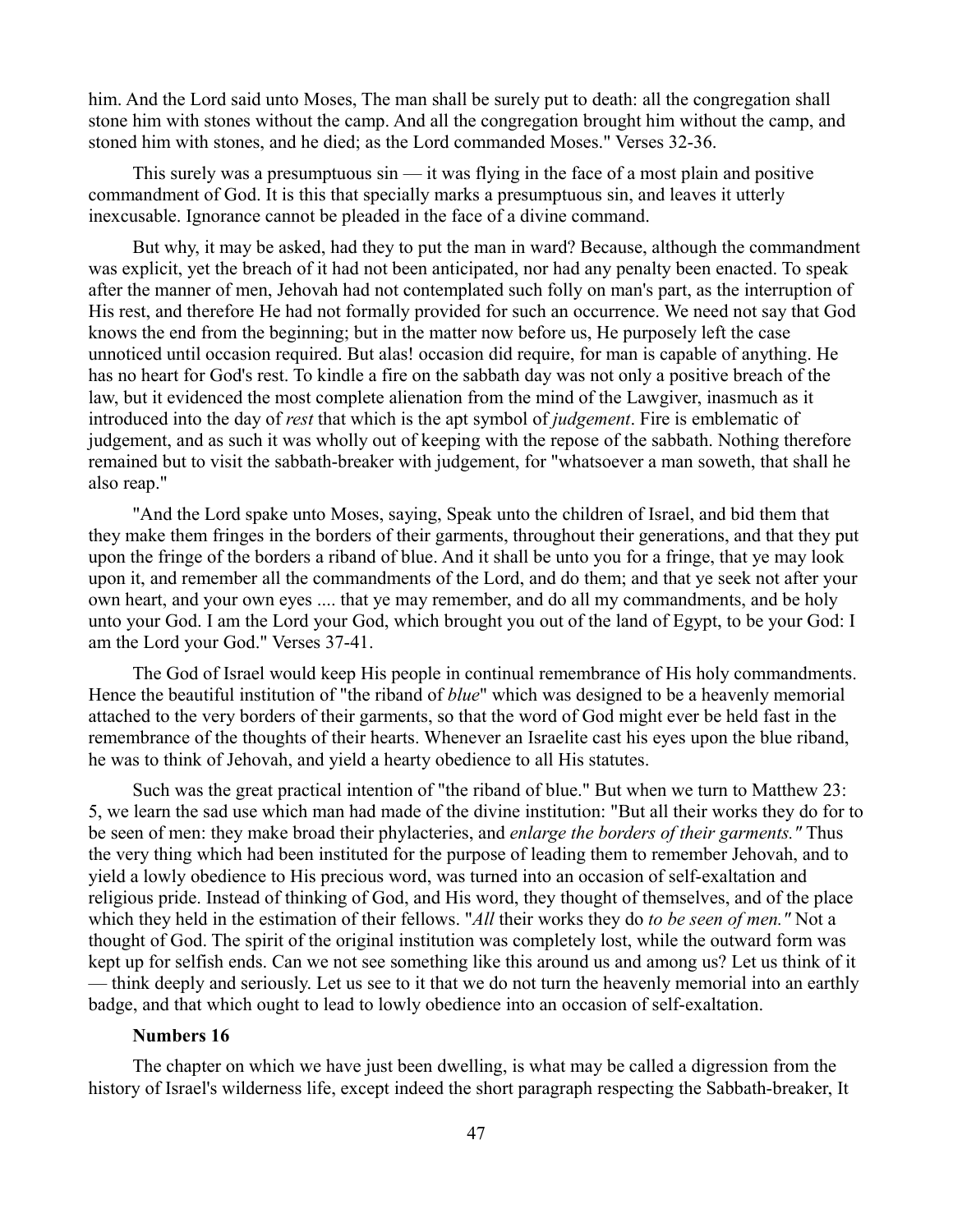him. And the Lord said unto Moses, The man shall be surely put to death: all the congregation shall stone him with stones without the camp. And all the congregation brought him without the camp, and stoned him with stones, and he died; as the Lord commanded Moses." Verses 32-36.

This surely was a presumptuous sin — it was flying in the face of a most plain and positive commandment of God. It is this that specially marks a presumptuous sin, and leaves it utterly inexcusable. Ignorance cannot be pleaded in the face of a divine command.

But why, it may be asked, had they to put the man in ward? Because, although the commandment was explicit, yet the breach of it had not been anticipated, nor had any penalty been enacted. To speak after the manner of men, Jehovah had not contemplated such folly on man's part, as the interruption of His rest, and therefore He had not formally provided for such an occurrence. We need not say that God knows the end from the beginning; but in the matter now before us, He purposely left the case unnoticed until occasion required. But alas! occasion did require, for man is capable of anything. He has no heart for God's rest. To kindle a fire on the sabbath day was not only a positive breach of the law, but it evidenced the most complete alienation from the mind of the Lawgiver, inasmuch as it introduced into the day of *rest* that which is the apt symbol of *judgement*. Fire is emblematic of judgement, and as such it was wholly out of keeping with the repose of the sabbath. Nothing therefore remained but to visit the sabbath-breaker with judgement, for "whatsoever a man soweth, that shall he also reap."

"And the Lord spake unto Moses, saying, Speak unto the children of Israel, and bid them that they make them fringes in the borders of their garments, throughout their generations, and that they put upon the fringe of the borders a riband of blue. And it shall be unto you for a fringe, that ye may look upon it, and remember all the commandments of the Lord, and do them; and that ye seek not after your own heart, and your own eyes .... that ye may remember, and do all my commandments, and be holy unto your God. I am the Lord your God, which brought you out of the land of Egypt, to be your God: I am the Lord your God." Verses 37-41.

The God of Israel would keep His people in continual remembrance of His holy commandments. Hence the beautiful institution of "the riband of *blue*" which was designed to be a heavenly memorial attached to the very borders of their garments, so that the word of God might ever be held fast in the remembrance of the thoughts of their hearts. Whenever an Israelite cast his eyes upon the blue riband, he was to think of Jehovah, and yield a hearty obedience to all His statutes.

Such was the great practical intention of "the riband of blue." But when we turn to Matthew 23: 5, we learn the sad use which man had made of the divine institution: "But all their works they do for to be seen of men: they make broad their phylacteries, and *enlarge the borders of their garments."* Thus the very thing which had been instituted for the purpose of leading them to remember Jehovah, and to yield a lowly obedience to His precious word, was turned into an occasion of self-exaltation and religious pride. Instead of thinking of God, and His word, they thought of themselves, and of the place which they held in the estimation of their fellows. "*All* their works they do *to be seen of men."* Not a thought of God. The spirit of the original institution was completely lost, while the outward form was kept up for selfish ends. Can we not see something like this around us and among us? Let us think of it — think deeply and seriously. Let us see to it that we do not turn the heavenly memorial into an earthly badge, and that which ought to lead to lowly obedience into an occasion of self-exaltation.

### **Numbers 16**

The chapter on which we have just been dwelling, is what may be called a digression from the history of Israel's wilderness life, except indeed the short paragraph respecting the Sabbath-breaker, It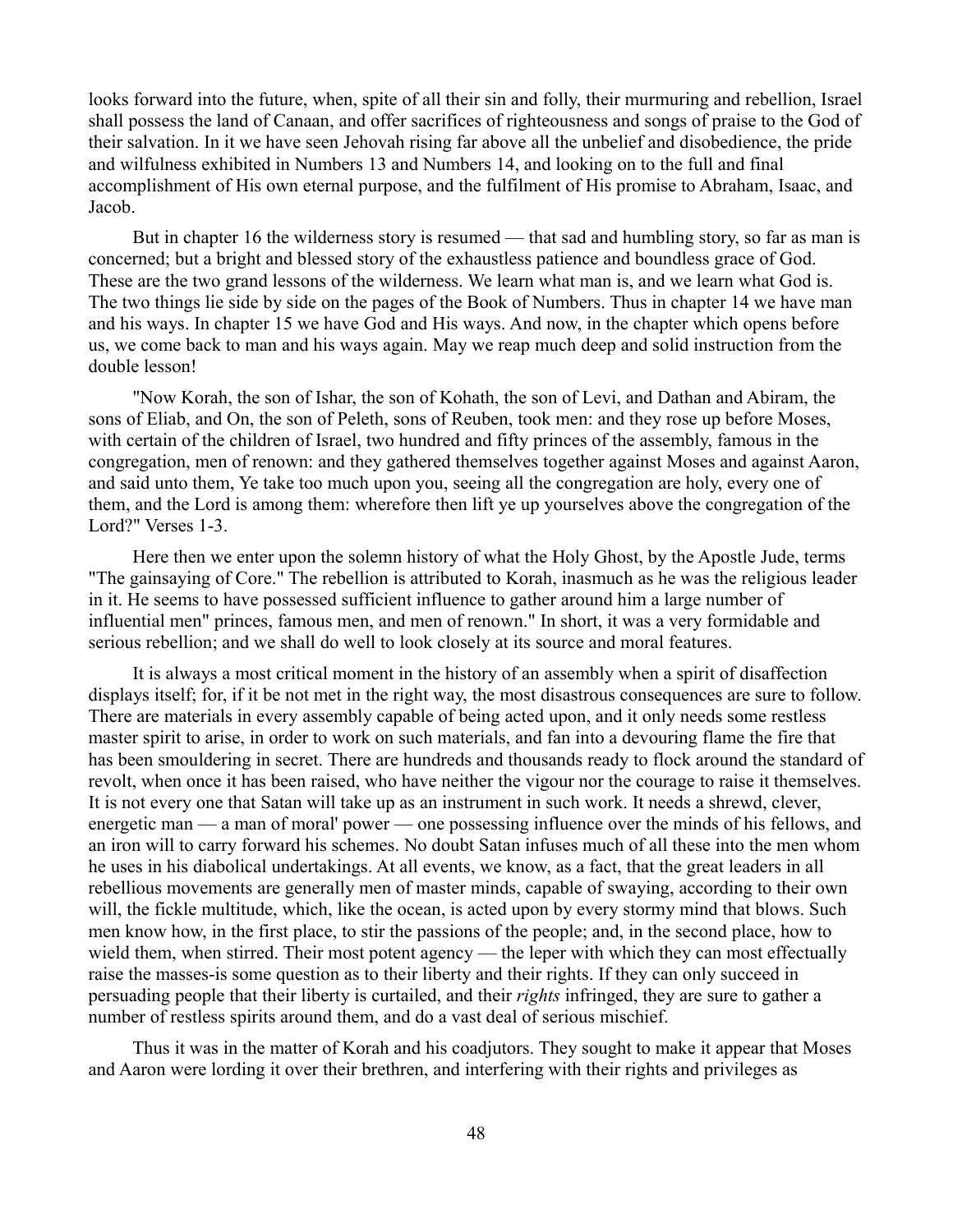looks forward into the future, when, spite of all their sin and folly, their murmuring and rebellion, Israel shall possess the land of Canaan, and offer sacrifices of righteousness and songs of praise to the God of their salvation. In it we have seen Jehovah rising far above all the unbelief and disobedience, the pride and wilfulness exhibited in Numbers 13 and Numbers 14, and looking on to the full and final accomplishment of His own eternal purpose, and the fulfilment of His promise to Abraham, Isaac, and Jacob.

But in chapter 16 the wilderness story is resumed — that sad and humbling story, so far as man is concerned; but a bright and blessed story of the exhaustless patience and boundless grace of God. These are the two grand lessons of the wilderness. We learn what man is, and we learn what God is. The two things lie side by side on the pages of the Book of Numbers. Thus in chapter 14 we have man and his ways. In chapter 15 we have God and His ways. And now, in the chapter which opens before us, we come back to man and his ways again. May we reap much deep and solid instruction from the double lesson!

"Now Korah, the son of Ishar, the son of Kohath, the son of Levi, and Dathan and Abiram, the sons of Eliab, and On, the son of Peleth, sons of Reuben, took men: and they rose up before Moses, with certain of the children of Israel, two hundred and fifty princes of the assembly, famous in the congregation, men of renown: and they gathered themselves together against Moses and against Aaron, and said unto them, Ye take too much upon you, seeing all the congregation are holy, every one of them, and the Lord is among them: wherefore then lift ye up yourselves above the congregation of the Lord?" Verses 1-3.

Here then we enter upon the solemn history of what the Holy Ghost, by the Apostle Jude, terms "The gainsaying of Core." The rebellion is attributed to Korah, inasmuch as he was the religious leader in it. He seems to have possessed sufficient influence to gather around him a large number of influential men" princes, famous men, and men of renown." In short, it was a very formidable and serious rebellion; and we shall do well to look closely at its source and moral features.

It is always a most critical moment in the history of an assembly when a spirit of disaffection displays itself; for, if it be not met in the right way, the most disastrous consequences are sure to follow. There are materials in every assembly capable of being acted upon, and it only needs some restless master spirit to arise, in order to work on such materials, and fan into a devouring flame the fire that has been smouldering in secret. There are hundreds and thousands ready to flock around the standard of revolt, when once it has been raised, who have neither the vigour nor the courage to raise it themselves. It is not every one that Satan will take up as an instrument in such work. It needs a shrewd, clever, energetic man — a man of moral' power — one possessing influence over the minds of his fellows, and an iron will to carry forward his schemes. No doubt Satan infuses much of all these into the men whom he uses in his diabolical undertakings. At all events, we know, as a fact, that the great leaders in all rebellious movements are generally men of master minds, capable of swaying, according to their own will, the fickle multitude, which, like the ocean, is acted upon by every stormy mind that blows. Such men know how, in the first place, to stir the passions of the people; and, in the second place, how to wield them, when stirred. Their most potent agency — the leper with which they can most effectually raise the masses-is some question as to their liberty and their rights. If they can only succeed in persuading people that their liberty is curtailed, and their *rights* infringed, they are sure to gather a number of restless spirits around them, and do a vast deal of serious mischief.

Thus it was in the matter of Korah and his coadjutors. They sought to make it appear that Moses and Aaron were lording it over their brethren, and interfering with their rights and privileges as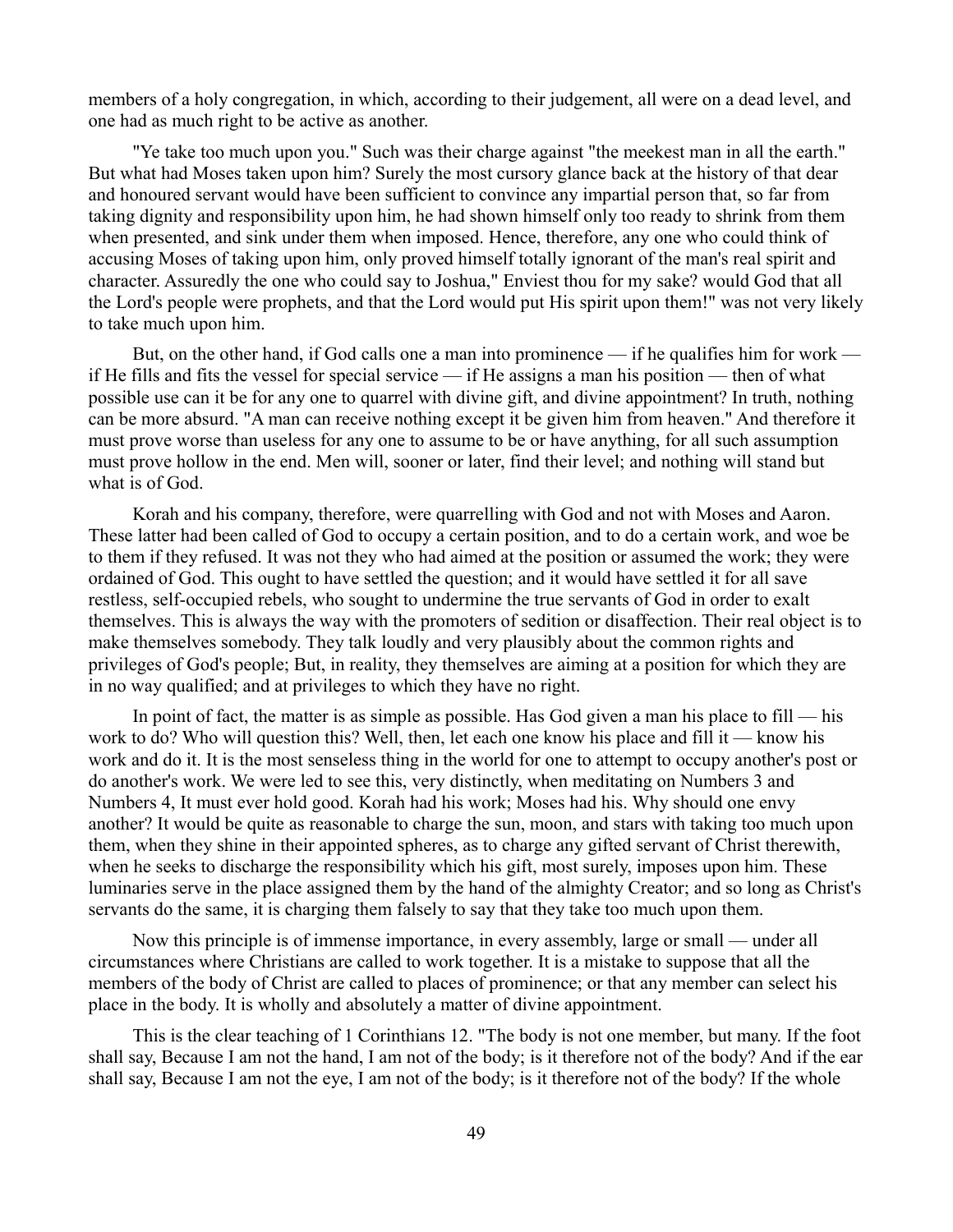members of a holy congregation, in which, according to their judgement, all were on a dead level, and one had as much right to be active as another.

"Ye take too much upon you." Such was their charge against "the meekest man in all the earth." But what had Moses taken upon him? Surely the most cursory glance back at the history of that dear and honoured servant would have been sufficient to convince any impartial person that, so far from taking dignity and responsibility upon him, he had shown himself only too ready to shrink from them when presented, and sink under them when imposed. Hence, therefore, any one who could think of accusing Moses of taking upon him, only proved himself totally ignorant of the man's real spirit and character. Assuredly the one who could say to Joshua," Enviest thou for my sake? would God that all the Lord's people were prophets, and that the Lord would put His spirit upon them!" was not very likely to take much upon him.

But, on the other hand, if God calls one a man into prominence — if he qualifies him for work if He fills and fits the vessel for special service — if He assigns a man his position — then of what possible use can it be for any one to quarrel with divine gift, and divine appointment? In truth, nothing can be more absurd. "A man can receive nothing except it be given him from heaven." And therefore it must prove worse than useless for any one to assume to be or have anything, for all such assumption must prove hollow in the end. Men will, sooner or later, find their level; and nothing will stand but what is of God.

Korah and his company, therefore, were quarrelling with God and not with Moses and Aaron. These latter had been called of God to occupy a certain position, and to do a certain work, and woe be to them if they refused. It was not they who had aimed at the position or assumed the work; they were ordained of God. This ought to have settled the question; and it would have settled it for all save restless, self-occupied rebels, who sought to undermine the true servants of God in order to exalt themselves. This is always the way with the promoters of sedition or disaffection. Their real object is to make themselves somebody. They talk loudly and very plausibly about the common rights and privileges of God's people; But, in reality, they themselves are aiming at a position for which they are in no way qualified; and at privileges to which they have no right.

In point of fact, the matter is as simple as possible. Has God given a man his place to fill — his work to do? Who will question this? Well, then, let each one know his place and fill it — know his work and do it. It is the most senseless thing in the world for one to attempt to occupy another's post or do another's work. We were led to see this, very distinctly, when meditating on Numbers 3 and Numbers 4, It must ever hold good. Korah had his work; Moses had his. Why should one envy another? It would be quite as reasonable to charge the sun, moon, and stars with taking too much upon them, when they shine in their appointed spheres, as to charge any gifted servant of Christ therewith, when he seeks to discharge the responsibility which his gift, most surely, imposes upon him. These luminaries serve in the place assigned them by the hand of the almighty Creator; and so long as Christ's servants do the same, it is charging them falsely to say that they take too much upon them.

Now this principle is of immense importance, in every assembly, large or small — under all circumstances where Christians are called to work together. It is a mistake to suppose that all the members of the body of Christ are called to places of prominence; or that any member can select his place in the body. It is wholly and absolutely a matter of divine appointment.

This is the clear teaching of 1 Corinthians 12. "The body is not one member, but many. If the foot shall say, Because I am not the hand, I am not of the body; is it therefore not of the body? And if the ear shall say, Because I am not the eye, I am not of the body; is it therefore not of the body? If the whole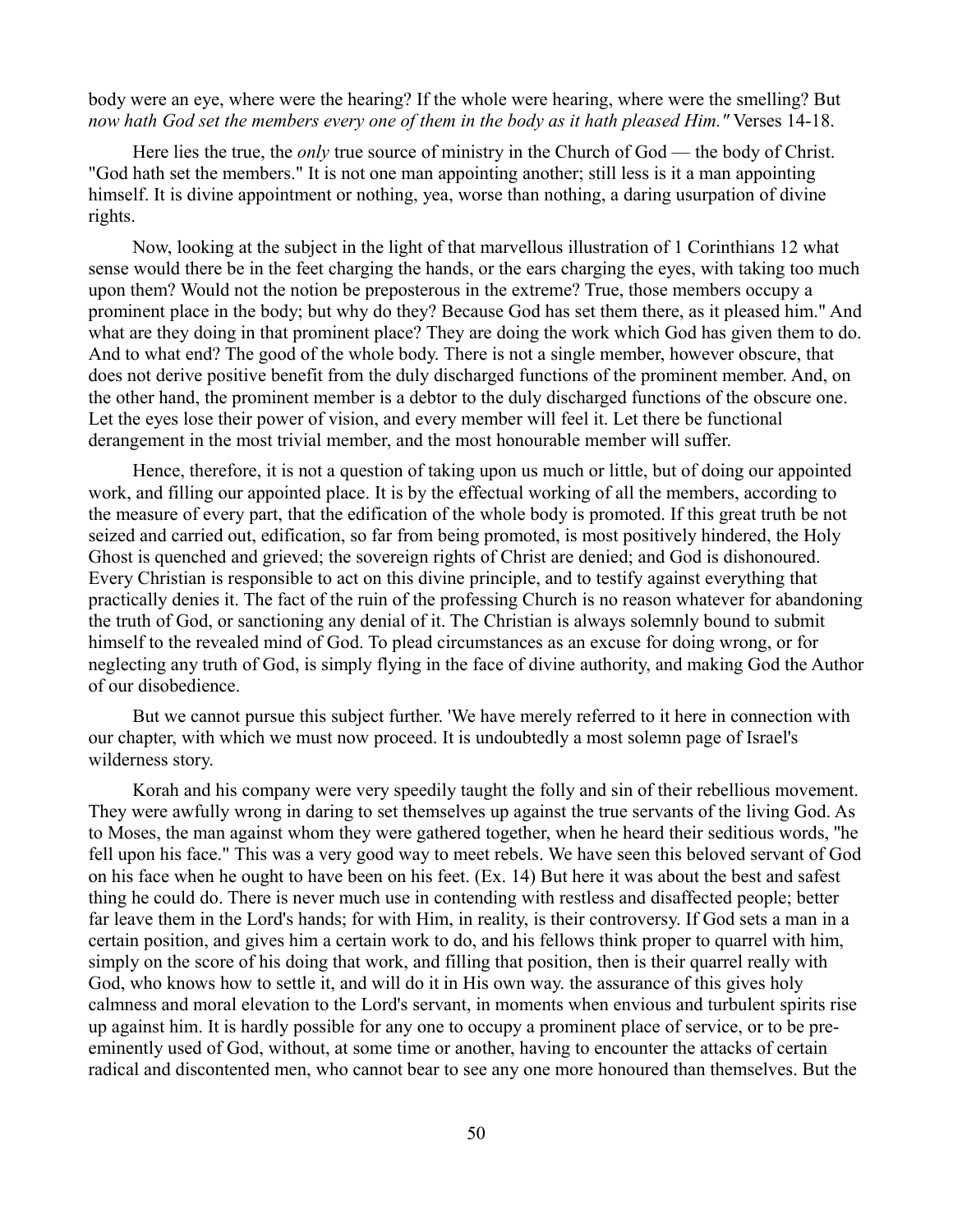body were an eye, where were the hearing? If the whole were hearing, where were the smelling? But *now hath God set the members every one of them in the body as it hath pleased Him."* Verses 14-18.

Here lies the true, the *only* true source of ministry in the Church of God — the body of Christ. "God hath set the members." It is not one man appointing another; still less is it a man appointing himself. It is divine appointment or nothing, yea, worse than nothing, a daring usurpation of divine rights.

Now, looking at the subject in the light of that marvellous illustration of 1 Corinthians 12 what sense would there be in the feet charging the hands, or the ears charging the eyes, with taking too much upon them? Would not the notion be preposterous in the extreme? True, those members occupy a prominent place in the body; but why do they? Because God has set them there, as it pleased him." And what are they doing in that prominent place? They are doing the work which God has given them to do. And to what end? The good of the whole body. There is not a single member, however obscure, that does not derive positive benefit from the duly discharged functions of the prominent member. And, on the other hand, the prominent member is a debtor to the duly discharged functions of the obscure one. Let the eyes lose their power of vision, and every member will feel it. Let there be functional derangement in the most trivial member, and the most honourable member will suffer.

Hence, therefore, it is not a question of taking upon us much or little, but of doing our appointed work, and filling our appointed place. It is by the effectual working of all the members, according to the measure of every part, that the edification of the whole body is promoted. If this great truth be not seized and carried out, edification, so far from being promoted, is most positively hindered, the Holy Ghost is quenched and grieved; the sovereign rights of Christ are denied; and God is dishonoured. Every Christian is responsible to act on this divine principle, and to testify against everything that practically denies it. The fact of the ruin of the professing Church is no reason whatever for abandoning the truth of God, or sanctioning any denial of it. The Christian is always solemnly bound to submit himself to the revealed mind of God. To plead circumstances as an excuse for doing wrong, or for neglecting any truth of God, is simply flying in the face of divine authority, and making God the Author of our disobedience.

But we cannot pursue this subject further. 'We have merely referred to it here in connection with our chapter, with which we must now proceed. It is undoubtedly a most solemn page of Israel's wilderness story.

Korah and his company were very speedily taught the folly and sin of their rebellious movement. They were awfully wrong in daring to set themselves up against the true servants of the living God. As to Moses, the man against whom they were gathered together, when he heard their seditious words, ''he fell upon his face." This was a very good way to meet rebels. We have seen this beloved servant of God on his face when he ought to have been on his feet. (Ex. 14) But here it was about the best and safest thing he could do. There is never much use in contending with restless and disaffected people; better far leave them in the Lord's hands; for with Him, in reality, is their controversy. If God sets a man in a certain position, and gives him a certain work to do, and his fellows think proper to quarrel with him, simply on the score of his doing that work, and filling that position, then is their quarrel really with God, who knows how to settle it, and will do it in His own way. the assurance of this gives holy calmness and moral elevation to the Lord's servant, in moments when envious and turbulent spirits rise up against him. It is hardly possible for any one to occupy a prominent place of service, or to be preeminently used of God, without, at some time or another, having to encounter the attacks of certain radical and discontented men, who cannot bear to see any one more honoured than themselves. But the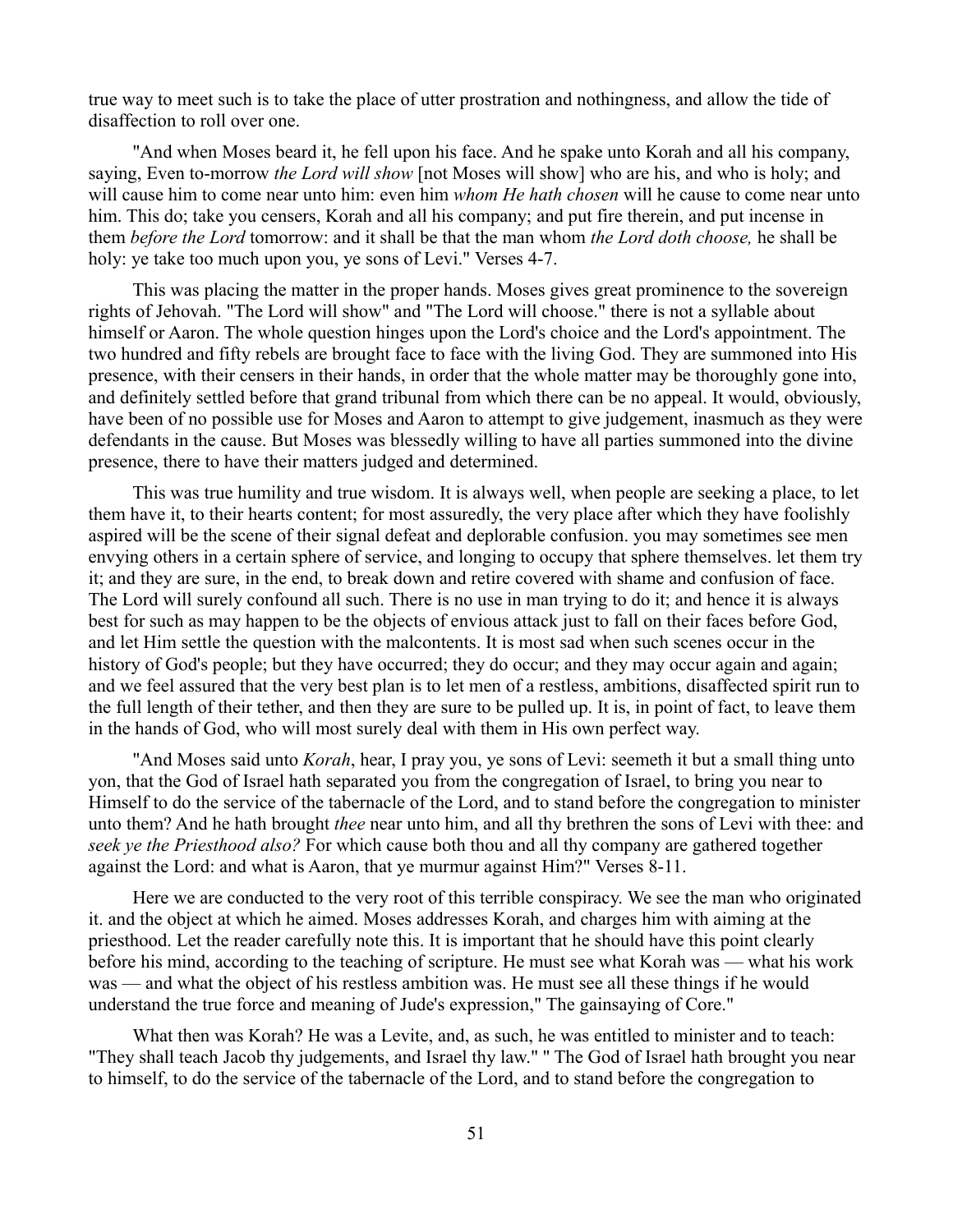true way to meet such is to take the place of utter prostration and nothingness, and allow the tide of disaffection to roll over one.

"And when Moses beard it, he fell upon his face. And he spake unto Korah and all his company, saying, Even to-morrow *the Lord will show* [not Moses will show] who are his, and who is holy; and will cause him to come near unto him: even him *whom He hath chosen* will he cause to come near unto him. This do; take you censers, Korah and all his company; and put fire therein, and put incense in them *before the Lord* tomorrow: and it shall be that the man whom *the Lord doth choose,* he shall be holy: ye take too much upon you, ye sons of Levi." Verses 4-7.

This was placing the matter in the proper hands. Moses gives great prominence to the sovereign rights of Jehovah. "The Lord will show" and "The Lord will choose." there is not a syllable about himself or Aaron. The whole question hinges upon the Lord's choice and the Lord's appointment. The two hundred and fifty rebels are brought face to face with the living God. They are summoned into His presence, with their censers in their hands, in order that the whole matter may be thoroughly gone into, and definitely settled before that grand tribunal from which there can be no appeal. It would, obviously, have been of no possible use for Moses and Aaron to attempt to give judgement, inasmuch as they were defendants in the cause. But Moses was blessedly willing to have all parties summoned into the divine presence, there to have their matters judged and determined.

This was true humility and true wisdom. It is always well, when people are seeking a place, to let them have it, to their hearts content; for most assuredly, the very place after which they have foolishly aspired will be the scene of their signal defeat and deplorable confusion. you may sometimes see men envying others in a certain sphere of service, and longing to occupy that sphere themselves. let them try it; and they are sure, in the end, to break down and retire covered with shame and confusion of face. The Lord will surely confound all such. There is no use in man trying to do it; and hence it is always best for such as may happen to be the objects of envious attack just to fall on their faces before God, and let Him settle the question with the malcontents. It is most sad when such scenes occur in the history of God's people; but they have occurred; they do occur; and they may occur again and again; and we feel assured that the very best plan is to let men of a restless, ambitions, disaffected spirit run to the full length of their tether, and then they are sure to be pulled up. It is, in point of fact, to leave them in the hands of God, who will most surely deal with them in His own perfect way.

"And Moses said unto *Korah*, hear, I pray you, ye sons of Levi: seemeth it but a small thing unto yon, that the God of Israel hath separated you from the congregation of Israel, to bring you near to Himself to do the service of the tabernacle of the Lord, and to stand before the congregation to minister unto them? And he hath brought *thee* near unto him, and all thy brethren the sons of Levi with thee: and *seek ye the Priesthood also?* For which cause both thou and all thy company are gathered together against the Lord: and what is Aaron, that ye murmur against Him?" Verses 8-11.

Here we are conducted to the very root of this terrible conspiracy. We see the man who originated it. and the object at which he aimed. Moses addresses Korah, and charges him with aiming at the priesthood. Let the reader carefully note this. It is important that he should have this point clearly before his mind, according to the teaching of scripture. He must see what Korah was — what his work was — and what the object of his restless ambition was. He must see all these things if he would understand the true force and meaning of Jude's expression," The gainsaying of Core."

What then was Korah? He was a Levite, and, as such, he was entitled to minister and to teach: "They shall teach Jacob thy judgements, and Israel thy law." '' The God of Israel hath brought you near to himself, to do the service of the tabernacle of the Lord, and to stand before the congregation to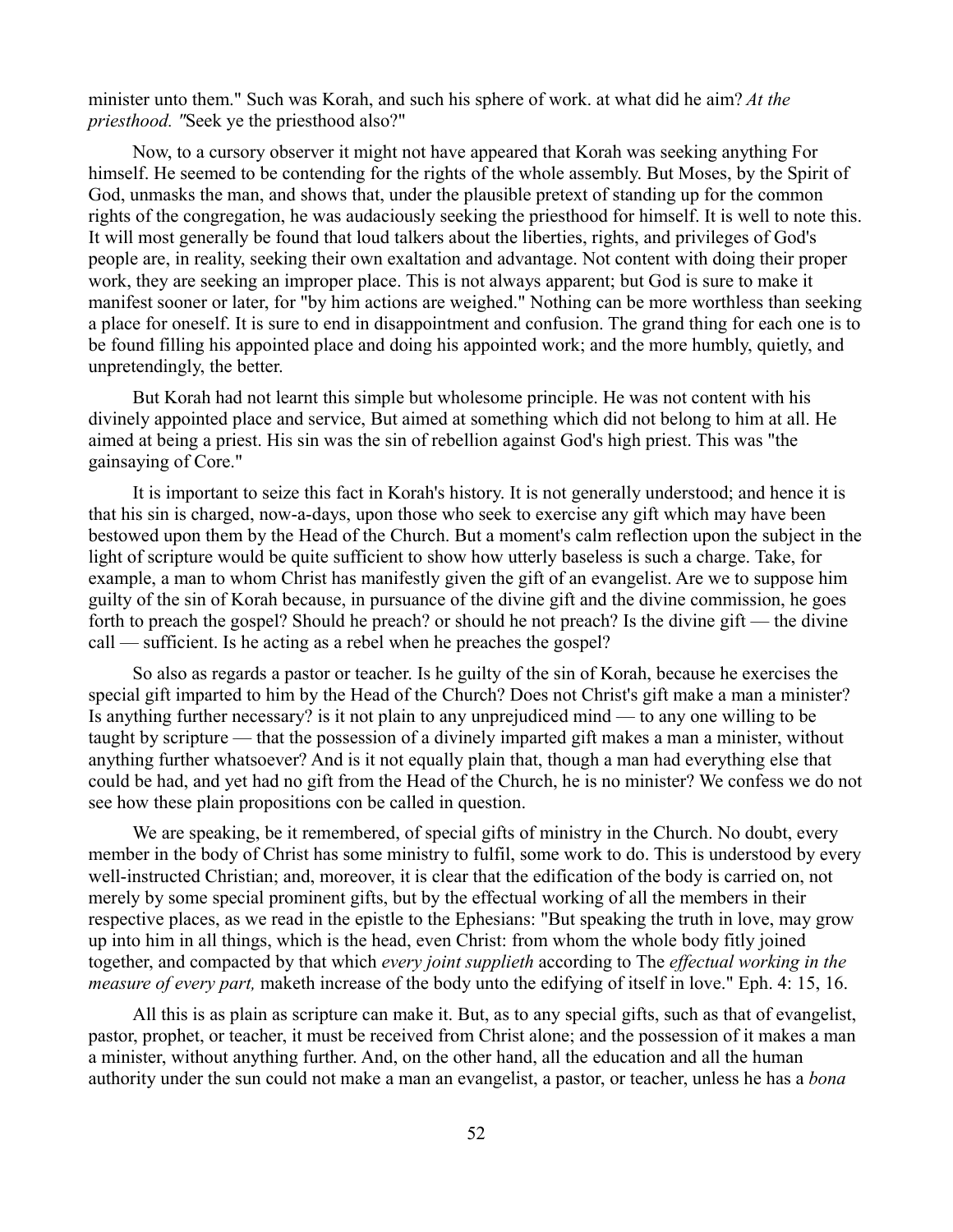minister unto them." Such was Korah, and such his sphere of work. at what did he aim? *At the priesthood. "*Seek ye the priesthood also?"

Now, to a cursory observer it might not have appeared that Korah was seeking anything For himself. He seemed to be contending for the rights of the whole assembly. But Moses, by the Spirit of God, unmasks the man, and shows that, under the plausible pretext of standing up for the common rights of the congregation, he was audaciously seeking the priesthood for himself. It is well to note this. It will most generally be found that loud talkers about the liberties, rights, and privileges of God's people are, in reality, seeking their own exaltation and advantage. Not content with doing their proper work, they are seeking an improper place. This is not always apparent; but God is sure to make it manifest sooner or later, for "by him actions are weighed." Nothing can be more worthless than seeking a place for oneself. It is sure to end in disappointment and confusion. The grand thing for each one is to be found filling his appointed place and doing his appointed work; and the more humbly, quietly, and unpretendingly, the better.

But Korah had not learnt this simple but wholesome principle. He was not content with his divinely appointed place and service, But aimed at something which did not belong to him at all. He aimed at being a priest. His sin was the sin of rebellion against God's high priest. This was "the gainsaying of Core."

It is important to seize this fact in Korah's history. It is not generally understood; and hence it is that his sin is charged, now-a-days, upon those who seek to exercise any gift which may have been bestowed upon them by the Head of the Church. But a moment's calm reflection upon the subject in the light of scripture would be quite sufficient to show how utterly baseless is such a charge. Take, for example, a man to whom Christ has manifestly given the gift of an evangelist. Are we to suppose him guilty of the sin of Korah because, in pursuance of the divine gift and the divine commission, he goes forth to preach the gospel? Should he preach? or should he not preach? Is the divine gift — the divine call — sufficient. Is he acting as a rebel when he preaches the gospel?

So also as regards a pastor or teacher. Is he guilty of the sin of Korah, because he exercises the special gift imparted to him by the Head of the Church? Does not Christ's gift make a man a minister? Is anything further necessary? is it not plain to any unprejudiced mind — to any one willing to be taught by scripture — that the possession of a divinely imparted gift makes a man a minister, without anything further whatsoever? And is it not equally plain that, though a man had everything else that could be had, and yet had no gift from the Head of the Church, he is no minister? We confess we do not see how these plain propositions con be called in question.

We are speaking, be it remembered, of special gifts of ministry in the Church. No doubt, every member in the body of Christ has some ministry to fulfil, some work to do. This is understood by every well-instructed Christian; and, moreover, it is clear that the edification of the body is carried on, not merely by some special prominent gifts, but by the effectual working of all the members in their respective places, as we read in the epistle to the Ephesians: "But speaking the truth in love, may grow up into him in all things, which is the head, even Christ: from whom the whole body fitly joined together, and compacted by that which *every joint supplieth* according to The *effectual working in the measure of every part,* maketh increase of the body unto the edifying of itself in love." Eph. 4: 15, 16.

All this is as plain as scripture can make it. But, as to any special gifts, such as that of evangelist, pastor, prophet, or teacher, it must be received from Christ alone; and the possession of it makes a man a minister, without anything further. And, on the other hand, all the education and all the human authority under the sun could not make a man an evangelist, a pastor, or teacher, unless he has a *bona*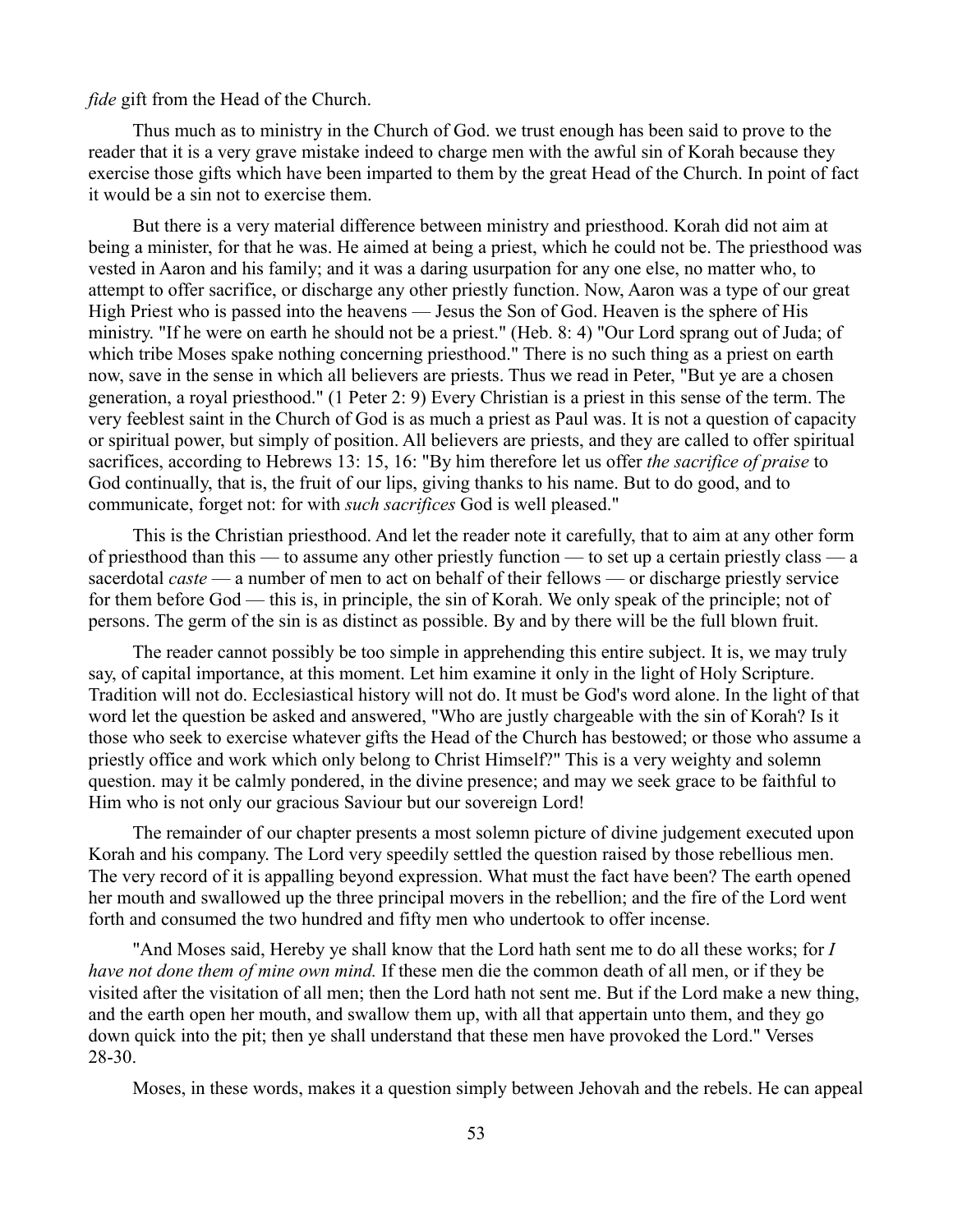### *fide* gift from the Head of the Church.

Thus much as to ministry in the Church of God. we trust enough has been said to prove to the reader that it is a very grave mistake indeed to charge men with the awful sin of Korah because they exercise those gifts which have been imparted to them by the great Head of the Church. In point of fact it would be a sin not to exercise them.

But there is a very material difference between ministry and priesthood. Korah did not aim at being a minister, for that he was. He aimed at being a priest, which he could not be. The priesthood was vested in Aaron and his family; and it was a daring usurpation for any one else, no matter who, to attempt to offer sacrifice, or discharge any other priestly function. Now, Aaron was a type of our great High Priest who is passed into the heavens — Jesus the Son of God. Heaven is the sphere of His ministry. "If he were on earth he should not be a priest." (Heb. 8: 4) "Our Lord sprang out of Juda; of which tribe Moses spake nothing concerning priesthood." There is no such thing as a priest on earth now, save in the sense in which all believers are priests. Thus we read in Peter, "But ye are a chosen generation, a royal priesthood." (1 Peter 2: 9) Every Christian is a priest in this sense of the term. The very feeblest saint in the Church of God is as much a priest as Paul was. It is not a question of capacity or spiritual power, but simply of position. All believers are priests, and they are called to offer spiritual sacrifices, according to Hebrews 13: 15, 16: "By him therefore let us offer *the sacrifice of praise* to God continually, that is, the fruit of our lips, giving thanks to his name. But to do good, and to communicate, forget not: for with *such sacrifices* God is well pleased."

This is the Christian priesthood. And let the reader note it carefully, that to aim at any other form of priesthood than this — to assume any other priestly function — to set up a certain priestly class — a sacerdotal *caste* — a number of men to act on behalf of their fellows — or discharge priestly service for them before God — this is, in principle, the sin of Korah. We only speak of the principle; not of persons. The germ of the sin is as distinct as possible. By and by there will be the full blown fruit.

The reader cannot possibly be too simple in apprehending this entire subject. It is, we may truly say, of capital importance, at this moment. Let him examine it only in the light of Holy Scripture. Tradition will not do. Ecclesiastical history will not do. It must be God's word alone. In the light of that word let the question be asked and answered, "Who are justly chargeable with the sin of Korah? Is it those who seek to exercise whatever gifts the Head of the Church has bestowed; or those who assume a priestly office and work which only belong to Christ Himself?" This is a very weighty and solemn question. may it be calmly pondered, in the divine presence; and may we seek grace to be faithful to Him who is not only our gracious Saviour but our sovereign Lord!

The remainder of our chapter presents a most solemn picture of divine judgement executed upon Korah and his company. The Lord very speedily settled the question raised by those rebellious men. The very record of it is appalling beyond expression. What must the fact have been? The earth opened her mouth and swallowed up the three principal movers in the rebellion; and the fire of the Lord went forth and consumed the two hundred and fifty men who undertook to offer incense.

"And Moses said, Hereby ye shall know that the Lord hath sent me to do all these works; for *I have not done them of mine own mind.* If these men die the common death of all men, or if they be visited after the visitation of all men; then the Lord hath not sent me. But if the Lord make a new thing, and the earth open her mouth, and swallow them up, with all that appertain unto them, and they go down quick into the pit; then ye shall understand that these men have provoked the Lord." Verses 28-30.

Moses, in these words, makes it a question simply between Jehovah and the rebels. He can appeal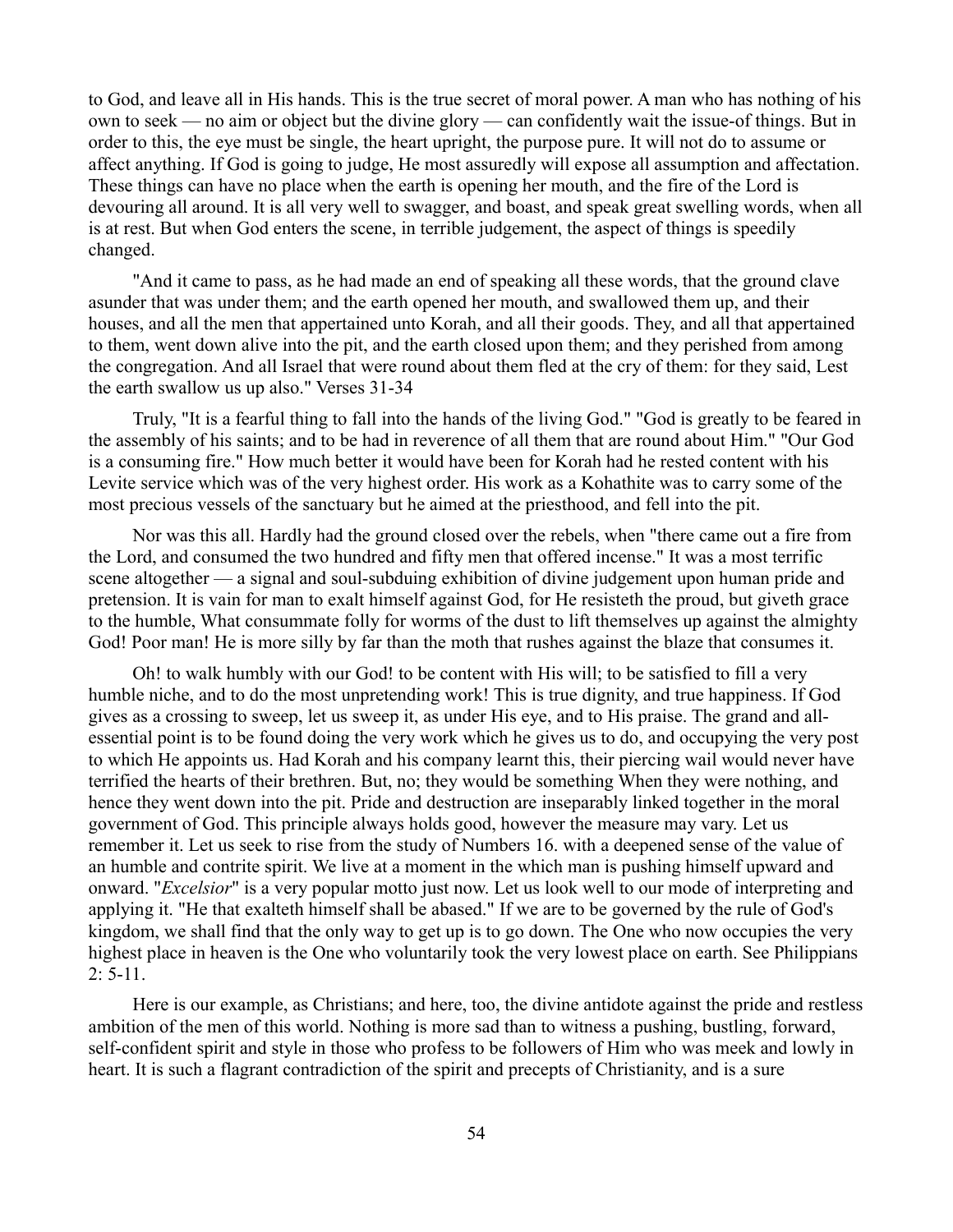to God, and leave all in His hands. This is the true secret of moral power. A man who has nothing of his own to seek — no aim or object but the divine glory — can confidently wait the issue-of things. But in order to this, the eye must be single, the heart upright, the purpose pure. It will not do to assume or affect anything. If God is going to judge, He most assuredly will expose all assumption and affectation. These things can have no place when the earth is opening her mouth, and the fire of the Lord is devouring all around. It is all very well to swagger, and boast, and speak great swelling words, when all is at rest. But when God enters the scene, in terrible judgement, the aspect of things is speedily changed.

"And it came to pass, as he had made an end of speaking all these words, that the ground clave asunder that was under them; and the earth opened her mouth, and swallowed them up, and their houses, and all the men that appertained unto Korah, and all their goods. They, and all that appertained to them, went down alive into the pit, and the earth closed upon them; and they perished from among the congregation. And all Israel that were round about them fled at the cry of them: for they said, Lest the earth swallow us up also." Verses 31-34

Truly, "It is a fearful thing to fall into the hands of the living God." "God is greatly to be feared in the assembly of his saints; and to be had in reverence of all them that are round about Him." "Our God is a consuming fire." How much better it would have been for Korah had he rested content with his Levite service which was of the very highest order. His work as a Kohathite was to carry some of the most precious vessels of the sanctuary but he aimed at the priesthood, and fell into the pit.

Nor was this all. Hardly had the ground closed over the rebels, when "there came out a fire from the Lord, and consumed the two hundred and fifty men that offered incense." It was a most terrific scene altogether — a signal and soul-subduing exhibition of divine judgement upon human pride and pretension. It is vain for man to exalt himself against God, for He resisteth the proud, but giveth grace to the humble, What consummate folly for worms of the dust to lift themselves up against the almighty God! Poor man! He is more silly by far than the moth that rushes against the blaze that consumes it.

Oh! to walk humbly with our God! to be content with His will; to be satisfied to fill a very humble niche, and to do the most unpretending work! This is true dignity, and true happiness. If God gives as a crossing to sweep, let us sweep it, as under His eye, and to His praise. The grand and allessential point is to be found doing the very work which he gives us to do, and occupying the very post to which He appoints us. Had Korah and his company learnt this, their piercing wail would never have terrified the hearts of their brethren. But, no; they would be something When they were nothing, and hence they went down into the pit. Pride and destruction are inseparably linked together in the moral government of God. This principle always holds good, however the measure may vary. Let us remember it. Let us seek to rise from the study of Numbers 16. with a deepened sense of the value of an humble and contrite spirit. We live at a moment in the which man is pushing himself upward and onward. "*Excelsior*" is a very popular motto just now. Let us look well to our mode of interpreting and applying it. "He that exalteth himself shall be abased." If we are to be governed by the rule of God's kingdom, we shall find that the only way to get up is to go down. The One who now occupies the very highest place in heaven is the One who voluntarily took the very lowest place on earth. See Philippians  $2: 5-11.$ 

Here is our example, as Christians; and here, too, the divine antidote against the pride and restless ambition of the men of this world. Nothing is more sad than to witness a pushing, bustling, forward, self-confident spirit and style in those who profess to be followers of Him who was meek and lowly in heart. It is such a flagrant contradiction of the spirit and precepts of Christianity, and is a sure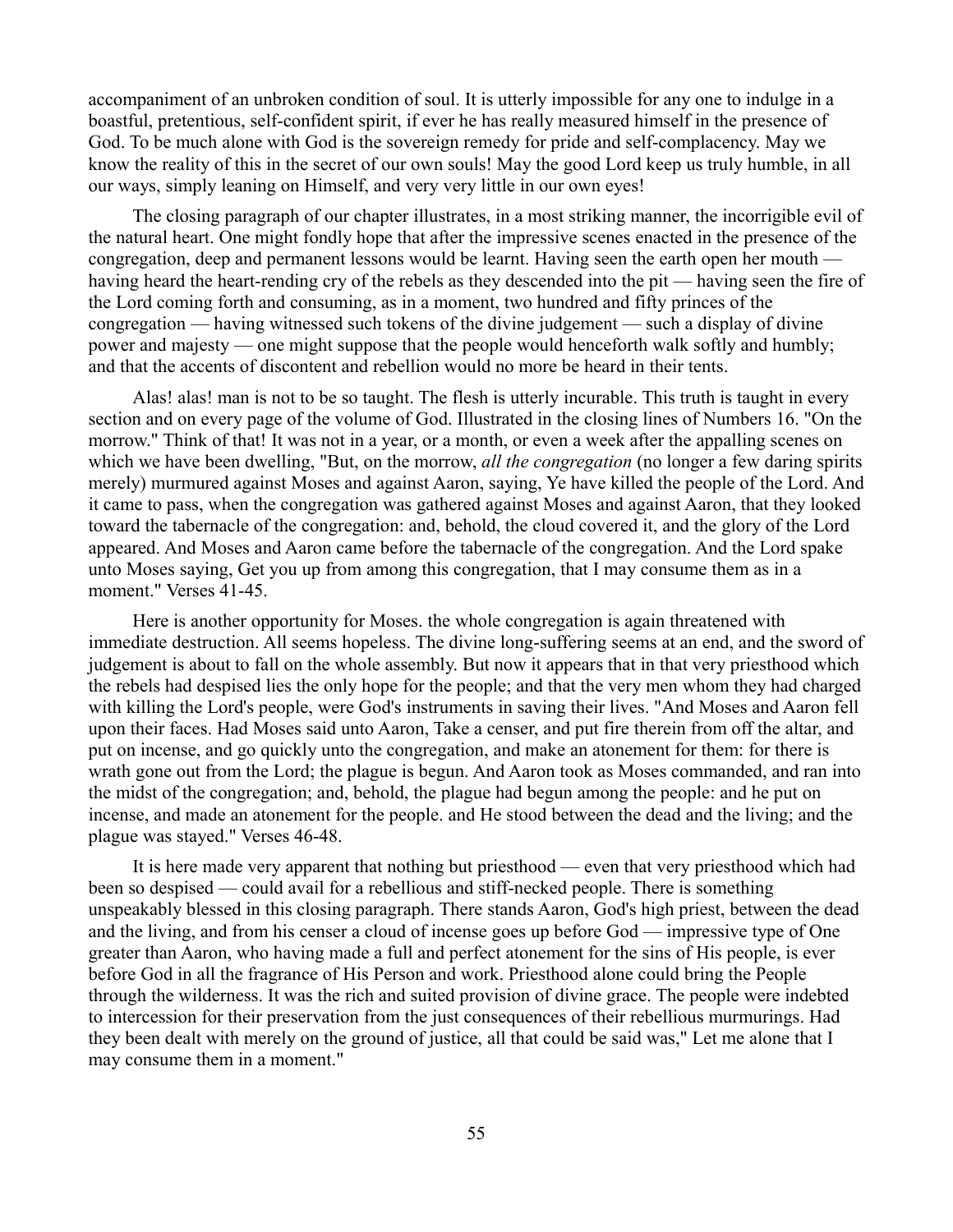accompaniment of an unbroken condition of soul. It is utterly impossible for any one to indulge in a boastful, pretentious, self-confident spirit, if ever he has really measured himself in the presence of God. To be much alone with God is the sovereign remedy for pride and self-complacency. May we know the reality of this in the secret of our own souls! May the good Lord keep us truly humble, in all our ways, simply leaning on Himself, and very very little in our own eyes!

The closing paragraph of our chapter illustrates, in a most striking manner, the incorrigible evil of the natural heart. One might fondly hope that after the impressive scenes enacted in the presence of the congregation, deep and permanent lessons would be learnt. Having seen the earth open her mouth having heard the heart-rending cry of the rebels as they descended into the pit — having seen the fire of the Lord coming forth and consuming, as in a moment, two hundred and fifty princes of the congregation — having witnessed such tokens of the divine judgement — such a display of divine power and majesty — one might suppose that the people would henceforth walk softly and humbly; and that the accents of discontent and rebellion would no more be heard in their tents.

Alas! alas! man is not to be so taught. The flesh is utterly incurable. This truth is taught in every section and on every page of the volume of God. Illustrated in the closing lines of Numbers 16. "On the morrow." Think of that! It was not in a year, or a month, or even a week after the appalling scenes on which we have been dwelling, "But, on the morrow, *all the congregation* (no longer a few daring spirits merely) murmured against Moses and against Aaron, saying, Ye have killed the people of the Lord. And it came to pass, when the congregation was gathered against Moses and against Aaron, that they looked toward the tabernacle of the congregation: and, behold, the cloud covered it, and the glory of the Lord appeared. And Moses and Aaron came before the tabernacle of the congregation. And the Lord spake unto Moses saying, Get you up from among this congregation, that I may consume them as in a moment." Verses 41-45.

Here is another opportunity for Moses. the whole congregation is again threatened with immediate destruction. All seems hopeless. The divine long-suffering seems at an end, and the sword of judgement is about to fall on the whole assembly. But now it appears that in that very priesthood which the rebels had despised lies the only hope for the people; and that the very men whom they had charged with killing the Lord's people, were God's instruments in saving their lives. "And Moses and Aaron fell upon their faces. Had Moses said unto Aaron, Take a censer, and put fire therein from off the altar, and put on incense, and go quickly unto the congregation, and make an atonement for them: for there is wrath gone out from the Lord; the plague is begun. And Aaron took as Moses commanded, and ran into the midst of the congregation; and, behold, the plague had begun among the people: and he put on incense, and made an atonement for the people. and He stood between the dead and the living; and the plague was stayed." Verses 46-48.

It is here made very apparent that nothing but priesthood — even that very priesthood which had been so despised — could avail for a rebellious and stiff-necked people. There is something unspeakably blessed in this closing paragraph. There stands Aaron, God's high priest, between the dead and the living, and from his censer a cloud of incense goes up before God — impressive type of One greater than Aaron, who having made a full and perfect atonement for the sins of His people, is ever before God in all the fragrance of His Person and work. Priesthood alone could bring the People through the wilderness. It was the rich and suited provision of divine grace. The people were indebted to intercession for their preservation from the just consequences of their rebellious murmurings. Had they been dealt with merely on the ground of justice, all that could be said was," Let me alone that I may consume them in a moment."